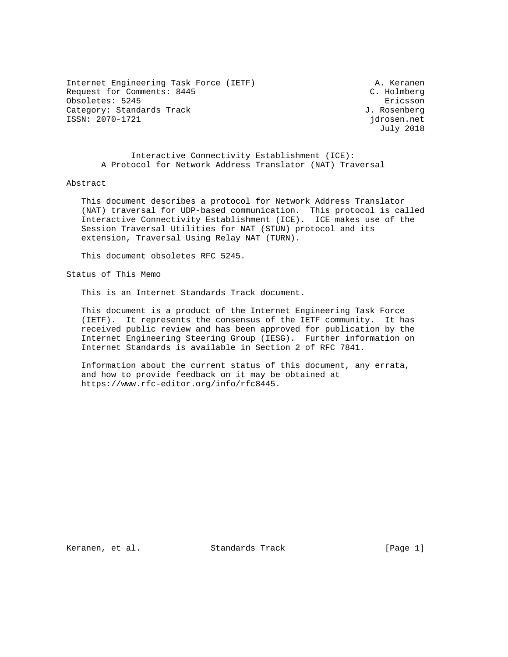Internet Engineering Task Force (IETF) A. Keranen Request for Comments: 8445 C. Holmberg Obsoletes: 5245 Ericsson<br>Category: Standards Track Category: Standards Track Category: Standards Track ISSN: 2070-1721 jdrosen.net

July 2018

 Interactive Connectivity Establishment (ICE): A Protocol for Network Address Translator (NAT) Traversal

## Abstract

 This document describes a protocol for Network Address Translator (NAT) traversal for UDP-based communication. This protocol is called Interactive Connectivity Establishment (ICE). ICE makes use of the Session Traversal Utilities for NAT (STUN) protocol and its extension, Traversal Using Relay NAT (TURN).

This document obsoletes RFC 5245.

Status of This Memo

This is an Internet Standards Track document.

 This document is a product of the Internet Engineering Task Force (IETF). It represents the consensus of the IETF community. It has received public review and has been approved for publication by the Internet Engineering Steering Group (IESG). Further information on Internet Standards is available in Section 2 of RFC 7841.

 Information about the current status of this document, any errata, and how to provide feedback on it may be obtained at https://www.rfc-editor.org/info/rfc8445.

Keranen, et al. Standards Track [Page 1]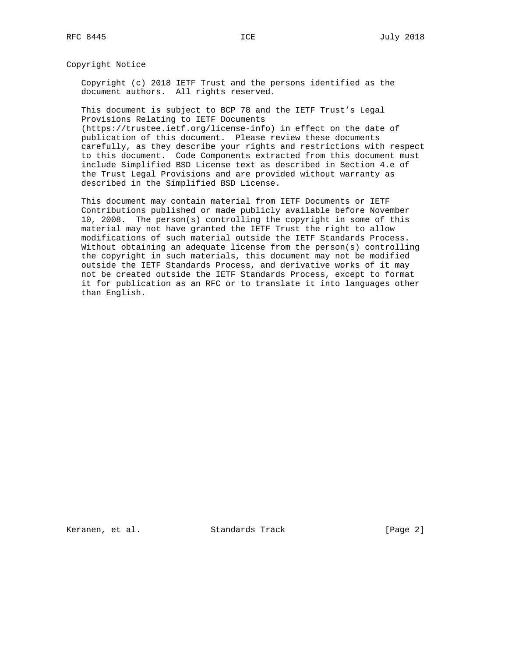Copyright Notice

 Copyright (c) 2018 IETF Trust and the persons identified as the document authors. All rights reserved.

 This document is subject to BCP 78 and the IETF Trust's Legal Provisions Relating to IETF Documents

 (https://trustee.ietf.org/license-info) in effect on the date of publication of this document. Please review these documents carefully, as they describe your rights and restrictions with respect to this document. Code Components extracted from this document must include Simplified BSD License text as described in Section 4.e of the Trust Legal Provisions and are provided without warranty as described in the Simplified BSD License.

 This document may contain material from IETF Documents or IETF Contributions published or made publicly available before November 10, 2008. The person(s) controlling the copyright in some of this material may not have granted the IETF Trust the right to allow modifications of such material outside the IETF Standards Process. Without obtaining an adequate license from the person(s) controlling the copyright in such materials, this document may not be modified outside the IETF Standards Process, and derivative works of it may not be created outside the IETF Standards Process, except to format it for publication as an RFC or to translate it into languages other than English.

Keranen, et al. Standards Track [Page 2]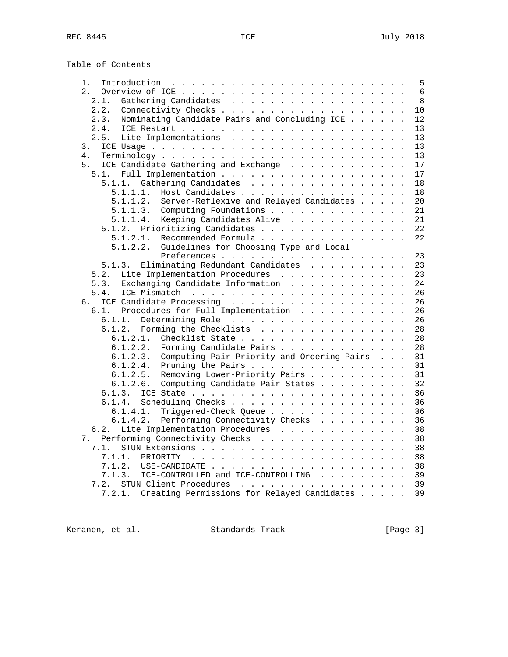Table of Contents

| 1.                                                     |  | 5  |
|--------------------------------------------------------|--|----|
| 2.                                                     |  | 6  |
| 2.1.<br>Gathering Candidates                           |  | 8  |
| Connectivity Checks<br>2.2.                            |  | 10 |
| 2.3.<br>Nominating Candidate Pairs and Concluding ICE  |  | 12 |
| 2.4.                                                   |  | 13 |
| 2.5.<br>Lite Implementations                           |  | 13 |
| 3.                                                     |  | 13 |
| 4.                                                     |  | 13 |
|                                                        |  |    |
| 5.<br>ICE Candidate Gathering and Exchange             |  | 17 |
| 5.1.                                                   |  | 17 |
| 5.1.1.<br>Gathering Candidates                         |  | 18 |
| Host Candidates<br>5.1.1.1.                            |  | 18 |
| Server-Reflexive and Relayed Candidates<br>5.1.1.2.    |  | 20 |
| 5.1.1.3.<br>Computing Foundations                      |  | 21 |
| Keeping Candidates Alive<br>5.1.1.4.                   |  | 21 |
| 5.1.2. Prioritizing Candidates                         |  | 22 |
| Recommended Formula<br>5.1.2.1.                        |  | 22 |
| Guidelines for Choosing Type and Local<br>5.1.2.2.     |  |    |
| Preferences                                            |  | 23 |
| Eliminating Redundant Candidates<br>5.1.3.             |  | 23 |
| Lite Implementation Procedures<br>5.2.                 |  | 23 |
| Exchanging Candidate Information<br>5.3.               |  | 24 |
| 5.4.                                                   |  | 26 |
| ICE Candidate Processing<br>б.                         |  | 26 |
| Procedures for Full Implementation<br>6.1.             |  | 26 |
| 6.1.1.<br>Determining Role                             |  | 26 |
| 6.1.2. Forming the Checklists                          |  | 28 |
| 6.1.2.1. Checklist State                               |  | 28 |
| 6.1.2.2.<br>Forming Candidate Pairs                    |  | 28 |
| Computing Pair Priority and Ordering Pairs<br>6.1.2.3. |  | 31 |
| 6.1.2.4.<br>Pruning the Pairs                          |  | 31 |
| Removing Lower-Priority Pairs<br>6.1.2.5.              |  | 31 |
| Computing Candidate Pair States<br>6.1.2.6.            |  | 32 |
| 6.1.3.                                                 |  | 36 |
| 6.1.4.<br>Scheduling Checks                            |  | 36 |
| 6.1.4.1.                                               |  | 36 |
| Triggered-Check Queue<br>6.1.4.2.                      |  | 36 |
| Performing Connectivity Checks                         |  |    |
| Lite Implementation Procedures<br>6.2.                 |  | 38 |
| Performing Connectivity Checks<br>7.                   |  | 38 |
| 7.1.                                                   |  | 38 |
| 7.1.1.                                                 |  | 38 |
| 7.1.2.                                                 |  | 38 |
| ICE-CONTROLLED and ICE-CONTROLLING<br>7.1.3.           |  | 39 |
| STUN Client Procedures<br>7.2.                         |  | 39 |
| 7.2.1. Creating Permissions for Relayed Candidates     |  | 39 |

Keranen, et al. Standards Track [Page 3]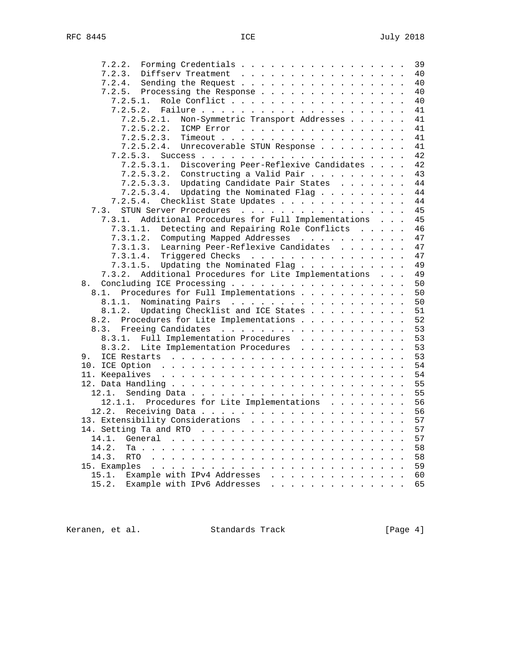| Forming Credentials<br>7.2.2.                            | 39 |
|----------------------------------------------------------|----|
| 7.2.3.<br>Diffserv Treatment                             | 40 |
| Sending the Request<br>7.2.4.                            | 40 |
| Processing the Response<br>7.2.5.                        | 40 |
| Role Conflict<br>7.2.5.1.                                | 40 |
| 7.2.5.2.                                                 | 41 |
| Non-Symmetric Transport Addresses<br>7.2.5.2.1.          | 41 |
| 7.2.5.2.2.<br>ICMP Error                                 | 41 |
| 7.2.5.2.3.                                               | 41 |
| 7.2.5.2.4.<br>Unrecoverable STUN Response                | 41 |
| 7.2.5.3.                                                 | 42 |
| Discovering Peer-Reflexive Candidates<br>7.2.5.3.1.      | 42 |
| $7.2.5.3.2.$ Constructing a Valid Pair                   | 43 |
| Updating Candidate Pair States<br>7.2.5.3.3.             | 44 |
| Updating the Nominated Flag<br>7.2.5.3.4.                | 44 |
| 7.2.5.4.<br>Checklist State Updates                      | 44 |
| 7.3. STUN Server Procedures                              | 45 |
| Additional Procedures for Full Implementations<br>7.3.1. | 45 |
| Detecting and Repairing Role Conflicts<br>7.3.1.1.       | 46 |
| 7.3.1.2.<br>Computing Mapped Addresses                   | 47 |
| Learning Peer-Reflexive Candidates<br>7.3.1.3.           | 47 |
| Triggered Checks<br>7.3.1.4.                             | 47 |
| Updating the Nominated Flag<br>7.3.1.5.                  | 49 |
| Additional Procedures for Lite Implementations<br>7.3.2. | 49 |
| Concluding ICE Processing<br>8.                          | 50 |
| Procedures for Full Implementations<br>8.1.              | 50 |
| Nominating Pairs<br>8.1.1.                               | 50 |
| Updating Checklist and ICE States<br>8.1.2.              | 51 |
| Procedures for Lite Implementations<br>8.2.              | 52 |
|                                                          | 53 |
| Full Implementation Procedures<br>8.3.1.                 | 53 |
| Lite Implementation Procedures<br>8.3.2.                 | 53 |
| 9.                                                       | 53 |
|                                                          | 54 |
|                                                          | 54 |
|                                                          | 55 |
| 12.1.                                                    | 55 |
| Procedures for Lite Implementations<br>12.1.1.           | 56 |
| 12.2.                                                    | 56 |
| 13. Extensibility Considerations                         | 57 |
|                                                          | 57 |
| 14.1.                                                    | 57 |
| 14.2.                                                    | 58 |
| 14.3.                                                    | 58 |
| 15. Examples                                             | 59 |
| 15.1.<br>Example with IPv4 Addresses                     | 60 |
| Example with IPv6 Addresses<br>15.2.                     | 65 |

Keranen, et al. Standards Track (Page 4)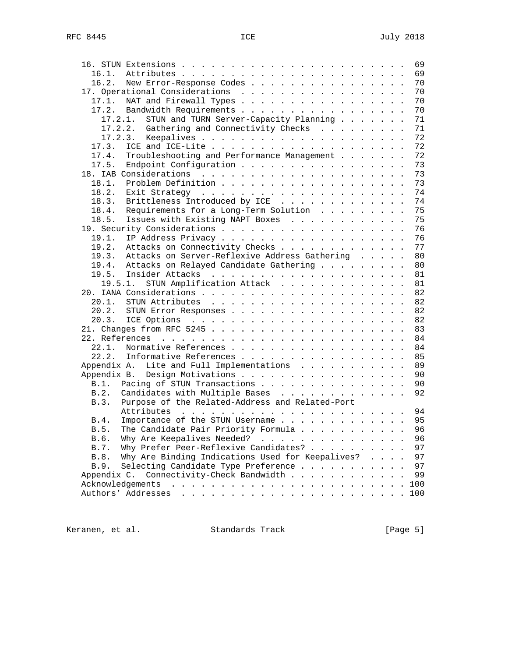|                                                                                                                                       |  | 69  |
|---------------------------------------------------------------------------------------------------------------------------------------|--|-----|
| 16.1.                                                                                                                                 |  | 69  |
| New Error-Response Codes<br>16.2.                                                                                                     |  | 70  |
| 17. Operational Considerations                                                                                                        |  | 70  |
| NAT and Firewall Types<br>17.1.                                                                                                       |  | 70  |
| 17.2. Bandwidth Requirements                                                                                                          |  | 70  |
| 17.2.1.<br>STUN and TURN Server-Capacity Planning                                                                                     |  | 71  |
| 17.2.2. Gathering and Connectivity Checks                                                                                             |  | 71  |
| 17.2.3.                                                                                                                               |  | 72  |
| 17.3.                                                                                                                                 |  | 72  |
| Troubleshooting and Performance Management<br>17.4.                                                                                   |  | 72  |
|                                                                                                                                       |  | 73  |
| 17.5. Endpoint Configuration                                                                                                          |  |     |
|                                                                                                                                       |  | 73  |
| 18.1.                                                                                                                                 |  | 73  |
| 18.2.                                                                                                                                 |  | 74  |
| Brittleness Introduced by ICE<br>18.3.                                                                                                |  | 74  |
| Requirements for a Long-Term Solution<br>18.4.                                                                                        |  | 75  |
| Issues with Existing NAPT Boxes<br>18.5.                                                                                              |  | 75  |
|                                                                                                                                       |  | 76  |
| 19.1.                                                                                                                                 |  | 76  |
| 19.2.<br>Attacks on Connectivity Checks                                                                                               |  | 77  |
| Attacks on Server-Reflexive Address Gathering<br>19.3.                                                                                |  | 80  |
| 19.4. Attacks on Relayed Candidate Gathering                                                                                          |  | 80  |
|                                                                                                                                       |  | 81  |
| 19.5.1. STUN Amplification Attack                                                                                                     |  | 81  |
|                                                                                                                                       |  | 82  |
| 20.1.                                                                                                                                 |  | 82  |
|                                                                                                                                       |  | 82  |
| 20.2. STUN Error Responses                                                                                                            |  | 82  |
|                                                                                                                                       |  |     |
|                                                                                                                                       |  | 83  |
|                                                                                                                                       |  | 84  |
| Normative References<br>22.1.                                                                                                         |  | 84  |
| Informative References<br>22.2.                                                                                                       |  | 85  |
| Lite and Full Implementations<br>Appendix A.                                                                                          |  | 89  |
| Appendix B. Design Motivations                                                                                                        |  | 90  |
| B.1. Pacing of STUN Transactions                                                                                                      |  | 90  |
| B.2.<br>Candidates with Multiple Bases                                                                                                |  | 92  |
| Purpose of the Related-Address and Related-Port<br>B.3.                                                                               |  |     |
| Attributes                                                                                                                            |  |     |
| Importance of the STUN Username 95<br>B.4.                                                                                            |  |     |
| The Candidate Pair Priority Formula<br>B.5.                                                                                           |  | 96  |
| Why Are Keepalives Needed?<br>B.6.                                                                                                    |  | 96  |
| Why Prefer Peer-Reflexive Candidates?<br>B.7.                                                                                         |  | 97  |
| Why Are Binding Indications Used for Keepalives?<br>B.8.                                                                              |  | 97  |
| B.9.<br>Selecting Candidate Type Preference                                                                                           |  | 97  |
| Connectivity-Check Bandwidth<br>Appendix C.                                                                                           |  | 99  |
|                                                                                                                                       |  |     |
| Acknowledgements<br>والمتعاونة والمتعاونة والمتعاونة والمتعاونة والمتعاونة والمتعاونة والمتعاونة                                      |  | 100 |
| Authors' Addresses<br>and a series of the contract of the contract of the contract of the contract of the contract of the contract of |  | 100 |

Keranen, et al. Standards Track [Page 5]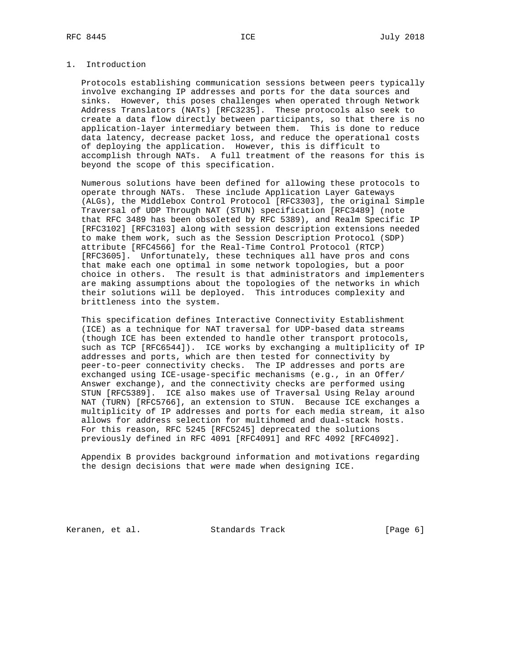# 1. Introduction

 Protocols establishing communication sessions between peers typically involve exchanging IP addresses and ports for the data sources and sinks. However, this poses challenges when operated through Network Address Translators (NATs) [RFC3235]. These protocols also seek to create a data flow directly between participants, so that there is no application-layer intermediary between them. This is done to reduce data latency, decrease packet loss, and reduce the operational costs of deploying the application. However, this is difficult to accomplish through NATs. A full treatment of the reasons for this is beyond the scope of this specification.

 Numerous solutions have been defined for allowing these protocols to operate through NATs. These include Application Layer Gateways (ALGs), the Middlebox Control Protocol [RFC3303], the original Simple Traversal of UDP Through NAT (STUN) specification [RFC3489] (note that RFC 3489 has been obsoleted by RFC 5389), and Realm Specific IP [RFC3102] [RFC3103] along with session description extensions needed to make them work, such as the Session Description Protocol (SDP) attribute [RFC4566] for the Real-Time Control Protocol (RTCP) [RFC3605]. Unfortunately, these techniques all have pros and cons that make each one optimal in some network topologies, but a poor choice in others. The result is that administrators and implementers are making assumptions about the topologies of the networks in which their solutions will be deployed. This introduces complexity and brittleness into the system.

 This specification defines Interactive Connectivity Establishment (ICE) as a technique for NAT traversal for UDP-based data streams (though ICE has been extended to handle other transport protocols, such as TCP [RFC6544]). ICE works by exchanging a multiplicity of IP addresses and ports, which are then tested for connectivity by peer-to-peer connectivity checks. The IP addresses and ports are exchanged using ICE-usage-specific mechanisms (e.g., in an Offer/ Answer exchange), and the connectivity checks are performed using STUN [RFC5389]. ICE also makes use of Traversal Using Relay around NAT (TURN) [RFC5766], an extension to STUN. Because ICE exchanges a multiplicity of IP addresses and ports for each media stream, it also allows for address selection for multihomed and dual-stack hosts. For this reason, RFC 5245 [RFC5245] deprecated the solutions previously defined in RFC 4091 [RFC4091] and RFC 4092 [RFC4092].

 Appendix B provides background information and motivations regarding the design decisions that were made when designing ICE.

Keranen, et al. Standards Track [Page 6]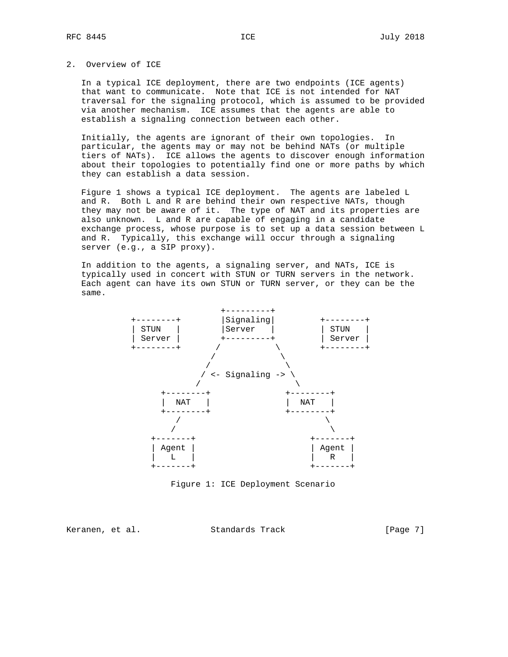# 2. Overview of ICE

 In a typical ICE deployment, there are two endpoints (ICE agents) that want to communicate. Note that ICE is not intended for NAT traversal for the signaling protocol, which is assumed to be provided via another mechanism. ICE assumes that the agents are able to establish a signaling connection between each other.

 Initially, the agents are ignorant of their own topologies. In particular, the agents may or may not be behind NATs (or multiple tiers of NATs). ICE allows the agents to discover enough information about their topologies to potentially find one or more paths by which they can establish a data session.

 Figure 1 shows a typical ICE deployment. The agents are labeled L and R. Both L and R are behind their own respective NATs, though they may not be aware of it. The type of NAT and its properties are also unknown. L and R are capable of engaging in a candidate exchange process, whose purpose is to set up a data session between L and R. Typically, this exchange will occur through a signaling server (e.g., a SIP proxy).

 In addition to the agents, a signaling server, and NATs, ICE is typically used in concert with STUN or TURN servers in the network. Each agent can have its own STUN or TURN server, or they can be the same.



Figure 1: ICE Deployment Scenario

Keranen, et al. Standards Track [Page 7]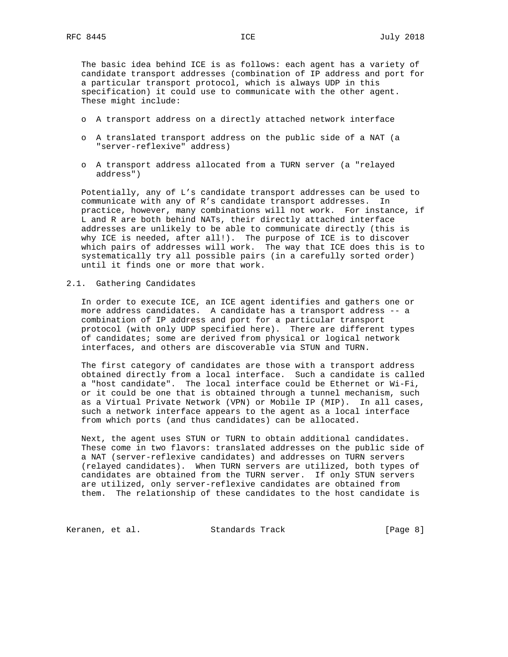The basic idea behind ICE is as follows: each agent has a variety of candidate transport addresses (combination of IP address and port for a particular transport protocol, which is always UDP in this specification) it could use to communicate with the other agent. These might include:

- o A transport address on a directly attached network interface
- o A translated transport address on the public side of a NAT (a "server-reflexive" address)
- o A transport address allocated from a TURN server (a "relayed address")

 Potentially, any of L's candidate transport addresses can be used to communicate with any of R's candidate transport addresses. In practice, however, many combinations will not work. For instance, if L and R are both behind NATs, their directly attached interface addresses are unlikely to be able to communicate directly (this is why ICE is needed, after all!). The purpose of ICE is to discover which pairs of addresses will work. The way that ICE does this is to systematically try all possible pairs (in a carefully sorted order) until it finds one or more that work.

## 2.1. Gathering Candidates

 In order to execute ICE, an ICE agent identifies and gathers one or more address candidates. A candidate has a transport address -- a combination of IP address and port for a particular transport protocol (with only UDP specified here). There are different types of candidates; some are derived from physical or logical network interfaces, and others are discoverable via STUN and TURN.

 The first category of candidates are those with a transport address obtained directly from a local interface. Such a candidate is called a "host candidate". The local interface could be Ethernet or Wi-Fi, or it could be one that is obtained through a tunnel mechanism, such as a Virtual Private Network (VPN) or Mobile IP (MIP). In all cases, such a network interface appears to the agent as a local interface from which ports (and thus candidates) can be allocated.

 Next, the agent uses STUN or TURN to obtain additional candidates. These come in two flavors: translated addresses on the public side of a NAT (server-reflexive candidates) and addresses on TURN servers (relayed candidates). When TURN servers are utilized, both types of candidates are obtained from the TURN server. If only STUN servers are utilized, only server-reflexive candidates are obtained from them. The relationship of these candidates to the host candidate is

Keranen, et al. Standards Track [Page 8]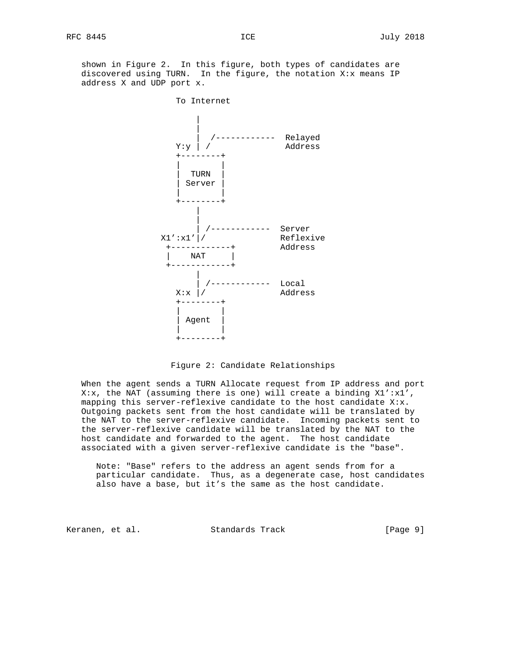shown in Figure 2. In this figure, both types of candidates are discovered using TURN. In the figure, the notation X:x means IP address X and UDP port x.



Figure 2: Candidate Relationships

 When the agent sends a TURN Allocate request from IP address and port X:x, the NAT (assuming there is one) will create a binding  $X1':x1'$ , mapping this server-reflexive candidate to the host candidate X:x. Outgoing packets sent from the host candidate will be translated by the NAT to the server-reflexive candidate. Incoming packets sent to the server-reflexive candidate will be translated by the NAT to the host candidate and forwarded to the agent. The host candidate associated with a given server-reflexive candidate is the "base".

 Note: "Base" refers to the address an agent sends from for a particular candidate. Thus, as a degenerate case, host candidates also have a base, but it's the same as the host candidate.

Keranen, et al. Standards Track [Page 9]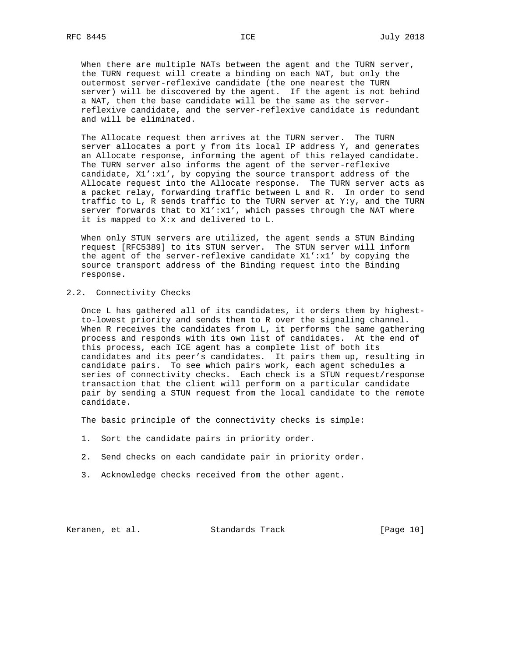When there are multiple NATs between the agent and the TURN server, the TURN request will create a binding on each NAT, but only the outermost server-reflexive candidate (the one nearest the TURN server) will be discovered by the agent. If the agent is not behind a NAT, then the base candidate will be the same as the server reflexive candidate, and the server-reflexive candidate is redundant and will be eliminated.

 The Allocate request then arrives at the TURN server. The TURN server allocates a port y from its local IP address Y, and generates an Allocate response, informing the agent of this relayed candidate. The TURN server also informs the agent of the server-reflexive candidate, X1':x1', by copying the source transport address of the Allocate request into the Allocate response. The TURN server acts as a packet relay, forwarding traffic between L and R. In order to send traffic to L, R sends traffic to the TURN server at Y:y, and the TURN server forwards that to X1':x1', which passes through the NAT where it is mapped to X:x and delivered to L.

 When only STUN servers are utilized, the agent sends a STUN Binding request [RFC5389] to its STUN server. The STUN server will inform the agent of the server-reflexive candidate X1':x1' by copying the source transport address of the Binding request into the Binding response.

# 2.2. Connectivity Checks

 Once L has gathered all of its candidates, it orders them by highest to-lowest priority and sends them to R over the signaling channel. When R receives the candidates from L, it performs the same gathering process and responds with its own list of candidates. At the end of this process, each ICE agent has a complete list of both its candidates and its peer's candidates. It pairs them up, resulting in candidate pairs. To see which pairs work, each agent schedules a series of connectivity checks. Each check is a STUN request/response transaction that the client will perform on a particular candidate pair by sending a STUN request from the local candidate to the remote candidate.

The basic principle of the connectivity checks is simple:

- 1. Sort the candidate pairs in priority order.
- 2. Send checks on each candidate pair in priority order.
- 3. Acknowledge checks received from the other agent.

Keranen, et al. Standards Track [Page 10]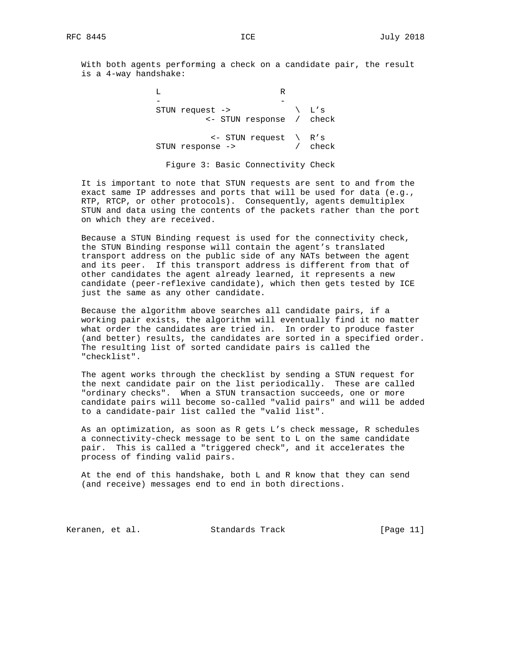With both agents performing a check on a candidate pair, the result is a 4-way handshake:

 L R - - STUN request -> \ L's <- STUN response / check <- STUN request \ R's STUN response -> / check

Figure 3: Basic Connectivity Check

 It is important to note that STUN requests are sent to and from the exact same IP addresses and ports that will be used for data (e.g., RTP, RTCP, or other protocols). Consequently, agents demultiplex STUN and data using the contents of the packets rather than the port on which they are received.

 Because a STUN Binding request is used for the connectivity check, the STUN Binding response will contain the agent's translated transport address on the public side of any NATs between the agent and its peer. If this transport address is different from that of other candidates the agent already learned, it represents a new candidate (peer-reflexive candidate), which then gets tested by ICE just the same as any other candidate.

 Because the algorithm above searches all candidate pairs, if a working pair exists, the algorithm will eventually find it no matter what order the candidates are tried in. In order to produce faster (and better) results, the candidates are sorted in a specified order. The resulting list of sorted candidate pairs is called the "checklist".

 The agent works through the checklist by sending a STUN request for the next candidate pair on the list periodically. These are called "ordinary checks". When a STUN transaction succeeds, one or more candidate pairs will become so-called "valid pairs" and will be added to a candidate-pair list called the "valid list".

 As an optimization, as soon as R gets L's check message, R schedules a connectivity-check message to be sent to L on the same candidate pair. This is called a "triggered check", and it accelerates the process of finding valid pairs.

 At the end of this handshake, both L and R know that they can send (and receive) messages end to end in both directions.

Keranen, et al. Standards Track [Page 11]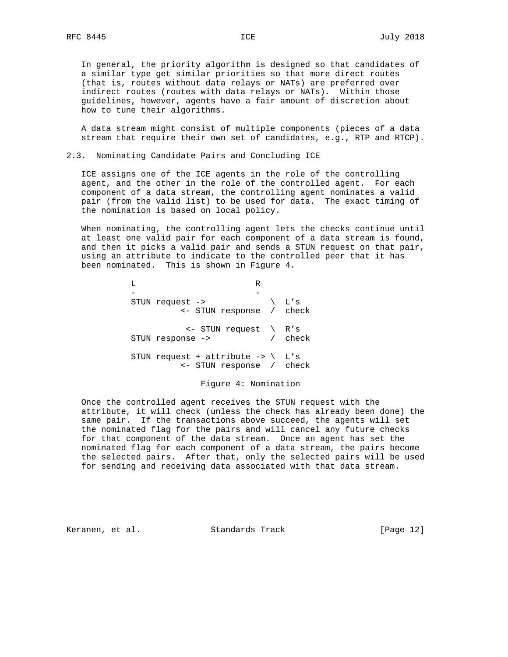In general, the priority algorithm is designed so that candidates of a similar type get similar priorities so that more direct routes (that is, routes without data relays or NATs) are preferred over indirect routes (routes with data relays or NATs). Within those guidelines, however, agents have a fair amount of discretion about how to tune their algorithms.

 A data stream might consist of multiple components (pieces of a data stream that require their own set of candidates, e.g., RTP and RTCP).

2.3. Nominating Candidate Pairs and Concluding ICE

 ICE assigns one of the ICE agents in the role of the controlling agent, and the other in the role of the controlled agent. For each component of a data stream, the controlling agent nominates a valid pair (from the valid list) to be used for data. The exact timing of the nomination is based on local policy.

 When nominating, the controlling agent lets the checks continue until at least one valid pair for each component of a data stream is found, and then it picks a valid pair and sends a STUN request on that pair, using an attribute to indicate to the controlled peer that it has been nominated. This is shown in Figure 4.

 L R - - STUN request -> \ L's <- STUN response / check <- STUN request \ R's STUN response -> / check STUN request + attribute  $\rightarrow \$  L's <- STUN response / check

Figure 4: Nomination

 Once the controlled agent receives the STUN request with the attribute, it will check (unless the check has already been done) the same pair. If the transactions above succeed, the agents will set the nominated flag for the pairs and will cancel any future checks for that component of the data stream. Once an agent has set the nominated flag for each component of a data stream, the pairs become the selected pairs. After that, only the selected pairs will be used for sending and receiving data associated with that data stream.

Keranen, et al. Standards Track [Page 12]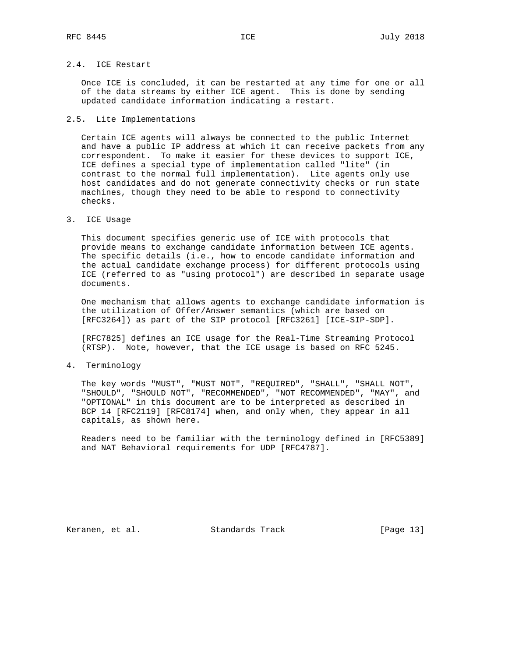# 2.4. ICE Restart

 Once ICE is concluded, it can be restarted at any time for one or all of the data streams by either ICE agent. This is done by sending updated candidate information indicating a restart.

#### 2.5. Lite Implementations

 Certain ICE agents will always be connected to the public Internet and have a public IP address at which it can receive packets from any correspondent. To make it easier for these devices to support ICE, ICE defines a special type of implementation called "lite" (in contrast to the normal full implementation). Lite agents only use host candidates and do not generate connectivity checks or run state machines, though they need to be able to respond to connectivity checks.

3. ICE Usage

 This document specifies generic use of ICE with protocols that provide means to exchange candidate information between ICE agents. The specific details (i.e., how to encode candidate information and the actual candidate exchange process) for different protocols using ICE (referred to as "using protocol") are described in separate usage documents.

 One mechanism that allows agents to exchange candidate information is the utilization of Offer/Answer semantics (which are based on [RFC3264]) as part of the SIP protocol [RFC3261] [ICE-SIP-SDP].

 [RFC7825] defines an ICE usage for the Real-Time Streaming Protocol (RTSP). Note, however, that the ICE usage is based on RFC 5245.

4. Terminology

 The key words "MUST", "MUST NOT", "REQUIRED", "SHALL", "SHALL NOT", "SHOULD", "SHOULD NOT", "RECOMMENDED", "NOT RECOMMENDED", "MAY", and "OPTIONAL" in this document are to be interpreted as described in BCP 14 [RFC2119] [RFC8174] when, and only when, they appear in all capitals, as shown here.

 Readers need to be familiar with the terminology defined in [RFC5389] and NAT Behavioral requirements for UDP [RFC4787].

Keranen, et al. Standards Track [Page 13]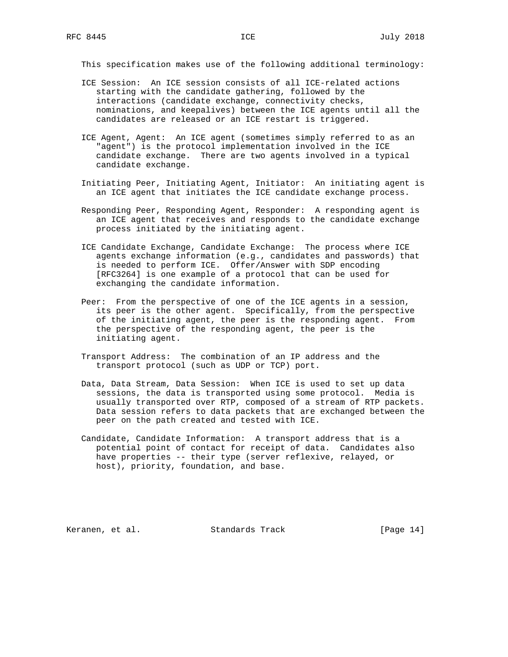This specification makes use of the following additional terminology:

- ICE Session: An ICE session consists of all ICE-related actions starting with the candidate gathering, followed by the interactions (candidate exchange, connectivity checks, nominations, and keepalives) between the ICE agents until all the candidates are released or an ICE restart is triggered.
- ICE Agent, Agent: An ICE agent (sometimes simply referred to as an "agent") is the protocol implementation involved in the ICE candidate exchange. There are two agents involved in a typical candidate exchange.
- Initiating Peer, Initiating Agent, Initiator: An initiating agent is an ICE agent that initiates the ICE candidate exchange process.
- Responding Peer, Responding Agent, Responder: A responding agent is an ICE agent that receives and responds to the candidate exchange process initiated by the initiating agent.
- ICE Candidate Exchange, Candidate Exchange: The process where ICE agents exchange information (e.g., candidates and passwords) that is needed to perform ICE. Offer/Answer with SDP encoding [RFC3264] is one example of a protocol that can be used for exchanging the candidate information.
- Peer: From the perspective of one of the ICE agents in a session, its peer is the other agent. Specifically, from the perspective of the initiating agent, the peer is the responding agent. From the perspective of the responding agent, the peer is the initiating agent.
- Transport Address: The combination of an IP address and the transport protocol (such as UDP or TCP) port.
- Data, Data Stream, Data Session: When ICE is used to set up data sessions, the data is transported using some protocol. Media is usually transported over RTP, composed of a stream of RTP packets. Data session refers to data packets that are exchanged between the peer on the path created and tested with ICE.
- Candidate, Candidate Information: A transport address that is a potential point of contact for receipt of data. Candidates also have properties -- their type (server reflexive, relayed, or host), priority, foundation, and base.

Keranen, et al. Standards Track [Page 14]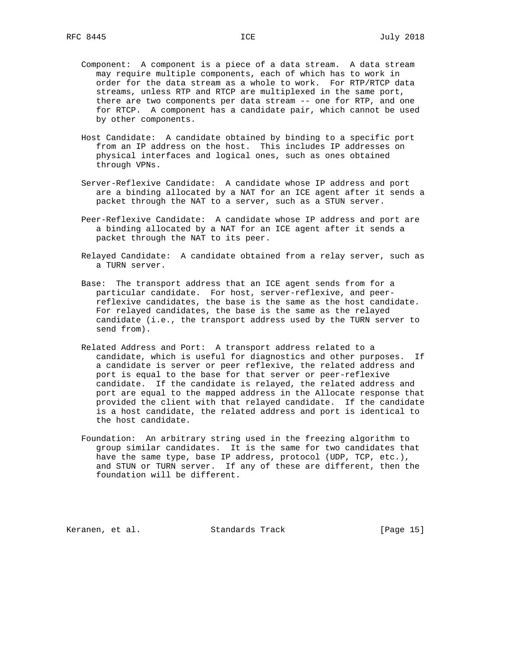- Component: A component is a piece of a data stream. A data stream may require multiple components, each of which has to work in order for the data stream as a whole to work. For RTP/RTCP data streams, unless RTP and RTCP are multiplexed in the same port, there are two components per data stream -- one for RTP, and one for RTCP. A component has a candidate pair, which cannot be used by other components.
- Host Candidate: A candidate obtained by binding to a specific port from an IP address on the host. This includes IP addresses on physical interfaces and logical ones, such as ones obtained through VPNs.
- Server-Reflexive Candidate: A candidate whose IP address and port are a binding allocated by a NAT for an ICE agent after it sends a packet through the NAT to a server, such as a STUN server.
- Peer-Reflexive Candidate: A candidate whose IP address and port are a binding allocated by a NAT for an ICE agent after it sends a packet through the NAT to its peer.
- Relayed Candidate: A candidate obtained from a relay server, such as a TURN server.
- Base: The transport address that an ICE agent sends from for a particular candidate. For host, server-reflexive, and peer reflexive candidates, the base is the same as the host candidate. For relayed candidates, the base is the same as the relayed candidate (i.e., the transport address used by the TURN server to send from).
	- Related Address and Port: A transport address related to a candidate, which is useful for diagnostics and other purposes. If a candidate is server or peer reflexive, the related address and port is equal to the base for that server or peer-reflexive candidate. If the candidate is relayed, the related address and port are equal to the mapped address in the Allocate response that provided the client with that relayed candidate. If the candidate is a host candidate, the related address and port is identical to the host candidate.
	- Foundation: An arbitrary string used in the freezing algorithm to group similar candidates. It is the same for two candidates that have the same type, base IP address, protocol (UDP, TCP, etc.), and STUN or TURN server. If any of these are different, then the foundation will be different.

Keranen, et al. Standards Track [Page 15]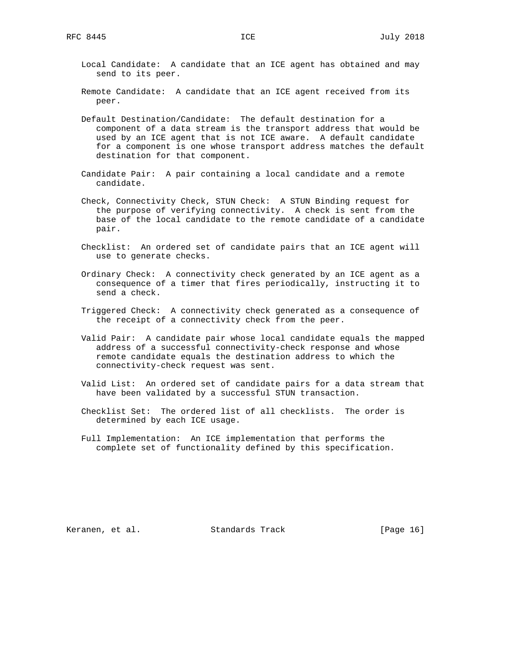- Local Candidate: A candidate that an ICE agent has obtained and may send to its peer.
- Remote Candidate: A candidate that an ICE agent received from its peer.
- Default Destination/Candidate: The default destination for a component of a data stream is the transport address that would be used by an ICE agent that is not ICE aware. A default candidate for a component is one whose transport address matches the default destination for that component.
- Candidate Pair: A pair containing a local candidate and a remote candidate.
- Check, Connectivity Check, STUN Check: A STUN Binding request for the purpose of verifying connectivity. A check is sent from the base of the local candidate to the remote candidate of a candidate pair.
- Checklist: An ordered set of candidate pairs that an ICE agent will use to generate checks.
- Ordinary Check: A connectivity check generated by an ICE agent as a consequence of a timer that fires periodically, instructing it to send a check.
- Triggered Check: A connectivity check generated as a consequence of the receipt of a connectivity check from the peer.
- Valid Pair: A candidate pair whose local candidate equals the mapped address of a successful connectivity-check response and whose remote candidate equals the destination address to which the connectivity-check request was sent.
- Valid List: An ordered set of candidate pairs for a data stream that have been validated by a successful STUN transaction.
- Checklist Set: The ordered list of all checklists. The order is determined by each ICE usage.
- Full Implementation: An ICE implementation that performs the complete set of functionality defined by this specification.

Keranen, et al. Standards Track [Page 16]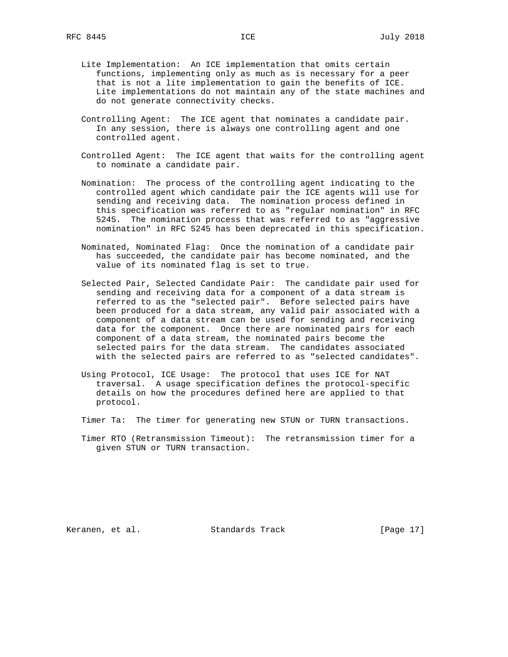- Lite Implementation: An ICE implementation that omits certain functions, implementing only as much as is necessary for a peer that is not a lite implementation to gain the benefits of ICE. Lite implementations do not maintain any of the state machines and do not generate connectivity checks.
- Controlling Agent: The ICE agent that nominates a candidate pair. In any session, there is always one controlling agent and one controlled agent.
- Controlled Agent: The ICE agent that waits for the controlling agent to nominate a candidate pair.
- Nomination: The process of the controlling agent indicating to the controlled agent which candidate pair the ICE agents will use for sending and receiving data. The nomination process defined in this specification was referred to as "regular nomination" in RFC 5245. The nomination process that was referred to as "aggressive nomination" in RFC 5245 has been deprecated in this specification.
- Nominated, Nominated Flag: Once the nomination of a candidate pair has succeeded, the candidate pair has become nominated, and the value of its nominated flag is set to true.
- Selected Pair, Selected Candidate Pair: The candidate pair used for sending and receiving data for a component of a data stream is referred to as the "selected pair". Before selected pairs have been produced for a data stream, any valid pair associated with a component of a data stream can be used for sending and receiving data for the component. Once there are nominated pairs for each component of a data stream, the nominated pairs become the selected pairs for the data stream. The candidates associated with the selected pairs are referred to as "selected candidates".
- Using Protocol, ICE Usage: The protocol that uses ICE for NAT traversal. A usage specification defines the protocol-specific details on how the procedures defined here are applied to that protocol.
- Timer Ta: The timer for generating new STUN or TURN transactions.
- Timer RTO (Retransmission Timeout): The retransmission timer for a given STUN or TURN transaction.

Keranen, et al. Standards Track [Page 17]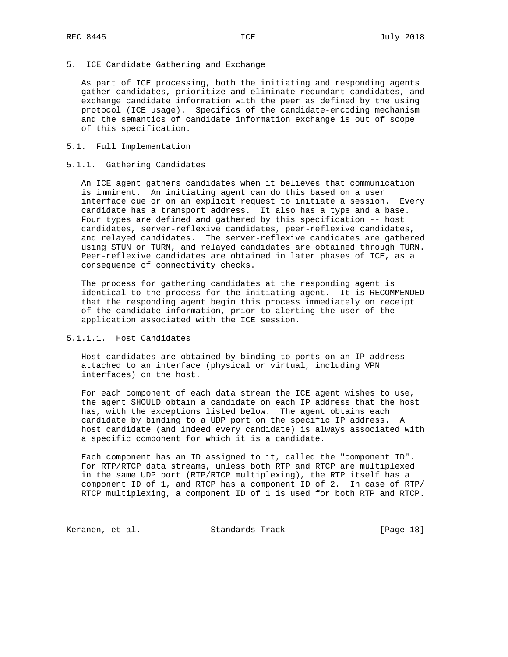5. ICE Candidate Gathering and Exchange

 As part of ICE processing, both the initiating and responding agents gather candidates, prioritize and eliminate redundant candidates, and exchange candidate information with the peer as defined by the using protocol (ICE usage). Specifics of the candidate-encoding mechanism and the semantics of candidate information exchange is out of scope of this specification.

# 5.1. Full Implementation

# 5.1.1. Gathering Candidates

 An ICE agent gathers candidates when it believes that communication is imminent. An initiating agent can do this based on a user interface cue or on an explicit request to initiate a session. Every candidate has a transport address. It also has a type and a base. Four types are defined and gathered by this specification -- host candidates, server-reflexive candidates, peer-reflexive candidates, and relayed candidates. The server-reflexive candidates are gathered using STUN or TURN, and relayed candidates are obtained through TURN. Peer-reflexive candidates are obtained in later phases of ICE, as a consequence of connectivity checks.

 The process for gathering candidates at the responding agent is identical to the process for the initiating agent. It is RECOMMENDED that the responding agent begin this process immediately on receipt of the candidate information, prior to alerting the user of the application associated with the ICE session.

# 5.1.1.1. Host Candidates

 Host candidates are obtained by binding to ports on an IP address attached to an interface (physical or virtual, including VPN interfaces) on the host.

 For each component of each data stream the ICE agent wishes to use, the agent SHOULD obtain a candidate on each IP address that the host has, with the exceptions listed below. The agent obtains each candidate by binding to a UDP port on the specific IP address. A host candidate (and indeed every candidate) is always associated with a specific component for which it is a candidate.

 Each component has an ID assigned to it, called the "component ID". For RTP/RTCP data streams, unless both RTP and RTCP are multiplexed in the same UDP port (RTP/RTCP multiplexing), the RTP itself has a component ID of 1, and RTCP has a component ID of 2. In case of RTP/ RTCP multiplexing, a component ID of 1 is used for both RTP and RTCP.

Keranen, et al. Standards Track [Page 18]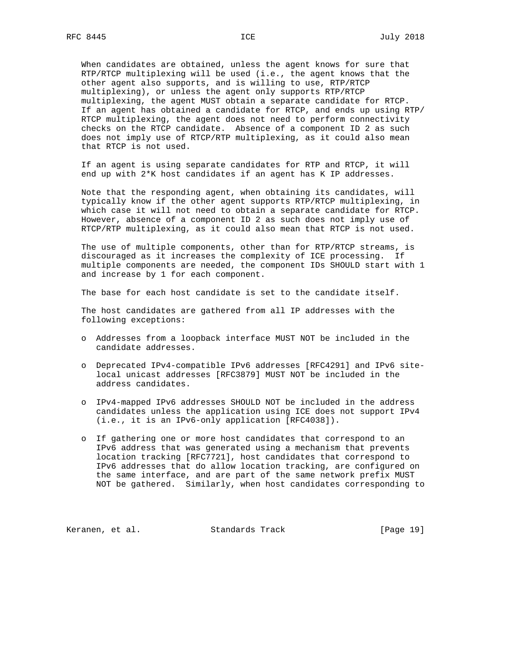When candidates are obtained, unless the agent knows for sure that RTP/RTCP multiplexing will be used (i.e., the agent knows that the other agent also supports, and is willing to use, RTP/RTCP multiplexing), or unless the agent only supports RTP/RTCP multiplexing, the agent MUST obtain a separate candidate for RTCP. If an agent has obtained a candidate for RTCP, and ends up using RTP/ RTCP multiplexing, the agent does not need to perform connectivity checks on the RTCP candidate. Absence of a component ID 2 as such does not imply use of RTCP/RTP multiplexing, as it could also mean that RTCP is not used.

 If an agent is using separate candidates for RTP and RTCP, it will end up with 2\*K host candidates if an agent has K IP addresses.

 Note that the responding agent, when obtaining its candidates, will typically know if the other agent supports RTP/RTCP multiplexing, in which case it will not need to obtain a separate candidate for RTCP. However, absence of a component ID 2 as such does not imply use of RTCP/RTP multiplexing, as it could also mean that RTCP is not used.

 The use of multiple components, other than for RTP/RTCP streams, is discouraged as it increases the complexity of ICE processing. If multiple components are needed, the component IDs SHOULD start with 1 and increase by 1 for each component.

The base for each host candidate is set to the candidate itself.

 The host candidates are gathered from all IP addresses with the following exceptions:

- o Addresses from a loopback interface MUST NOT be included in the candidate addresses.
- o Deprecated IPv4-compatible IPv6 addresses [RFC4291] and IPv6 site local unicast addresses [RFC3879] MUST NOT be included in the address candidates.
- o IPv4-mapped IPv6 addresses SHOULD NOT be included in the address candidates unless the application using ICE does not support IPv4 (i.e., it is an IPv6-only application [RFC4038]).
- o If gathering one or more host candidates that correspond to an IPv6 address that was generated using a mechanism that prevents location tracking [RFC7721], host candidates that correspond to IPv6 addresses that do allow location tracking, are configured on the same interface, and are part of the same network prefix MUST NOT be gathered. Similarly, when host candidates corresponding to

Keranen, et al. Standards Track [Page 19]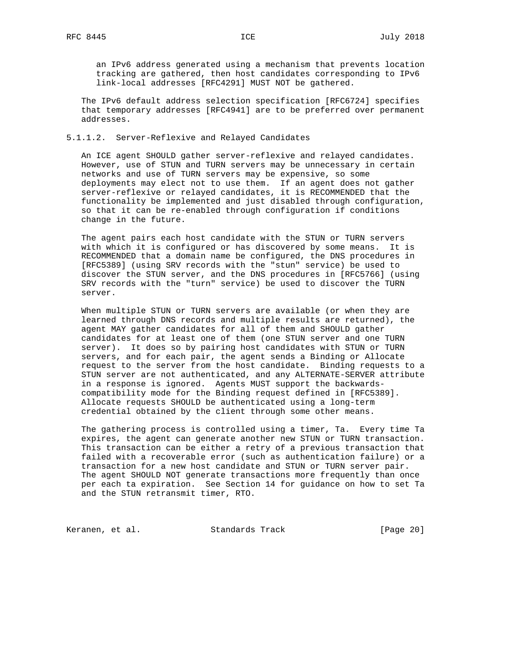an IPv6 address generated using a mechanism that prevents location tracking are gathered, then host candidates corresponding to IPv6 link-local addresses [RFC4291] MUST NOT be gathered.

 The IPv6 default address selection specification [RFC6724] specifies that temporary addresses [RFC4941] are to be preferred over permanent addresses.

## 5.1.1.2. Server-Reflexive and Relayed Candidates

 An ICE agent SHOULD gather server-reflexive and relayed candidates. However, use of STUN and TURN servers may be unnecessary in certain networks and use of TURN servers may be expensive, so some deployments may elect not to use them. If an agent does not gather server-reflexive or relayed candidates, it is RECOMMENDED that the functionality be implemented and just disabled through configuration, so that it can be re-enabled through configuration if conditions change in the future.

 The agent pairs each host candidate with the STUN or TURN servers with which it is configured or has discovered by some means. It is RECOMMENDED that a domain name be configured, the DNS procedures in [RFC5389] (using SRV records with the "stun" service) be used to discover the STUN server, and the DNS procedures in [RFC5766] (using SRV records with the "turn" service) be used to discover the TURN server.

 When multiple STUN or TURN servers are available (or when they are learned through DNS records and multiple results are returned), the agent MAY gather candidates for all of them and SHOULD gather candidates for at least one of them (one STUN server and one TURN server). It does so by pairing host candidates with STUN or TURN servers, and for each pair, the agent sends a Binding or Allocate request to the server from the host candidate. Binding requests to a STUN server are not authenticated, and any ALTERNATE-SERVER attribute in a response is ignored. Agents MUST support the backwards compatibility mode for the Binding request defined in [RFC5389]. Allocate requests SHOULD be authenticated using a long-term credential obtained by the client through some other means.

 The gathering process is controlled using a timer, Ta. Every time Ta expires, the agent can generate another new STUN or TURN transaction. This transaction can be either a retry of a previous transaction that failed with a recoverable error (such as authentication failure) or a transaction for a new host candidate and STUN or TURN server pair. The agent SHOULD NOT generate transactions more frequently than once per each ta expiration. See Section 14 for guidance on how to set Ta and the STUN retransmit timer, RTO.

Keranen, et al. Standards Track [Page 20]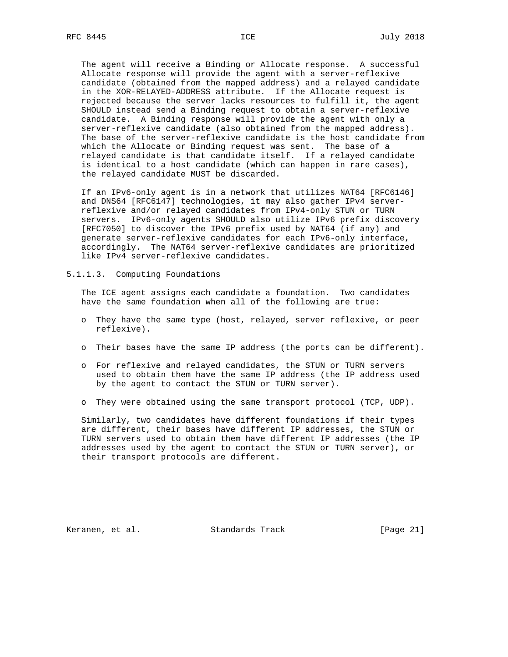The agent will receive a Binding or Allocate response. A successful Allocate response will provide the agent with a server-reflexive candidate (obtained from the mapped address) and a relayed candidate in the XOR-RELAYED-ADDRESS attribute. If the Allocate request is rejected because the server lacks resources to fulfill it, the agent SHOULD instead send a Binding request to obtain a server-reflexive candidate. A Binding response will provide the agent with only a server-reflexive candidate (also obtained from the mapped address). The base of the server-reflexive candidate is the host candidate from which the Allocate or Binding request was sent. The base of a relayed candidate is that candidate itself. If a relayed candidate is identical to a host candidate (which can happen in rare cases), the relayed candidate MUST be discarded.

 If an IPv6-only agent is in a network that utilizes NAT64 [RFC6146] and DNS64 [RFC6147] technologies, it may also gather IPv4 server reflexive and/or relayed candidates from IPv4-only STUN or TURN servers. IPv6-only agents SHOULD also utilize IPv6 prefix discovery [RFC7050] to discover the IPv6 prefix used by NAT64 (if any) and generate server-reflexive candidates for each IPv6-only interface, accordingly. The NAT64 server-reflexive candidates are prioritized like IPv4 server-reflexive candidates.

5.1.1.3. Computing Foundations

 The ICE agent assigns each candidate a foundation. Two candidates have the same foundation when all of the following are true:

- o They have the same type (host, relayed, server reflexive, or peer reflexive).
- o Their bases have the same IP address (the ports can be different).
- o For reflexive and relayed candidates, the STUN or TURN servers used to obtain them have the same IP address (the IP address used by the agent to contact the STUN or TURN server).
- o They were obtained using the same transport protocol (TCP, UDP).

 Similarly, two candidates have different foundations if their types are different, their bases have different IP addresses, the STUN or TURN servers used to obtain them have different IP addresses (the IP addresses used by the agent to contact the STUN or TURN server), or their transport protocols are different.

Keranen, et al. Standards Track [Page 21]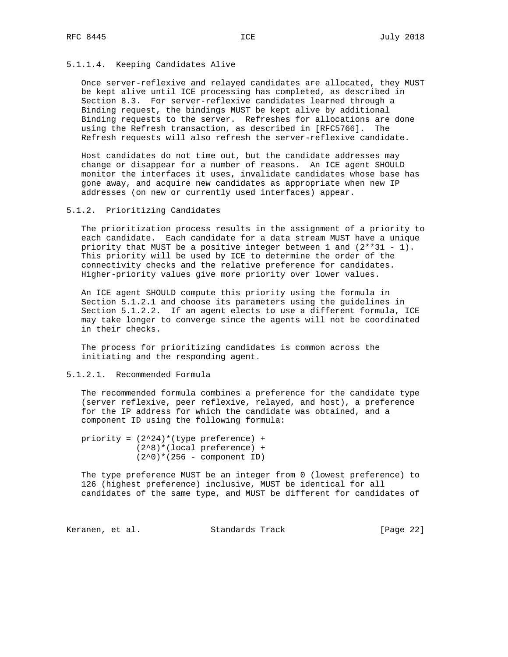# 5.1.1.4. Keeping Candidates Alive

 Once server-reflexive and relayed candidates are allocated, they MUST be kept alive until ICE processing has completed, as described in Section 8.3. For server-reflexive candidates learned through a Binding request, the bindings MUST be kept alive by additional Binding requests to the server. Refreshes for allocations are done using the Refresh transaction, as described in [RFC5766]. The Refresh requests will also refresh the server-reflexive candidate.

 Host candidates do not time out, but the candidate addresses may change or disappear for a number of reasons. An ICE agent SHOULD monitor the interfaces it uses, invalidate candidates whose base has gone away, and acquire new candidates as appropriate when new IP addresses (on new or currently used interfaces) appear.

## 5.1.2. Prioritizing Candidates

 The prioritization process results in the assignment of a priority to each candidate. Each candidate for a data stream MUST have a unique priority that MUST be a positive integer between  $1$  and  $(2**31 - 1)$ . This priority will be used by ICE to determine the order of the connectivity checks and the relative preference for candidates. Higher-priority values give more priority over lower values.

 An ICE agent SHOULD compute this priority using the formula in Section 5.1.2.1 and choose its parameters using the guidelines in Section 5.1.2.2. If an agent elects to use a different formula, ICE may take longer to converge since the agents will not be coordinated in their checks.

 The process for prioritizing candidates is common across the initiating and the responding agent.

## 5.1.2.1. Recommended Formula

 The recommended formula combines a preference for the candidate type (server reflexive, peer reflexive, relayed, and host), a preference for the IP address for which the candidate was obtained, and a component ID using the following formula:

priority =  $(2^24)*(type preference)$  + (2^8)\*(local preference) +  $(2^0)* (256 - component ID)$ 

 The type preference MUST be an integer from 0 (lowest preference) to 126 (highest preference) inclusive, MUST be identical for all candidates of the same type, and MUST be different for candidates of

Keranen, et al. Standards Track [Page 22]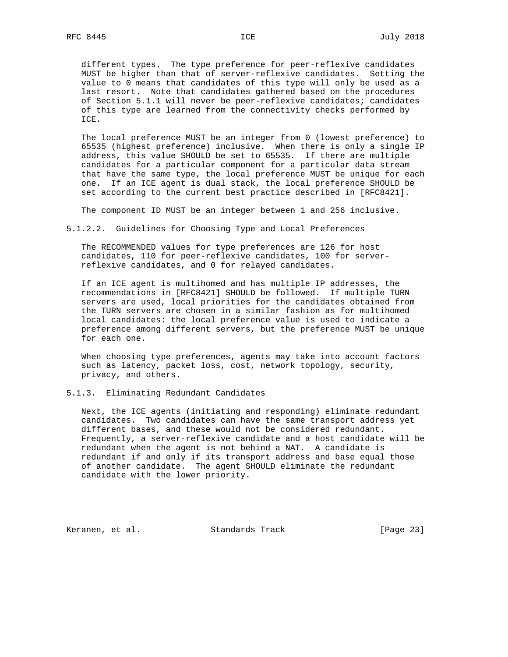different types. The type preference for peer-reflexive candidates MUST be higher than that of server-reflexive candidates. Setting the value to 0 means that candidates of this type will only be used as a last resort. Note that candidates gathered based on the procedures of Section 5.1.1 will never be peer-reflexive candidates; candidates of this type are learned from the connectivity checks performed by ICE.

 The local preference MUST be an integer from 0 (lowest preference) to 65535 (highest preference) inclusive. When there is only a single IP address, this value SHOULD be set to 65535. If there are multiple candidates for a particular component for a particular data stream that have the same type, the local preference MUST be unique for each one. If an ICE agent is dual stack, the local preference SHOULD be set according to the current best practice described in [RFC8421].

The component ID MUST be an integer between 1 and 256 inclusive.

5.1.2.2. Guidelines for Choosing Type and Local Preferences

 The RECOMMENDED values for type preferences are 126 for host candidates, 110 for peer-reflexive candidates, 100 for server reflexive candidates, and 0 for relayed candidates.

 If an ICE agent is multihomed and has multiple IP addresses, the recommendations in [RFC8421] SHOULD be followed. If multiple TURN servers are used, local priorities for the candidates obtained from the TURN servers are chosen in a similar fashion as for multihomed local candidates: the local preference value is used to indicate a preference among different servers, but the preference MUST be unique for each one.

 When choosing type preferences, agents may take into account factors such as latency, packet loss, cost, network topology, security, privacy, and others.

5.1.3. Eliminating Redundant Candidates

 Next, the ICE agents (initiating and responding) eliminate redundant candidates. Two candidates can have the same transport address yet different bases, and these would not be considered redundant. Frequently, a server-reflexive candidate and a host candidate will be redundant when the agent is not behind a NAT. A candidate is redundant if and only if its transport address and base equal those of another candidate. The agent SHOULD eliminate the redundant candidate with the lower priority.

Keranen, et al. Standards Track [Page 23]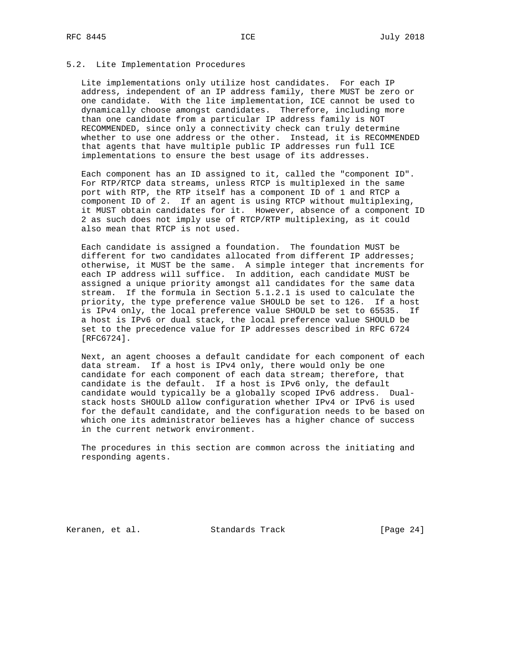#### 5.2. Lite Implementation Procedures

 Lite implementations only utilize host candidates. For each IP address, independent of an IP address family, there MUST be zero or one candidate. With the lite implementation, ICE cannot be used to dynamically choose amongst candidates. Therefore, including more than one candidate from a particular IP address family is NOT RECOMMENDED, since only a connectivity check can truly determine whether to use one address or the other. Instead, it is RECOMMENDED that agents that have multiple public IP addresses run full ICE implementations to ensure the best usage of its addresses.

 Each component has an ID assigned to it, called the "component ID". For RTP/RTCP data streams, unless RTCP is multiplexed in the same port with RTP, the RTP itself has a component ID of 1 and RTCP a component ID of 2. If an agent is using RTCP without multiplexing, it MUST obtain candidates for it. However, absence of a component ID 2 as such does not imply use of RTCP/RTP multiplexing, as it could also mean that RTCP is not used.

 Each candidate is assigned a foundation. The foundation MUST be different for two candidates allocated from different IP addresses; otherwise, it MUST be the same. A simple integer that increments for each IP address will suffice. In addition, each candidate MUST be assigned a unique priority amongst all candidates for the same data stream. If the formula in Section 5.1.2.1 is used to calculate the priority, the type preference value SHOULD be set to 126. If a host is IPv4 only, the local preference value SHOULD be set to 65535. If a host is IPv6 or dual stack, the local preference value SHOULD be set to the precedence value for IP addresses described in RFC 6724 [RFC6724].

 Next, an agent chooses a default candidate for each component of each data stream. If a host is IPv4 only, there would only be one candidate for each component of each data stream; therefore, that candidate is the default. If a host is IPv6 only, the default candidate would typically be a globally scoped IPv6 address. Dual stack hosts SHOULD allow configuration whether IPv4 or IPv6 is used for the default candidate, and the configuration needs to be based on which one its administrator believes has a higher chance of success in the current network environment.

 The procedures in this section are common across the initiating and responding agents.

Keranen, et al. Standards Track [Page 24]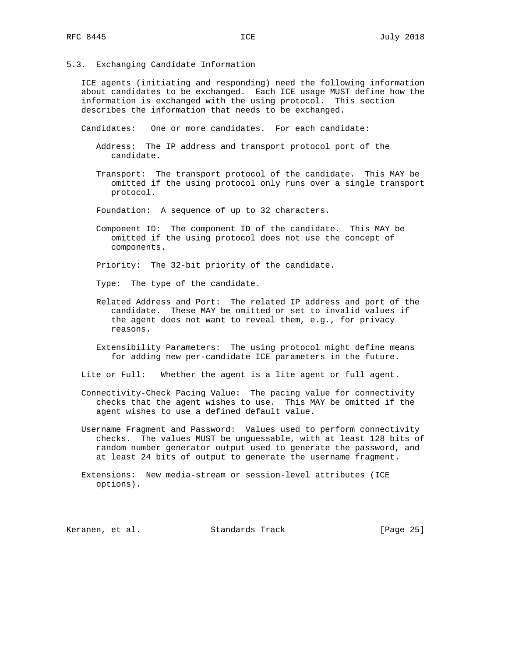5.3. Exchanging Candidate Information

 ICE agents (initiating and responding) need the following information about candidates to be exchanged. Each ICE usage MUST define how the information is exchanged with the using protocol. This section describes the information that needs to be exchanged.

Candidates: One or more candidates. For each candidate:

- Address: The IP address and transport protocol port of the candidate.
- Transport: The transport protocol of the candidate. This MAY be omitted if the using protocol only runs over a single transport protocol.
- Foundation: A sequence of up to 32 characters.
- Component ID: The component ID of the candidate. This MAY be omitted if the using protocol does not use the concept of components.

Priority: The 32-bit priority of the candidate.

Type: The type of the candidate.

- Related Address and Port: The related IP address and port of the candidate. These MAY be omitted or set to invalid values if the agent does not want to reveal them, e.g., for privacy reasons.
- Extensibility Parameters: The using protocol might define means for adding new per-candidate ICE parameters in the future.

Lite or Full: Whether the agent is a lite agent or full agent.

- Connectivity-Check Pacing Value: The pacing value for connectivity checks that the agent wishes to use. This MAY be omitted if the agent wishes to use a defined default value.
- Username Fragment and Password: Values used to perform connectivity checks. The values MUST be unguessable, with at least 128 bits of random number generator output used to generate the password, and at least 24 bits of output to generate the username fragment.
- Extensions: New media-stream or session-level attributes (ICE options).

Keranen, et al. Standards Track [Page 25]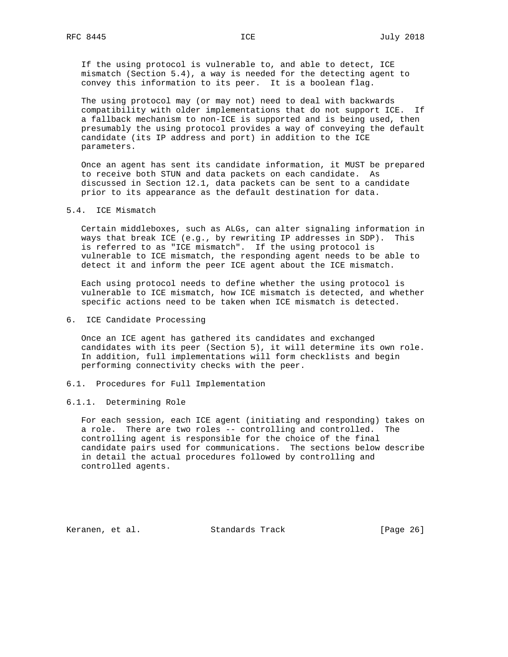If the using protocol is vulnerable to, and able to detect, ICE mismatch (Section 5.4), a way is needed for the detecting agent to convey this information to its peer. It is a boolean flag.

 The using protocol may (or may not) need to deal with backwards compatibility with older implementations that do not support ICE. If a fallback mechanism to non-ICE is supported and is being used, then presumably the using protocol provides a way of conveying the default candidate (its IP address and port) in addition to the ICE parameters.

 Once an agent has sent its candidate information, it MUST be prepared to receive both STUN and data packets on each candidate. As discussed in Section 12.1, data packets can be sent to a candidate prior to its appearance as the default destination for data.

5.4. ICE Mismatch

 Certain middleboxes, such as ALGs, can alter signaling information in ways that break ICE (e.g., by rewriting IP addresses in SDP). This is referred to as "ICE mismatch". If the using protocol is vulnerable to ICE mismatch, the responding agent needs to be able to detect it and inform the peer ICE agent about the ICE mismatch.

 Each using protocol needs to define whether the using protocol is vulnerable to ICE mismatch, how ICE mismatch is detected, and whether specific actions need to be taken when ICE mismatch is detected.

6. ICE Candidate Processing

 Once an ICE agent has gathered its candidates and exchanged candidates with its peer (Section 5), it will determine its own role. In addition, full implementations will form checklists and begin performing connectivity checks with the peer.

6.1. Procedures for Full Implementation

#### 6.1.1. Determining Role

 For each session, each ICE agent (initiating and responding) takes on a role. There are two roles -- controlling and controlled. The controlling agent is responsible for the choice of the final candidate pairs used for communications. The sections below describe in detail the actual procedures followed by controlling and controlled agents.

Keranen, et al. Standards Track [Page 26]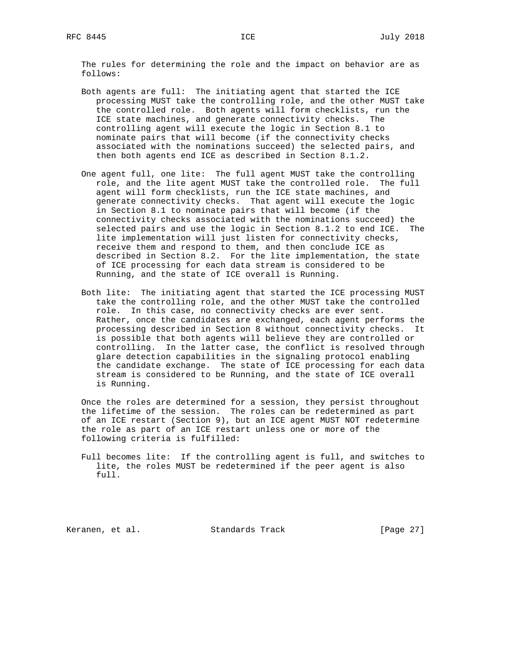The rules for determining the role and the impact on behavior are as follows:

- Both agents are full: The initiating agent that started the ICE processing MUST take the controlling role, and the other MUST take the controlled role. Both agents will form checklists, run the ICE state machines, and generate connectivity checks. The controlling agent will execute the logic in Section 8.1 to nominate pairs that will become (if the connectivity checks associated with the nominations succeed) the selected pairs, and then both agents end ICE as described in Section 8.1.2.
- One agent full, one lite: The full agent MUST take the controlling role, and the lite agent MUST take the controlled role. The full agent will form checklists, run the ICE state machines, and generate connectivity checks. That agent will execute the logic in Section 8.1 to nominate pairs that will become (if the connectivity checks associated with the nominations succeed) the selected pairs and use the logic in Section 8.1.2 to end ICE. The lite implementation will just listen for connectivity checks, receive them and respond to them, and then conclude ICE as described in Section 8.2. For the lite implementation, the state of ICE processing for each data stream is considered to be Running, and the state of ICE overall is Running.
- Both lite: The initiating agent that started the ICE processing MUST take the controlling role, and the other MUST take the controlled role. In this case, no connectivity checks are ever sent. Rather, once the candidates are exchanged, each agent performs the processing described in Section 8 without connectivity checks. It is possible that both agents will believe they are controlled or controlling. In the latter case, the conflict is resolved through glare detection capabilities in the signaling protocol enabling the candidate exchange. The state of ICE processing for each data stream is considered to be Running, and the state of ICE overall is Running.

 Once the roles are determined for a session, they persist throughout the lifetime of the session. The roles can be redetermined as part of an ICE restart (Section 9), but an ICE agent MUST NOT redetermine the role as part of an ICE restart unless one or more of the following criteria is fulfilled:

 Full becomes lite: If the controlling agent is full, and switches to lite, the roles MUST be redetermined if the peer agent is also full.

Keranen, et al. Standards Track [Page 27]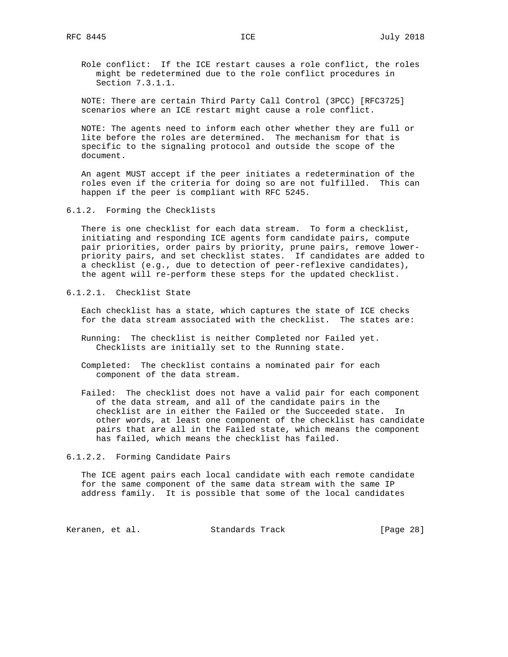Role conflict: If the ICE restart causes a role conflict, the roles might be redetermined due to the role conflict procedures in Section 7.3.1.1.

 NOTE: There are certain Third Party Call Control (3PCC) [RFC3725] scenarios where an ICE restart might cause a role conflict.

 NOTE: The agents need to inform each other whether they are full or lite before the roles are determined. The mechanism for that is specific to the signaling protocol and outside the scope of the document.

 An agent MUST accept if the peer initiates a redetermination of the roles even if the criteria for doing so are not fulfilled. This can happen if the peer is compliant with RFC 5245.

6.1.2. Forming the Checklists

 There is one checklist for each data stream. To form a checklist, initiating and responding ICE agents form candidate pairs, compute pair priorities, order pairs by priority, prune pairs, remove lower priority pairs, and set checklist states. If candidates are added to a checklist (e.g., due to detection of peer-reflexive candidates), the agent will re-perform these steps for the updated checklist.

6.1.2.1. Checklist State

 Each checklist has a state, which captures the state of ICE checks for the data stream associated with the checklist. The states are:

- Running: The checklist is neither Completed nor Failed yet. Checklists are initially set to the Running state.
- Completed: The checklist contains a nominated pair for each component of the data stream.
- Failed: The checklist does not have a valid pair for each component of the data stream, and all of the candidate pairs in the checklist are in either the Failed or the Succeeded state. In other words, at least one component of the checklist has candidate pairs that are all in the Failed state, which means the component has failed, which means the checklist has failed.

#### 6.1.2.2. Forming Candidate Pairs

 The ICE agent pairs each local candidate with each remote candidate for the same component of the same data stream with the same IP address family. It is possible that some of the local candidates

Keranen, et al. Standards Track [Page 28]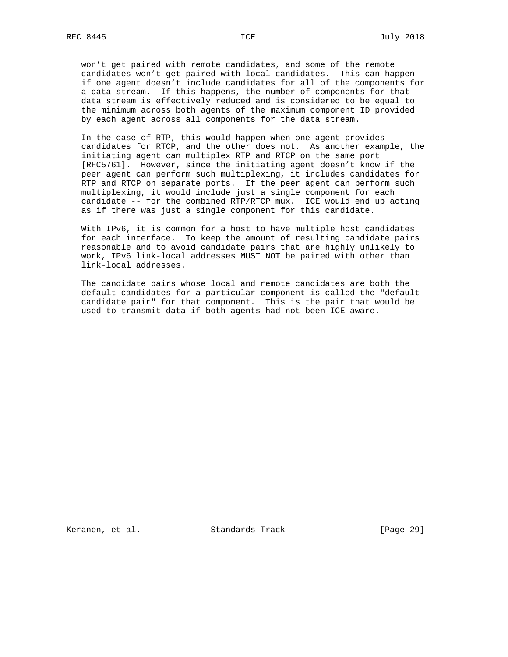won't get paired with remote candidates, and some of the remote candidates won't get paired with local candidates. This can happen if one agent doesn't include candidates for all of the components for a data stream. If this happens, the number of components for that data stream is effectively reduced and is considered to be equal to the minimum across both agents of the maximum component ID provided by each agent across all components for the data stream.

 In the case of RTP, this would happen when one agent provides candidates for RTCP, and the other does not. As another example, the initiating agent can multiplex RTP and RTCP on the same port [RFC5761]. However, since the initiating agent doesn't know if the peer agent can perform such multiplexing, it includes candidates for RTP and RTCP on separate ports. If the peer agent can perform such multiplexing, it would include just a single component for each candidate -- for the combined RTP/RTCP mux. ICE would end up acting as if there was just a single component for this candidate.

 With IPv6, it is common for a host to have multiple host candidates for each interface. To keep the amount of resulting candidate pairs reasonable and to avoid candidate pairs that are highly unlikely to work, IPv6 link-local addresses MUST NOT be paired with other than link-local addresses.

 The candidate pairs whose local and remote candidates are both the default candidates for a particular component is called the "default candidate pair" for that component. This is the pair that would be used to transmit data if both agents had not been ICE aware.

Keranen, et al. Standards Track [Page 29]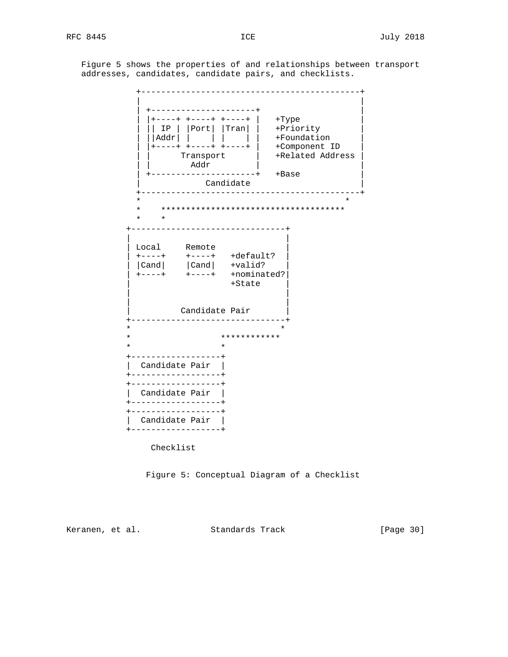Figure 5 shows the properties of and relationships between transport addresses, candidates, candidate pairs, and checklists.



Figure 5: Conceptual Diagram of a Checklist

Keranen, et al. Standards Track [Page 30]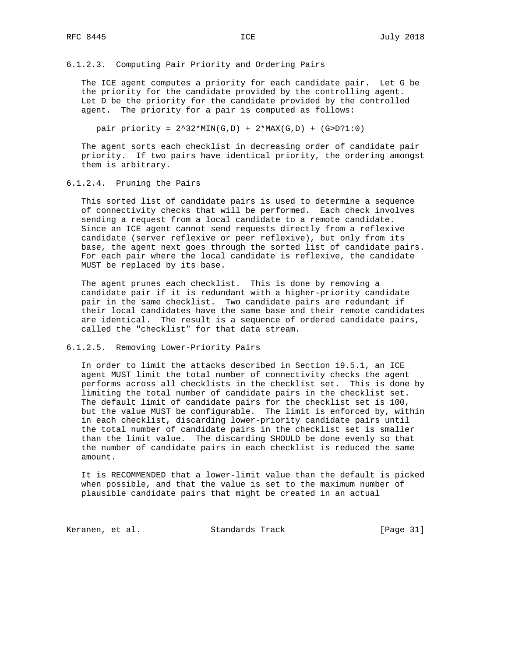6.1.2.3. Computing Pair Priority and Ordering Pairs

 The ICE agent computes a priority for each candidate pair. Let G be the priority for the candidate provided by the controlling agent. Let D be the priority for the candidate provided by the controlled agent. The priority for a pair is computed as follows:

pair priority =  $2^32*MIN(G,D) + 2*MAX(G,D) + (G>D?1:0)$ 

 The agent sorts each checklist in decreasing order of candidate pair priority. If two pairs have identical priority, the ordering amongst them is arbitrary.

6.1.2.4. Pruning the Pairs

 This sorted list of candidate pairs is used to determine a sequence of connectivity checks that will be performed. Each check involves sending a request from a local candidate to a remote candidate. Since an ICE agent cannot send requests directly from a reflexive candidate (server reflexive or peer reflexive), but only from its base, the agent next goes through the sorted list of candidate pairs. For each pair where the local candidate is reflexive, the candidate MUST be replaced by its base.

 The agent prunes each checklist. This is done by removing a candidate pair if it is redundant with a higher-priority candidate pair in the same checklist. Two candidate pairs are redundant if their local candidates have the same base and their remote candidates are identical. The result is a sequence of ordered candidate pairs, called the "checklist" for that data stream.

#### 6.1.2.5. Removing Lower-Priority Pairs

 In order to limit the attacks described in Section 19.5.1, an ICE agent MUST limit the total number of connectivity checks the agent performs across all checklists in the checklist set. This is done by limiting the total number of candidate pairs in the checklist set. The default limit of candidate pairs for the checklist set is 100, but the value MUST be configurable. The limit is enforced by, within in each checklist, discarding lower-priority candidate pairs until the total number of candidate pairs in the checklist set is smaller than the limit value. The discarding SHOULD be done evenly so that the number of candidate pairs in each checklist is reduced the same amount.

 It is RECOMMENDED that a lower-limit value than the default is picked when possible, and that the value is set to the maximum number of plausible candidate pairs that might be created in an actual

Keranen, et al. Standards Track [Page 31]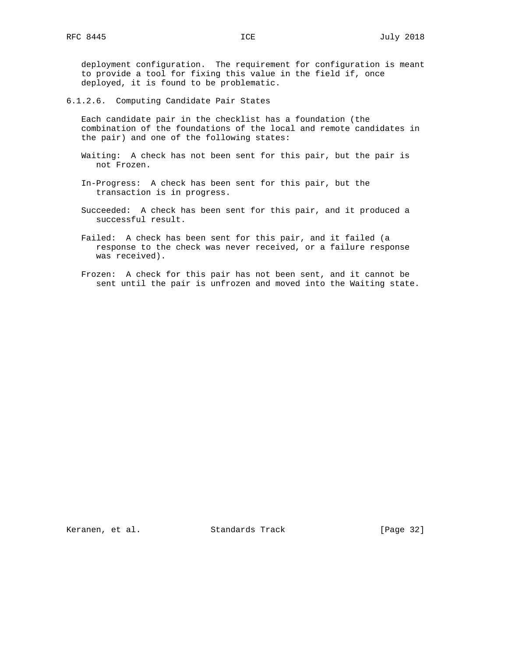deployment configuration. The requirement for configuration is meant to provide a tool for fixing this value in the field if, once deployed, it is found to be problematic.

6.1.2.6. Computing Candidate Pair States

 Each candidate pair in the checklist has a foundation (the combination of the foundations of the local and remote candidates in the pair) and one of the following states:

- Waiting: A check has not been sent for this pair, but the pair is not Frozen.
- In-Progress: A check has been sent for this pair, but the transaction is in progress.
- Succeeded: A check has been sent for this pair, and it produced a successful result.
- Failed: A check has been sent for this pair, and it failed (a response to the check was never received, or a failure response was received).
- Frozen: A check for this pair has not been sent, and it cannot be sent until the pair is unfrozen and moved into the Waiting state.

Keranen, et al. Standards Track [Page 32]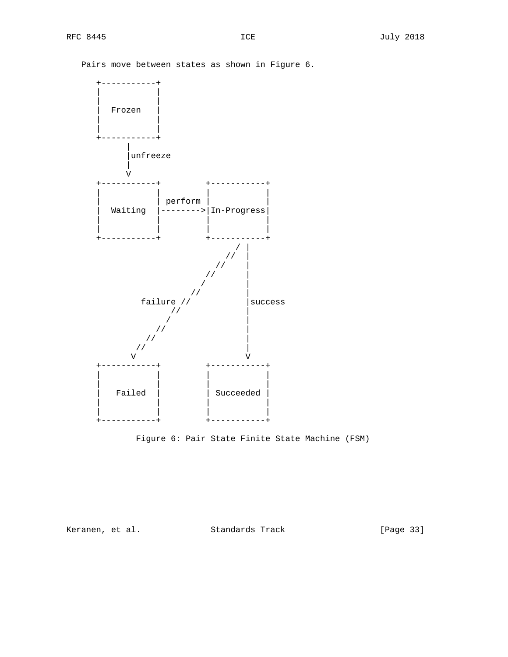Pairs move between states as shown in Figure 6.





Keranen, et al. Standards Track [Page 33]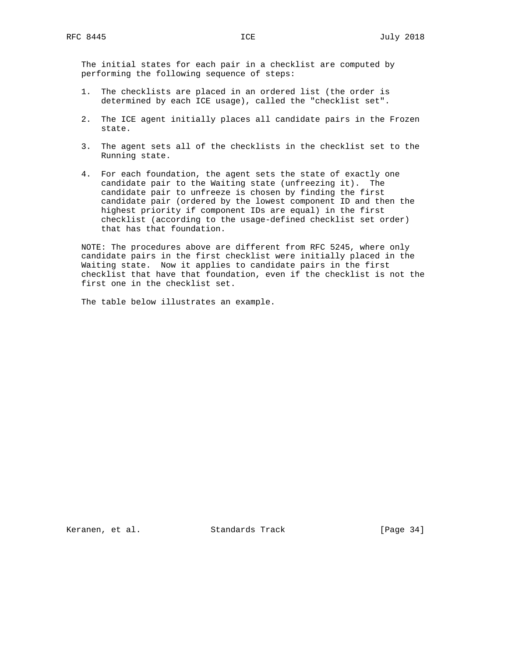The initial states for each pair in a checklist are computed by performing the following sequence of steps:

- 1. The checklists are placed in an ordered list (the order is determined by each ICE usage), called the "checklist set".
- 2. The ICE agent initially places all candidate pairs in the Frozen state.
- 3. The agent sets all of the checklists in the checklist set to the Running state.
- 4. For each foundation, the agent sets the state of exactly one candidate pair to the Waiting state (unfreezing it). The candidate pair to unfreeze is chosen by finding the first candidate pair (ordered by the lowest component ID and then the highest priority if component IDs are equal) in the first checklist (according to the usage-defined checklist set order) that has that foundation.

 NOTE: The procedures above are different from RFC 5245, where only candidate pairs in the first checklist were initially placed in the Waiting state. Now it applies to candidate pairs in the first checklist that have that foundation, even if the checklist is not the first one in the checklist set.

The table below illustrates an example.

Keranen, et al. Standards Track [Page 34]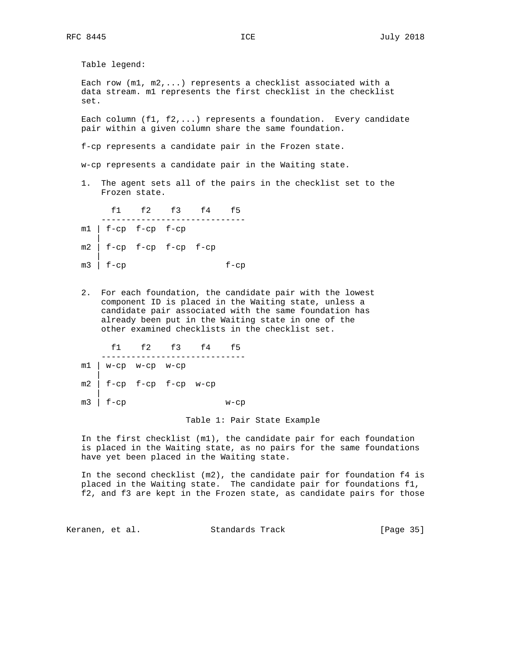Table legend: Each row  $(m1, m2, ...)$  represents a checklist associated with a data stream. m1 represents the first checklist in the checklist set. Each column (f1, f2,...) represents a foundation. Every candidate pair within a given column share the same foundation. f-cp represents a candidate pair in the Frozen state. w-cp represents a candidate pair in the Waiting state. 1. The agent sets all of the pairs in the checklist set to the Frozen state. f1 f2 f3 f4 f5 ---------------------------- m1 | f-cp f-cp f-cp | m2 | f-cp f-cp f-cp f-cp |  $m3$  |  $f-cp$   $f-cp$ 

 2. For each foundation, the candidate pair with the lowest component ID is placed in the Waiting state, unless a candidate pair associated with the same foundation has already been put in the Waiting state in one of the

other examined checklists in the checklist set.

 f1 f2 f3 f4 f5 ---------------------------- m1 | w-cp w-cp w-cp |  $m2$  |  $f-cp$   $f-cp$   $f-cp$   $w-cp$  | m3 | f-cp w-cp

## Table 1: Pair State Example

 In the first checklist (m1), the candidate pair for each foundation is placed in the Waiting state, as no pairs for the same foundations have yet been placed in the Waiting state.

 In the second checklist (m2), the candidate pair for foundation f4 is placed in the Waiting state. The candidate pair for foundations f1, f2, and f3 are kept in the Frozen state, as candidate pairs for those

Keranen, et al. Standards Track [Page 35]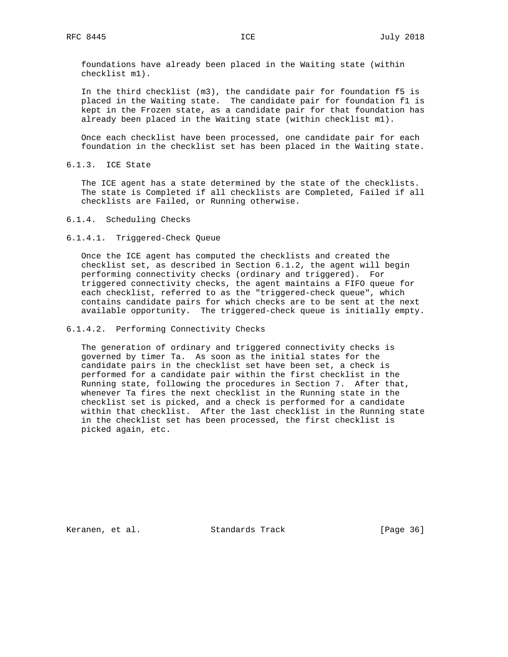foundations have already been placed in the Waiting state (within checklist m1).

 In the third checklist (m3), the candidate pair for foundation f5 is placed in the Waiting state. The candidate pair for foundation f1 is kept in the Frozen state, as a candidate pair for that foundation has already been placed in the Waiting state (within checklist m1).

 Once each checklist have been processed, one candidate pair for each foundation in the checklist set has been placed in the Waiting state.

6.1.3. ICE State

 The ICE agent has a state determined by the state of the checklists. The state is Completed if all checklists are Completed, Failed if all checklists are Failed, or Running otherwise.

6.1.4. Scheduling Checks

6.1.4.1. Triggered-Check Queue

 Once the ICE agent has computed the checklists and created the checklist set, as described in Section 6.1.2, the agent will begin performing connectivity checks (ordinary and triggered). For triggered connectivity checks, the agent maintains a FIFO queue for each checklist, referred to as the "triggered-check queue", which contains candidate pairs for which checks are to be sent at the next available opportunity. The triggered-check queue is initially empty.

6.1.4.2. Performing Connectivity Checks

 The generation of ordinary and triggered connectivity checks is governed by timer Ta. As soon as the initial states for the candidate pairs in the checklist set have been set, a check is performed for a candidate pair within the first checklist in the Running state, following the procedures in Section 7. After that, whenever Ta fires the next checklist in the Running state in the checklist set is picked, and a check is performed for a candidate within that checklist. After the last checklist in the Running state in the checklist set has been processed, the first checklist is picked again, etc.

Keranen, et al. Standards Track [Page 36]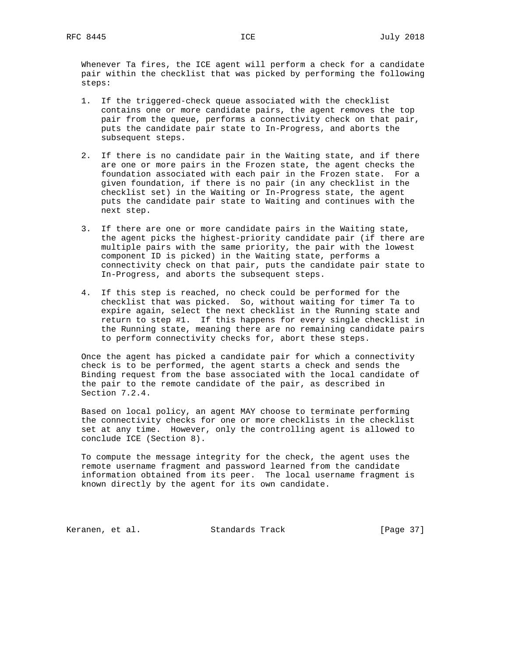Whenever Ta fires, the ICE agent will perform a check for a candidate pair within the checklist that was picked by performing the following steps:

- 1. If the triggered-check queue associated with the checklist contains one or more candidate pairs, the agent removes the top pair from the queue, performs a connectivity check on that pair, puts the candidate pair state to In-Progress, and aborts the subsequent steps.
- 2. If there is no candidate pair in the Waiting state, and if there are one or more pairs in the Frozen state, the agent checks the foundation associated with each pair in the Frozen state. For a given foundation, if there is no pair (in any checklist in the checklist set) in the Waiting or In-Progress state, the agent puts the candidate pair state to Waiting and continues with the next step.
- 3. If there are one or more candidate pairs in the Waiting state, the agent picks the highest-priority candidate pair (if there are multiple pairs with the same priority, the pair with the lowest component ID is picked) in the Waiting state, performs a connectivity check on that pair, puts the candidate pair state to In-Progress, and aborts the subsequent steps.
- 4. If this step is reached, no check could be performed for the checklist that was picked. So, without waiting for timer Ta to expire again, select the next checklist in the Running state and return to step #1. If this happens for every single checklist in the Running state, meaning there are no remaining candidate pairs to perform connectivity checks for, abort these steps.

 Once the agent has picked a candidate pair for which a connectivity check is to be performed, the agent starts a check and sends the Binding request from the base associated with the local candidate of the pair to the remote candidate of the pair, as described in Section 7.2.4.

 Based on local policy, an agent MAY choose to terminate performing the connectivity checks for one or more checklists in the checklist set at any time. However, only the controlling agent is allowed to conclude ICE (Section 8).

 To compute the message integrity for the check, the agent uses the remote username fragment and password learned from the candidate information obtained from its peer. The local username fragment is known directly by the agent for its own candidate.

Keranen, et al. Standards Track [Page 37]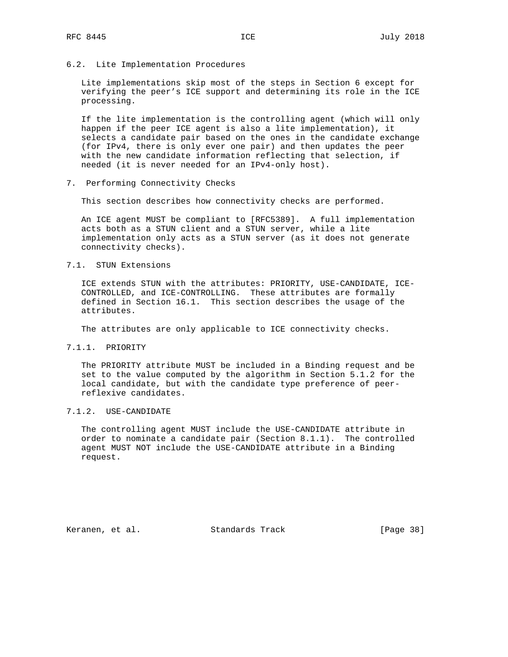6.2. Lite Implementation Procedures

 Lite implementations skip most of the steps in Section 6 except for verifying the peer's ICE support and determining its role in the ICE processing.

 If the lite implementation is the controlling agent (which will only happen if the peer ICE agent is also a lite implementation), it selects a candidate pair based on the ones in the candidate exchange (for IPv4, there is only ever one pair) and then updates the peer with the new candidate information reflecting that selection, if needed (it is never needed for an IPv4-only host).

7. Performing Connectivity Checks

This section describes how connectivity checks are performed.

 An ICE agent MUST be compliant to [RFC5389]. A full implementation acts both as a STUN client and a STUN server, while a lite implementation only acts as a STUN server (as it does not generate connectivity checks).

7.1. STUN Extensions

 ICE extends STUN with the attributes: PRIORITY, USE-CANDIDATE, ICE- CONTROLLED, and ICE-CONTROLLING. These attributes are formally defined in Section 16.1. This section describes the usage of the attributes.

The attributes are only applicable to ICE connectivity checks.

7.1.1. PRIORITY

 The PRIORITY attribute MUST be included in a Binding request and be set to the value computed by the algorithm in Section 5.1.2 for the local candidate, but with the candidate type preference of peer reflexive candidates.

# 7.1.2. USE-CANDIDATE

 The controlling agent MUST include the USE-CANDIDATE attribute in order to nominate a candidate pair (Section 8.1.1). The controlled agent MUST NOT include the USE-CANDIDATE attribute in a Binding request.

Keranen, et al. Standards Track [Page 38]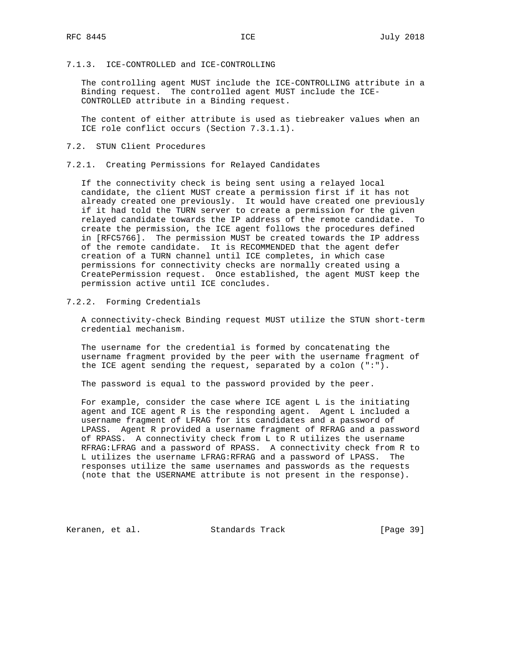# 7.1.3. ICE-CONTROLLED and ICE-CONTROLLING

 The controlling agent MUST include the ICE-CONTROLLING attribute in a Binding request. The controlled agent MUST include the ICE- CONTROLLED attribute in a Binding request.

 The content of either attribute is used as tiebreaker values when an ICE role conflict occurs (Section 7.3.1.1).

## 7.2. STUN Client Procedures

7.2.1. Creating Permissions for Relayed Candidates

 If the connectivity check is being sent using a relayed local candidate, the client MUST create a permission first if it has not already created one previously. It would have created one previously if it had told the TURN server to create a permission for the given relayed candidate towards the IP address of the remote candidate. To create the permission, the ICE agent follows the procedures defined in [RFC5766]. The permission MUST be created towards the IP address of the remote candidate. It is RECOMMENDED that the agent defer creation of a TURN channel until ICE completes, in which case permissions for connectivity checks are normally created using a CreatePermission request. Once established, the agent MUST keep the permission active until ICE concludes.

# 7.2.2. Forming Credentials

 A connectivity-check Binding request MUST utilize the STUN short-term credential mechanism.

 The username for the credential is formed by concatenating the username fragment provided by the peer with the username fragment of the ICE agent sending the request, separated by a colon (":").

The password is equal to the password provided by the peer.

 For example, consider the case where ICE agent L is the initiating agent and ICE agent R is the responding agent. Agent L included a username fragment of LFRAG for its candidates and a password of LPASS. Agent R provided a username fragment of RFRAG and a password of RPASS. A connectivity check from L to R utilizes the username RFRAG:LFRAG and a password of RPASS. A connectivity check from R to L utilizes the username LFRAG:RFRAG and a password of LPASS. The responses utilize the same usernames and passwords as the requests (note that the USERNAME attribute is not present in the response).

Keranen, et al. Standards Track [Page 39]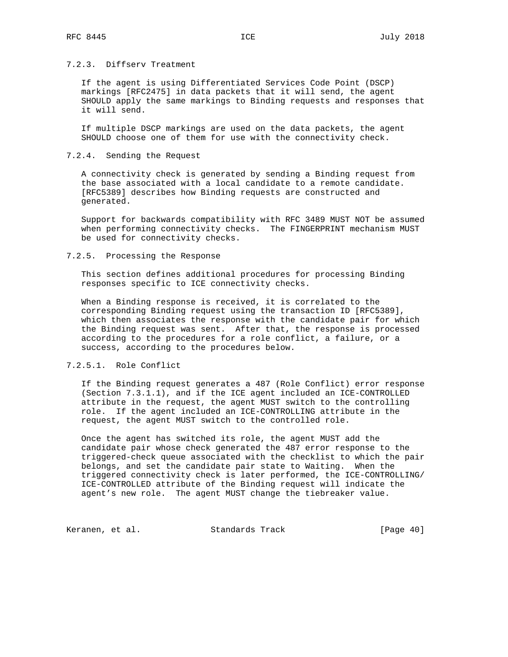# 7.2.3. Diffserv Treatment

 If the agent is using Differentiated Services Code Point (DSCP) markings [RFC2475] in data packets that it will send, the agent SHOULD apply the same markings to Binding requests and responses that it will send.

 If multiple DSCP markings are used on the data packets, the agent SHOULD choose one of them for use with the connectivity check.

## 7.2.4. Sending the Request

 A connectivity check is generated by sending a Binding request from the base associated with a local candidate to a remote candidate. [RFC5389] describes how Binding requests are constructed and generated.

 Support for backwards compatibility with RFC 3489 MUST NOT be assumed when performing connectivity checks. The FINGERPRINT mechanism MUST be used for connectivity checks.

## 7.2.5. Processing the Response

 This section defines additional procedures for processing Binding responses specific to ICE connectivity checks.

 When a Binding response is received, it is correlated to the corresponding Binding request using the transaction ID [RFC5389], which then associates the response with the candidate pair for which the Binding request was sent. After that, the response is processed according to the procedures for a role conflict, a failure, or a success, according to the procedures below.

# 7.2.5.1. Role Conflict

 If the Binding request generates a 487 (Role Conflict) error response (Section 7.3.1.1), and if the ICE agent included an ICE-CONTROLLED attribute in the request, the agent MUST switch to the controlling role. If the agent included an ICE-CONTROLLING attribute in the request, the agent MUST switch to the controlled role.

 Once the agent has switched its role, the agent MUST add the candidate pair whose check generated the 487 error response to the triggered-check queue associated with the checklist to which the pair belongs, and set the candidate pair state to Waiting. When the triggered connectivity check is later performed, the ICE-CONTROLLING/ ICE-CONTROLLED attribute of the Binding request will indicate the agent's new role. The agent MUST change the tiebreaker value.

Keranen, et al. Standards Track [Page 40]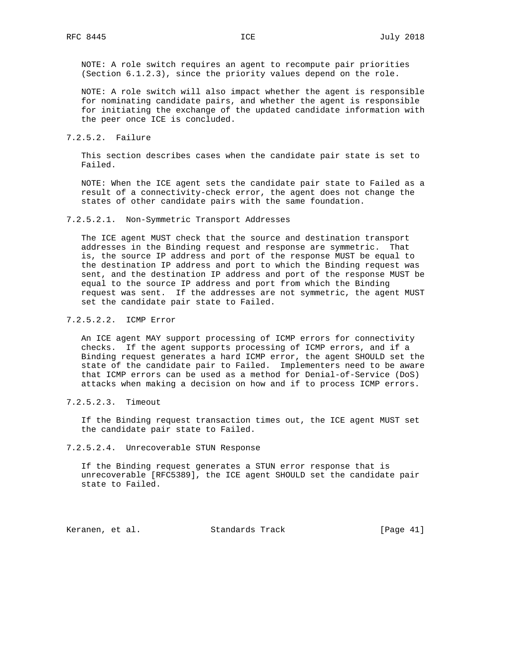NOTE: A role switch requires an agent to recompute pair priorities (Section 6.1.2.3), since the priority values depend on the role.

 NOTE: A role switch will also impact whether the agent is responsible for nominating candidate pairs, and whether the agent is responsible for initiating the exchange of the updated candidate information with the peer once ICE is concluded.

#### 7.2.5.2. Failure

 This section describes cases when the candidate pair state is set to Failed.

 NOTE: When the ICE agent sets the candidate pair state to Failed as a result of a connectivity-check error, the agent does not change the states of other candidate pairs with the same foundation.

#### 7.2.5.2.1. Non-Symmetric Transport Addresses

 The ICE agent MUST check that the source and destination transport addresses in the Binding request and response are symmetric. That is, the source IP address and port of the response MUST be equal to the destination IP address and port to which the Binding request was sent, and the destination IP address and port of the response MUST be equal to the source IP address and port from which the Binding request was sent. If the addresses are not symmetric, the agent MUST set the candidate pair state to Failed.

# 7.2.5.2.2. ICMP Error

 An ICE agent MAY support processing of ICMP errors for connectivity checks. If the agent supports processing of ICMP errors, and if a Binding request generates a hard ICMP error, the agent SHOULD set the state of the candidate pair to Failed. Implementers need to be aware that ICMP errors can be used as a method for Denial-of-Service (DoS) attacks when making a decision on how and if to process ICMP errors.

## 7.2.5.2.3. Timeout

 If the Binding request transaction times out, the ICE agent MUST set the candidate pair state to Failed.

#### 7.2.5.2.4. Unrecoverable STUN Response

 If the Binding request generates a STUN error response that is unrecoverable [RFC5389], the ICE agent SHOULD set the candidate pair state to Failed.

Keranen, et al. Standards Track [Page 41]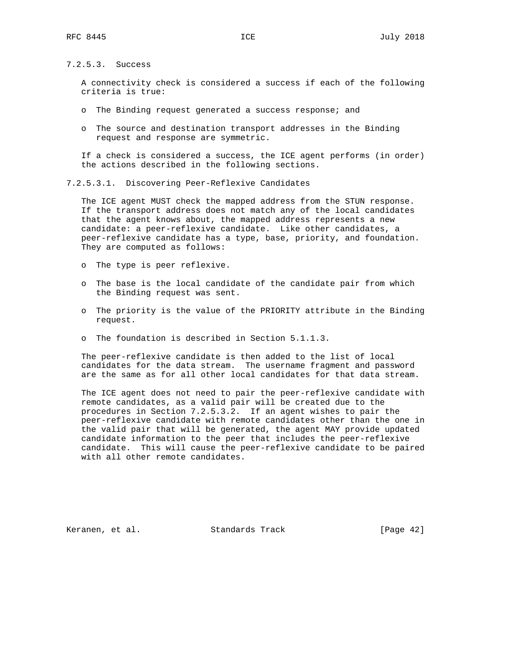7.2.5.3. Success

 A connectivity check is considered a success if each of the following criteria is true:

- o The Binding request generated a success response; and
- o The source and destination transport addresses in the Binding request and response are symmetric.

 If a check is considered a success, the ICE agent performs (in order) the actions described in the following sections.

7.2.5.3.1. Discovering Peer-Reflexive Candidates

 The ICE agent MUST check the mapped address from the STUN response. If the transport address does not match any of the local candidates that the agent knows about, the mapped address represents a new candidate: a peer-reflexive candidate. Like other candidates, a peer-reflexive candidate has a type, base, priority, and foundation. They are computed as follows:

- o The type is peer reflexive.
- o The base is the local candidate of the candidate pair from which the Binding request was sent.
- o The priority is the value of the PRIORITY attribute in the Binding request.
- o The foundation is described in Section 5.1.1.3.

 The peer-reflexive candidate is then added to the list of local candidates for the data stream. The username fragment and password are the same as for all other local candidates for that data stream.

 The ICE agent does not need to pair the peer-reflexive candidate with remote candidates, as a valid pair will be created due to the procedures in Section 7.2.5.3.2. If an agent wishes to pair the peer-reflexive candidate with remote candidates other than the one in the valid pair that will be generated, the agent MAY provide updated candidate information to the peer that includes the peer-reflexive candidate. This will cause the peer-reflexive candidate to be paired with all other remote candidates.

Keranen, et al. Standards Track [Page 42]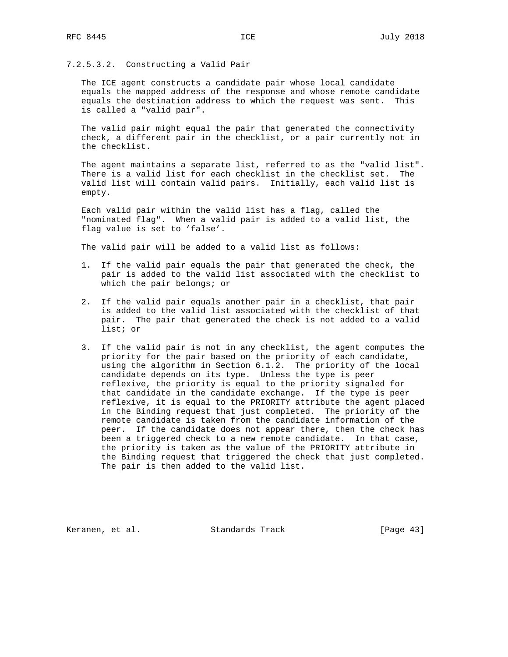# 7.2.5.3.2. Constructing a Valid Pair

 The ICE agent constructs a candidate pair whose local candidate equals the mapped address of the response and whose remote candidate equals the destination address to which the request was sent. This is called a "valid pair".

 The valid pair might equal the pair that generated the connectivity check, a different pair in the checklist, or a pair currently not in the checklist.

 The agent maintains a separate list, referred to as the "valid list". There is a valid list for each checklist in the checklist set. The valid list will contain valid pairs. Initially, each valid list is empty.

 Each valid pair within the valid list has a flag, called the "nominated flag". When a valid pair is added to a valid list, the flag value is set to 'false'.

The valid pair will be added to a valid list as follows:

- 1. If the valid pair equals the pair that generated the check, the pair is added to the valid list associated with the checklist to which the pair belongs; or
- 2. If the valid pair equals another pair in a checklist, that pair is added to the valid list associated with the checklist of that pair. The pair that generated the check is not added to a valid list; or
- 3. If the valid pair is not in any checklist, the agent computes the priority for the pair based on the priority of each candidate, using the algorithm in Section 6.1.2. The priority of the local candidate depends on its type. Unless the type is peer reflexive, the priority is equal to the priority signaled for that candidate in the candidate exchange. If the type is peer reflexive, it is equal to the PRIORITY attribute the agent placed in the Binding request that just completed. The priority of the remote candidate is taken from the candidate information of the peer. If the candidate does not appear there, then the check has been a triggered check to a new remote candidate. In that case, the priority is taken as the value of the PRIORITY attribute in the Binding request that triggered the check that just completed. The pair is then added to the valid list.

Keranen, et al. Standards Track [Page 43]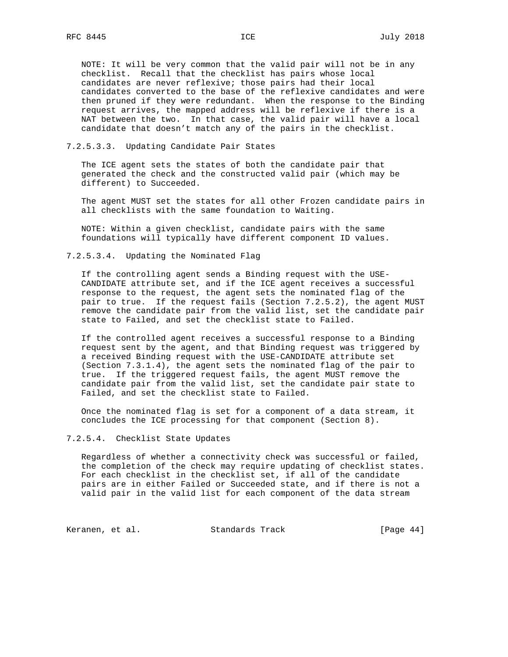NOTE: It will be very common that the valid pair will not be in any checklist. Recall that the checklist has pairs whose local candidates are never reflexive; those pairs had their local candidates converted to the base of the reflexive candidates and were then pruned if they were redundant. When the response to the Binding request arrives, the mapped address will be reflexive if there is a NAT between the two. In that case, the valid pair will have a local candidate that doesn't match any of the pairs in the checklist.

# 7.2.5.3.3. Updating Candidate Pair States

 The ICE agent sets the states of both the candidate pair that generated the check and the constructed valid pair (which may be different) to Succeeded.

 The agent MUST set the states for all other Frozen candidate pairs in all checklists with the same foundation to Waiting.

 NOTE: Within a given checklist, candidate pairs with the same foundations will typically have different component ID values.

7.2.5.3.4. Updating the Nominated Flag

 If the controlling agent sends a Binding request with the USE- CANDIDATE attribute set, and if the ICE agent receives a successful response to the request, the agent sets the nominated flag of the pair to true. If the request fails (Section 7.2.5.2), the agent MUST remove the candidate pair from the valid list, set the candidate pair state to Failed, and set the checklist state to Failed.

 If the controlled agent receives a successful response to a Binding request sent by the agent, and that Binding request was triggered by a received Binding request with the USE-CANDIDATE attribute set (Section 7.3.1.4), the agent sets the nominated flag of the pair to true. If the triggered request fails, the agent MUST remove the candidate pair from the valid list, set the candidate pair state to Failed, and set the checklist state to Failed.

 Once the nominated flag is set for a component of a data stream, it concludes the ICE processing for that component (Section 8).

#### 7.2.5.4. Checklist State Updates

 Regardless of whether a connectivity check was successful or failed, the completion of the check may require updating of checklist states. For each checklist in the checklist set, if all of the candidate pairs are in either Failed or Succeeded state, and if there is not a valid pair in the valid list for each component of the data stream

Keranen, et al. Standards Track [Page 44]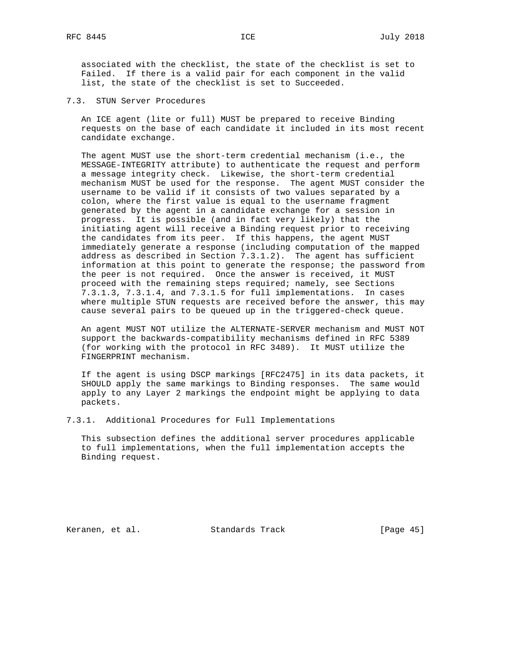associated with the checklist, the state of the checklist is set to Failed. If there is a valid pair for each component in the valid list, the state of the checklist is set to Succeeded.

7.3. STUN Server Procedures

 An ICE agent (lite or full) MUST be prepared to receive Binding requests on the base of each candidate it included in its most recent candidate exchange.

 The agent MUST use the short-term credential mechanism (i.e., the MESSAGE-INTEGRITY attribute) to authenticate the request and perform a message integrity check. Likewise, the short-term credential mechanism MUST be used for the response. The agent MUST consider the username to be valid if it consists of two values separated by a colon, where the first value is equal to the username fragment generated by the agent in a candidate exchange for a session in progress. It is possible (and in fact very likely) that the initiating agent will receive a Binding request prior to receiving the candidates from its peer. If this happens, the agent MUST immediately generate a response (including computation of the mapped address as described in Section 7.3.1.2). The agent has sufficient information at this point to generate the response; the password from the peer is not required. Once the answer is received, it MUST proceed with the remaining steps required; namely, see Sections 7.3.1.3, 7.3.1.4, and 7.3.1.5 for full implementations. In cases where multiple STUN requests are received before the answer, this may cause several pairs to be queued up in the triggered-check queue.

 An agent MUST NOT utilize the ALTERNATE-SERVER mechanism and MUST NOT support the backwards-compatibility mechanisms defined in RFC 5389 (for working with the protocol in RFC 3489). It MUST utilize the FINGERPRINT mechanism.

 If the agent is using DSCP markings [RFC2475] in its data packets, it SHOULD apply the same markings to Binding responses. The same would apply to any Layer 2 markings the endpoint might be applying to data packets.

7.3.1. Additional Procedures for Full Implementations

 This subsection defines the additional server procedures applicable to full implementations, when the full implementation accepts the Binding request.

Keranen, et al. Standards Track [Page 45]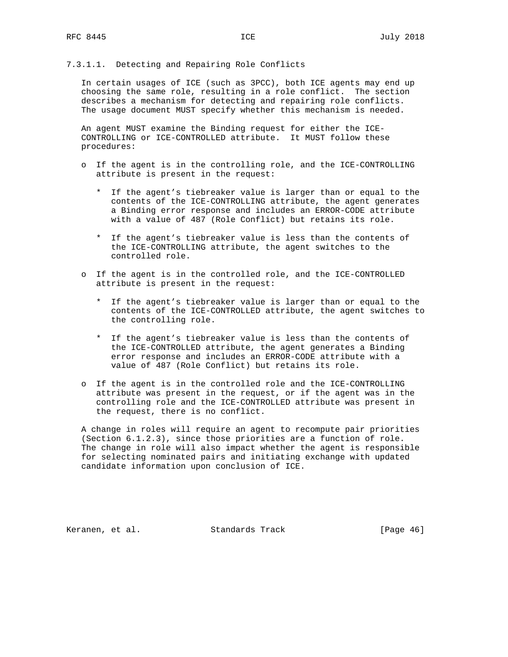# 7.3.1.1. Detecting and Repairing Role Conflicts

 In certain usages of ICE (such as 3PCC), both ICE agents may end up choosing the same role, resulting in a role conflict. The section describes a mechanism for detecting and repairing role conflicts. The usage document MUST specify whether this mechanism is needed.

 An agent MUST examine the Binding request for either the ICE- CONTROLLING or ICE-CONTROLLED attribute. It MUST follow these procedures:

- o If the agent is in the controlling role, and the ICE-CONTROLLING attribute is present in the request:
	- \* If the agent's tiebreaker value is larger than or equal to the contents of the ICE-CONTROLLING attribute, the agent generates a Binding error response and includes an ERROR-CODE attribute with a value of 487 (Role Conflict) but retains its role.
	- \* If the agent's tiebreaker value is less than the contents of the ICE-CONTROLLING attribute, the agent switches to the controlled role.
- o If the agent is in the controlled role, and the ICE-CONTROLLED attribute is present in the request:
	- \* If the agent's tiebreaker value is larger than or equal to the contents of the ICE-CONTROLLED attribute, the agent switches to the controlling role.
	- \* If the agent's tiebreaker value is less than the contents of the ICE-CONTROLLED attribute, the agent generates a Binding error response and includes an ERROR-CODE attribute with a value of 487 (Role Conflict) but retains its role.
- o If the agent is in the controlled role and the ICE-CONTROLLING attribute was present in the request, or if the agent was in the controlling role and the ICE-CONTROLLED attribute was present in the request, there is no conflict.

 A change in roles will require an agent to recompute pair priorities (Section 6.1.2.3), since those priorities are a function of role. The change in role will also impact whether the agent is responsible for selecting nominated pairs and initiating exchange with updated candidate information upon conclusion of ICE.

Keranen, et al. Standards Track [Page 46]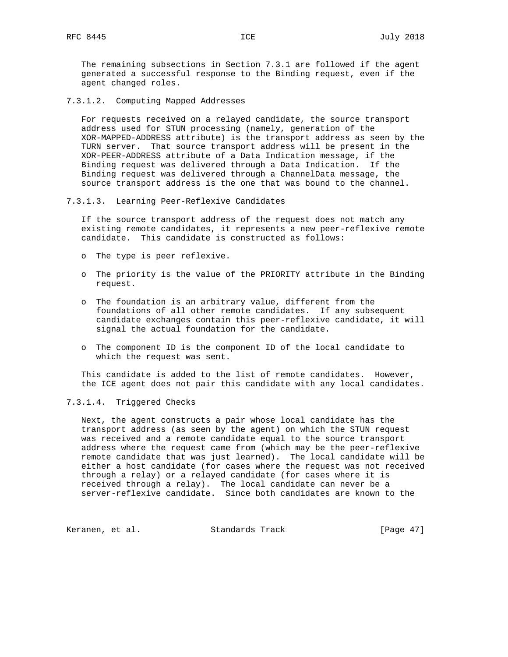The remaining subsections in Section 7.3.1 are followed if the agent generated a successful response to the Binding request, even if the agent changed roles.

7.3.1.2. Computing Mapped Addresses

 For requests received on a relayed candidate, the source transport address used for STUN processing (namely, generation of the XOR-MAPPED-ADDRESS attribute) is the transport address as seen by the TURN server. That source transport address will be present in the XOR-PEER-ADDRESS attribute of a Data Indication message, if the Binding request was delivered through a Data Indication. If the Binding request was delivered through a ChannelData message, the source transport address is the one that was bound to the channel.

7.3.1.3. Learning Peer-Reflexive Candidates

 If the source transport address of the request does not match any existing remote candidates, it represents a new peer-reflexive remote candidate. This candidate is constructed as follows:

- o The type is peer reflexive.
- o The priority is the value of the PRIORITY attribute in the Binding request.
- o The foundation is an arbitrary value, different from the foundations of all other remote candidates. If any subsequent candidate exchanges contain this peer-reflexive candidate, it will signal the actual foundation for the candidate.
- o The component ID is the component ID of the local candidate to which the request was sent.

 This candidate is added to the list of remote candidates. However, the ICE agent does not pair this candidate with any local candidates.

#### 7.3.1.4. Triggered Checks

 Next, the agent constructs a pair whose local candidate has the transport address (as seen by the agent) on which the STUN request was received and a remote candidate equal to the source transport address where the request came from (which may be the peer-reflexive remote candidate that was just learned). The local candidate will be either a host candidate (for cases where the request was not received through a relay) or a relayed candidate (for cases where it is received through a relay). The local candidate can never be a server-reflexive candidate. Since both candidates are known to the

Keranen, et al. Standards Track [Page 47]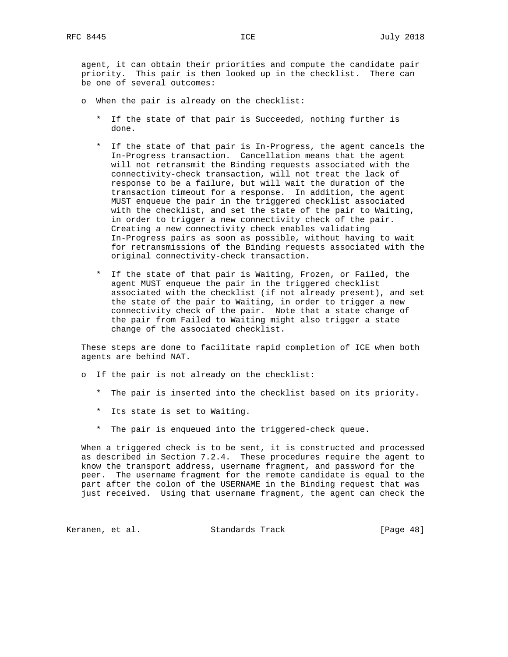agent, it can obtain their priorities and compute the candidate pair priority. This pair is then looked up in the checklist. There can be one of several outcomes:

- o When the pair is already on the checklist:
	- \* If the state of that pair is Succeeded, nothing further is done.
	- \* If the state of that pair is In-Progress, the agent cancels the In-Progress transaction. Cancellation means that the agent will not retransmit the Binding requests associated with the connectivity-check transaction, will not treat the lack of response to be a failure, but will wait the duration of the transaction timeout for a response. In addition, the agent MUST enqueue the pair in the triggered checklist associated with the checklist, and set the state of the pair to Waiting, in order to trigger a new connectivity check of the pair. Creating a new connectivity check enables validating In-Progress pairs as soon as possible, without having to wait for retransmissions of the Binding requests associated with the original connectivity-check transaction.
	- \* If the state of that pair is Waiting, Frozen, or Failed, the agent MUST enqueue the pair in the triggered checklist associated with the checklist (if not already present), and set the state of the pair to Waiting, in order to trigger a new connectivity check of the pair. Note that a state change of the pair from Failed to Waiting might also trigger a state change of the associated checklist.

 These steps are done to facilitate rapid completion of ICE when both agents are behind NAT.

- o If the pair is not already on the checklist:
	- \* The pair is inserted into the checklist based on its priority.
	- \* Its state is set to Waiting.
	- \* The pair is enqueued into the triggered-check queue.

 When a triggered check is to be sent, it is constructed and processed as described in Section 7.2.4. These procedures require the agent to know the transport address, username fragment, and password for the peer. The username fragment for the remote candidate is equal to the part after the colon of the USERNAME in the Binding request that was just received. Using that username fragment, the agent can check the

Keranen, et al. Standards Track [Page 48]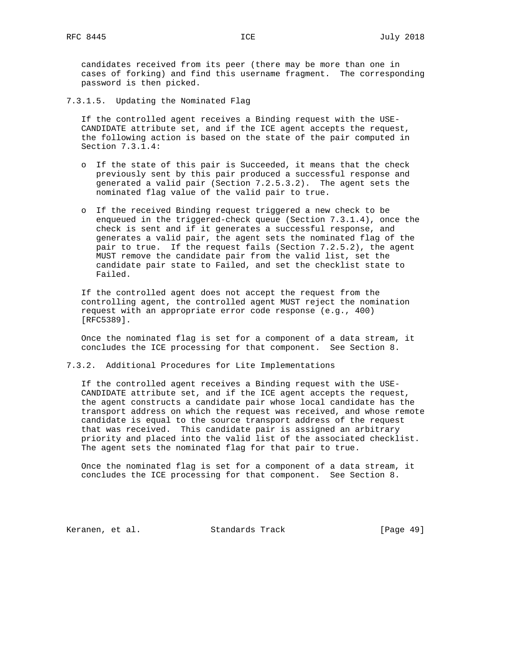candidates received from its peer (there may be more than one in cases of forking) and find this username fragment. The corresponding password is then picked.

7.3.1.5. Updating the Nominated Flag

 If the controlled agent receives a Binding request with the USE- CANDIDATE attribute set, and if the ICE agent accepts the request, the following action is based on the state of the pair computed in Section 7.3.1.4:

- o If the state of this pair is Succeeded, it means that the check previously sent by this pair produced a successful response and generated a valid pair (Section 7.2.5.3.2). The agent sets the nominated flag value of the valid pair to true.
- o If the received Binding request triggered a new check to be enqueued in the triggered-check queue (Section 7.3.1.4), once the check is sent and if it generates a successful response, and generates a valid pair, the agent sets the nominated flag of the pair to true. If the request fails (Section 7.2.5.2), the agent MUST remove the candidate pair from the valid list, set the candidate pair state to Failed, and set the checklist state to Failed.

 If the controlled agent does not accept the request from the controlling agent, the controlled agent MUST reject the nomination request with an appropriate error code response (e.g., 400) [RFC5389].

 Once the nominated flag is set for a component of a data stream, it concludes the ICE processing for that component. See Section 8.

# 7.3.2. Additional Procedures for Lite Implementations

 If the controlled agent receives a Binding request with the USE- CANDIDATE attribute set, and if the ICE agent accepts the request, the agent constructs a candidate pair whose local candidate has the transport address on which the request was received, and whose remote candidate is equal to the source transport address of the request that was received. This candidate pair is assigned an arbitrary priority and placed into the valid list of the associated checklist. The agent sets the nominated flag for that pair to true.

 Once the nominated flag is set for a component of a data stream, it concludes the ICE processing for that component. See Section 8.

Keranen, et al. Standards Track [Page 49]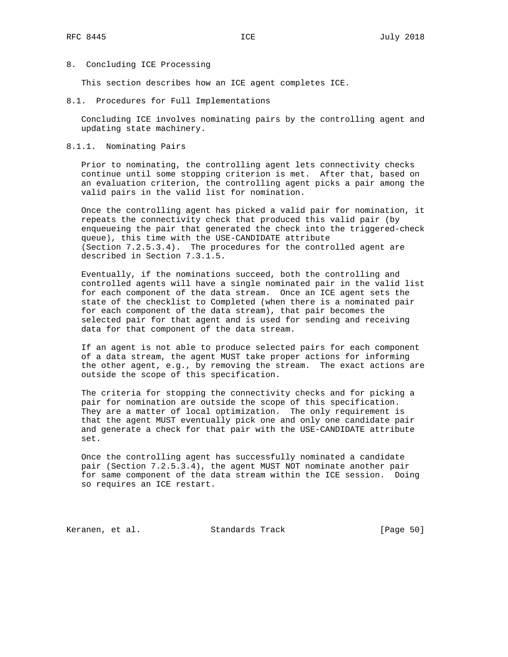### 8. Concluding ICE Processing

This section describes how an ICE agent completes ICE.

8.1. Procedures for Full Implementations

 Concluding ICE involves nominating pairs by the controlling agent and updating state machinery.

## 8.1.1. Nominating Pairs

 Prior to nominating, the controlling agent lets connectivity checks continue until some stopping criterion is met. After that, based on an evaluation criterion, the controlling agent picks a pair among the valid pairs in the valid list for nomination.

 Once the controlling agent has picked a valid pair for nomination, it repeats the connectivity check that produced this valid pair (by enqueueing the pair that generated the check into the triggered-check queue), this time with the USE-CANDIDATE attribute (Section 7.2.5.3.4). The procedures for the controlled agent are described in Section 7.3.1.5.

 Eventually, if the nominations succeed, both the controlling and controlled agents will have a single nominated pair in the valid list for each component of the data stream. Once an ICE agent sets the state of the checklist to Completed (when there is a nominated pair for each component of the data stream), that pair becomes the selected pair for that agent and is used for sending and receiving data for that component of the data stream.

 If an agent is not able to produce selected pairs for each component of a data stream, the agent MUST take proper actions for informing the other agent, e.g., by removing the stream. The exact actions are outside the scope of this specification.

 The criteria for stopping the connectivity checks and for picking a pair for nomination are outside the scope of this specification. They are a matter of local optimization. The only requirement is that the agent MUST eventually pick one and only one candidate pair and generate a check for that pair with the USE-CANDIDATE attribute set.

 Once the controlling agent has successfully nominated a candidate pair (Section 7.2.5.3.4), the agent MUST NOT nominate another pair for same component of the data stream within the ICE session. Doing so requires an ICE restart.

Keranen, et al. Standards Track [Page 50]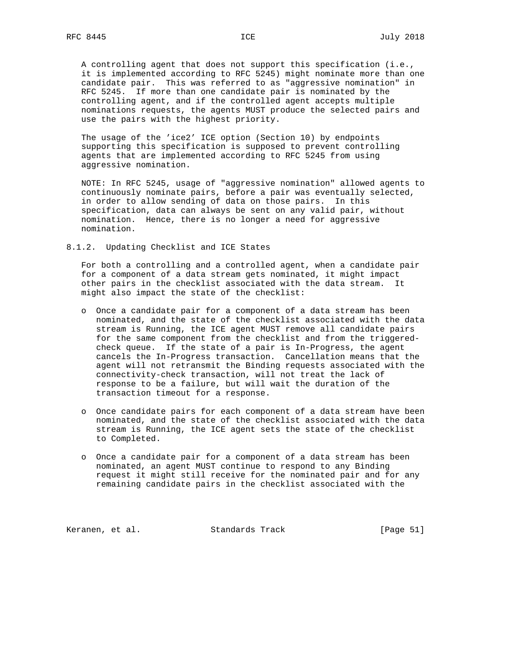A controlling agent that does not support this specification (i.e., it is implemented according to RFC 5245) might nominate more than one candidate pair. This was referred to as "aggressive nomination" in RFC 5245. If more than one candidate pair is nominated by the controlling agent, and if the controlled agent accepts multiple nominations requests, the agents MUST produce the selected pairs and use the pairs with the highest priority.

 The usage of the 'ice2' ICE option (Section 10) by endpoints supporting this specification is supposed to prevent controlling agents that are implemented according to RFC 5245 from using aggressive nomination.

 NOTE: In RFC 5245, usage of "aggressive nomination" allowed agents to continuously nominate pairs, before a pair was eventually selected, in order to allow sending of data on those pairs. In this specification, data can always be sent on any valid pair, without nomination. Hence, there is no longer a need for aggressive nomination.

8.1.2. Updating Checklist and ICE States

 For both a controlling and a controlled agent, when a candidate pair for a component of a data stream gets nominated, it might impact other pairs in the checklist associated with the data stream. It might also impact the state of the checklist:

- o Once a candidate pair for a component of a data stream has been nominated, and the state of the checklist associated with the data stream is Running, the ICE agent MUST remove all candidate pairs for the same component from the checklist and from the triggered check queue. If the state of a pair is In-Progress, the agent cancels the In-Progress transaction. Cancellation means that the agent will not retransmit the Binding requests associated with the connectivity-check transaction, will not treat the lack of response to be a failure, but will wait the duration of the transaction timeout for a response.
- o Once candidate pairs for each component of a data stream have been nominated, and the state of the checklist associated with the data stream is Running, the ICE agent sets the state of the checklist to Completed.
- o Once a candidate pair for a component of a data stream has been nominated, an agent MUST continue to respond to any Binding request it might still receive for the nominated pair and for any remaining candidate pairs in the checklist associated with the

Keranen, et al. Standards Track [Page 51]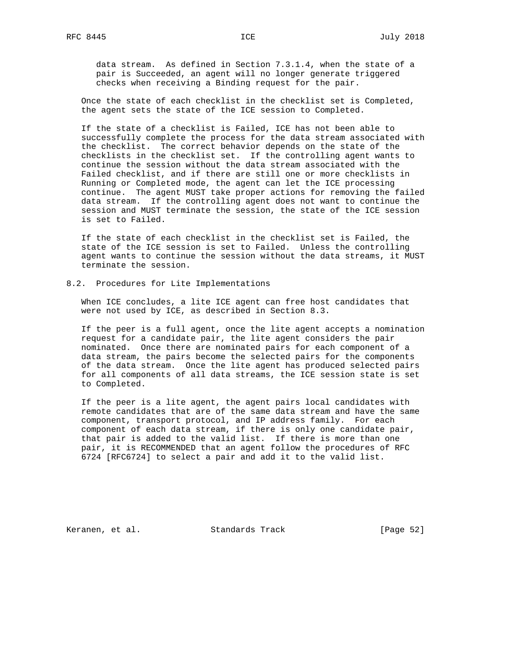data stream. As defined in Section 7.3.1.4, when the state of a pair is Succeeded, an agent will no longer generate triggered checks when receiving a Binding request for the pair.

 Once the state of each checklist in the checklist set is Completed, the agent sets the state of the ICE session to Completed.

 If the state of a checklist is Failed, ICE has not been able to successfully complete the process for the data stream associated with the checklist. The correct behavior depends on the state of the checklists in the checklist set. If the controlling agent wants to continue the session without the data stream associated with the Failed checklist, and if there are still one or more checklists in Running or Completed mode, the agent can let the ICE processing continue. The agent MUST take proper actions for removing the failed data stream. If the controlling agent does not want to continue the session and MUST terminate the session, the state of the ICE session is set to Failed.

 If the state of each checklist in the checklist set is Failed, the state of the ICE session is set to Failed. Unless the controlling agent wants to continue the session without the data streams, it MUST terminate the session.

#### 8.2. Procedures for Lite Implementations

 When ICE concludes, a lite ICE agent can free host candidates that were not used by ICE, as described in Section 8.3.

 If the peer is a full agent, once the lite agent accepts a nomination request for a candidate pair, the lite agent considers the pair nominated. Once there are nominated pairs for each component of a data stream, the pairs become the selected pairs for the components of the data stream. Once the lite agent has produced selected pairs for all components of all data streams, the ICE session state is set to Completed.

 If the peer is a lite agent, the agent pairs local candidates with remote candidates that are of the same data stream and have the same component, transport protocol, and IP address family. For each component of each data stream, if there is only one candidate pair, that pair is added to the valid list. If there is more than one pair, it is RECOMMENDED that an agent follow the procedures of RFC 6724 [RFC6724] to select a pair and add it to the valid list.

Keranen, et al. Standards Track [Page 52]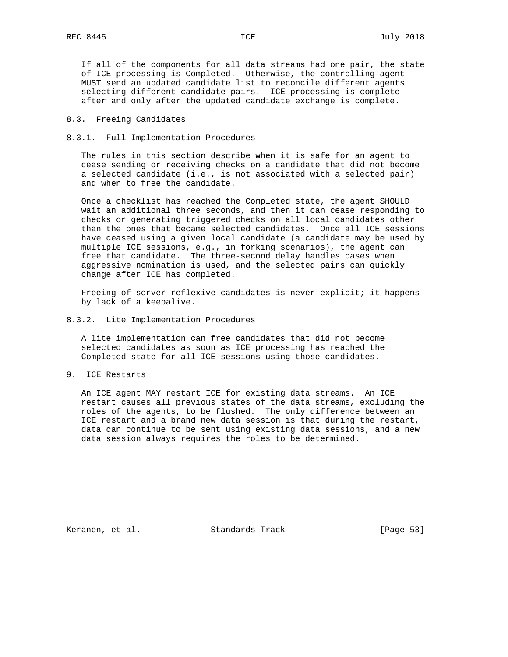If all of the components for all data streams had one pair, the state of ICE processing is Completed. Otherwise, the controlling agent MUST send an updated candidate list to reconcile different agents selecting different candidate pairs. ICE processing is complete after and only after the updated candidate exchange is complete.

## 8.3. Freeing Candidates

#### 8.3.1. Full Implementation Procedures

 The rules in this section describe when it is safe for an agent to cease sending or receiving checks on a candidate that did not become a selected candidate (i.e., is not associated with a selected pair) and when to free the candidate.

 Once a checklist has reached the Completed state, the agent SHOULD wait an additional three seconds, and then it can cease responding to checks or generating triggered checks on all local candidates other than the ones that became selected candidates. Once all ICE sessions have ceased using a given local candidate (a candidate may be used by multiple ICE sessions, e.g., in forking scenarios), the agent can free that candidate. The three-second delay handles cases when aggressive nomination is used, and the selected pairs can quickly change after ICE has completed.

 Freeing of server-reflexive candidates is never explicit; it happens by lack of a keepalive.

#### 8.3.2. Lite Implementation Procedures

 A lite implementation can free candidates that did not become selected candidates as soon as ICE processing has reached the Completed state for all ICE sessions using those candidates.

9. ICE Restarts

 An ICE agent MAY restart ICE for existing data streams. An ICE restart causes all previous states of the data streams, excluding the roles of the agents, to be flushed. The only difference between an ICE restart and a brand new data session is that during the restart, data can continue to be sent using existing data sessions, and a new data session always requires the roles to be determined.

Keranen, et al. Standards Track [Page 53]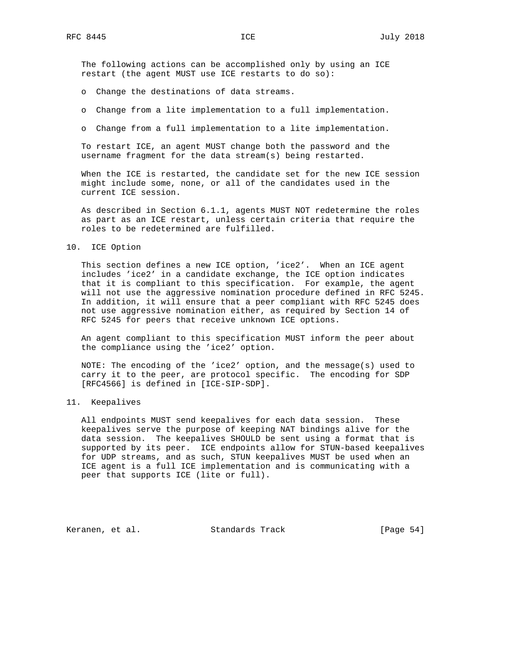The following actions can be accomplished only by using an ICE restart (the agent MUST use ICE restarts to do so):

- o Change the destinations of data streams.
- o Change from a lite implementation to a full implementation.
- o Change from a full implementation to a lite implementation.

 To restart ICE, an agent MUST change both the password and the username fragment for the data stream(s) being restarted.

 When the ICE is restarted, the candidate set for the new ICE session might include some, none, or all of the candidates used in the current ICE session.

 As described in Section 6.1.1, agents MUST NOT redetermine the roles as part as an ICE restart, unless certain criteria that require the roles to be redetermined are fulfilled.

#### 10. ICE Option

 This section defines a new ICE option, 'ice2'. When an ICE agent includes 'ice2' in a candidate exchange, the ICE option indicates that it is compliant to this specification. For example, the agent will not use the aggressive nomination procedure defined in RFC 5245. In addition, it will ensure that a peer compliant with RFC 5245 does not use aggressive nomination either, as required by Section 14 of RFC 5245 for peers that receive unknown ICE options.

 An agent compliant to this specification MUST inform the peer about the compliance using the 'ice2' option.

 NOTE: The encoding of the 'ice2' option, and the message(s) used to carry it to the peer, are protocol specific. The encoding for SDP [RFC4566] is defined in [ICE-SIP-SDP].

## 11. Keepalives

 All endpoints MUST send keepalives for each data session. These keepalives serve the purpose of keeping NAT bindings alive for the data session. The keepalives SHOULD be sent using a format that is supported by its peer. ICE endpoints allow for STUN-based keepalives for UDP streams, and as such, STUN keepalives MUST be used when an ICE agent is a full ICE implementation and is communicating with a peer that supports ICE (lite or full).

Keranen, et al. Standards Track [Page 54]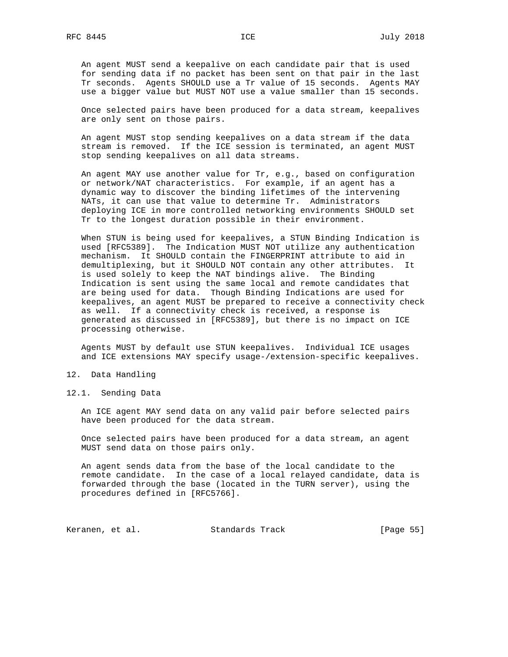An agent MUST send a keepalive on each candidate pair that is used for sending data if no packet has been sent on that pair in the last Tr seconds. Agents SHOULD use a Tr value of 15 seconds. Agents MAY use a bigger value but MUST NOT use a value smaller than 15 seconds.

 Once selected pairs have been produced for a data stream, keepalives are only sent on those pairs.

 An agent MUST stop sending keepalives on a data stream if the data stream is removed. If the ICE session is terminated, an agent MUST stop sending keepalives on all data streams.

 An agent MAY use another value for Tr, e.g., based on configuration or network/NAT characteristics. For example, if an agent has a dynamic way to discover the binding lifetimes of the intervening NATs, it can use that value to determine Tr. Administrators deploying ICE in more controlled networking environments SHOULD set Tr to the longest duration possible in their environment.

 When STUN is being used for keepalives, a STUN Binding Indication is used [RFC5389]. The Indication MUST NOT utilize any authentication mechanism. It SHOULD contain the FINGERPRINT attribute to aid in demultiplexing, but it SHOULD NOT contain any other attributes. It is used solely to keep the NAT bindings alive. The Binding Indication is sent using the same local and remote candidates that are being used for data. Though Binding Indications are used for keepalives, an agent MUST be prepared to receive a connectivity check as well. If a connectivity check is received, a response is generated as discussed in [RFC5389], but there is no impact on ICE processing otherwise.

 Agents MUST by default use STUN keepalives. Individual ICE usages and ICE extensions MAY specify usage-/extension-specific keepalives.

- 12. Data Handling
- 12.1. Sending Data

 An ICE agent MAY send data on any valid pair before selected pairs have been produced for the data stream.

 Once selected pairs have been produced for a data stream, an agent MUST send data on those pairs only.

 An agent sends data from the base of the local candidate to the remote candidate. In the case of a local relayed candidate, data is forwarded through the base (located in the TURN server), using the procedures defined in [RFC5766].

Keranen, et al. Standards Track [Page 55]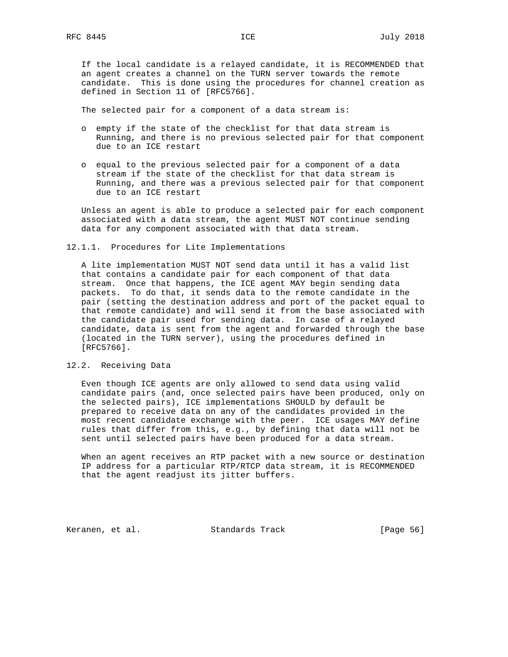If the local candidate is a relayed candidate, it is RECOMMENDED that an agent creates a channel on the TURN server towards the remote candidate. This is done using the procedures for channel creation as defined in Section 11 of [RFC5766].

The selected pair for a component of a data stream is:

- o empty if the state of the checklist for that data stream is Running, and there is no previous selected pair for that component due to an ICE restart
- o equal to the previous selected pair for a component of a data stream if the state of the checklist for that data stream is Running, and there was a previous selected pair for that component due to an ICE restart

 Unless an agent is able to produce a selected pair for each component associated with a data stream, the agent MUST NOT continue sending data for any component associated with that data stream.

#### 12.1.1. Procedures for Lite Implementations

 A lite implementation MUST NOT send data until it has a valid list that contains a candidate pair for each component of that data stream. Once that happens, the ICE agent MAY begin sending data packets. To do that, it sends data to the remote candidate in the pair (setting the destination address and port of the packet equal to that remote candidate) and will send it from the base associated with the candidate pair used for sending data. In case of a relayed candidate, data is sent from the agent and forwarded through the base (located in the TURN server), using the procedures defined in [RFC5766].

# 12.2. Receiving Data

 Even though ICE agents are only allowed to send data using valid candidate pairs (and, once selected pairs have been produced, only on the selected pairs), ICE implementations SHOULD by default be prepared to receive data on any of the candidates provided in the most recent candidate exchange with the peer. ICE usages MAY define rules that differ from this, e.g., by defining that data will not be sent until selected pairs have been produced for a data stream.

 When an agent receives an RTP packet with a new source or destination IP address for a particular RTP/RTCP data stream, it is RECOMMENDED that the agent readjust its jitter buffers.

Keranen, et al. Standards Track [Page 56]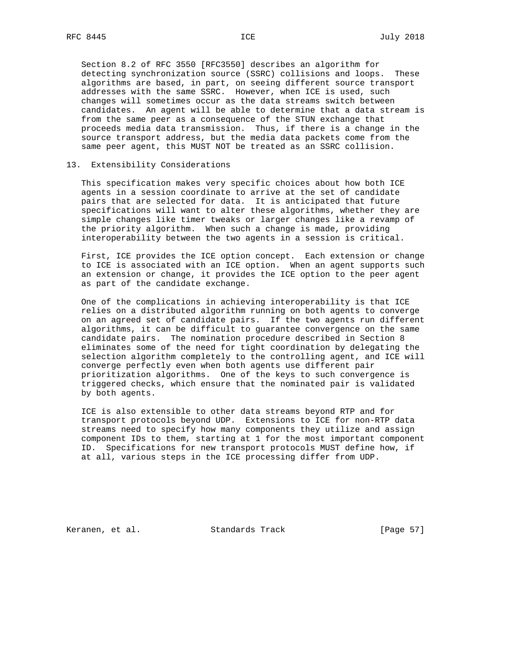Section 8.2 of RFC 3550 [RFC3550] describes an algorithm for detecting synchronization source (SSRC) collisions and loops. These algorithms are based, in part, on seeing different source transport addresses with the same SSRC. However, when ICE is used, such changes will sometimes occur as the data streams switch between candidates. An agent will be able to determine that a data stream is from the same peer as a consequence of the STUN exchange that proceeds media data transmission. Thus, if there is a change in the source transport address, but the media data packets come from the same peer agent, this MUST NOT be treated as an SSRC collision.

## 13. Extensibility Considerations

 This specification makes very specific choices about how both ICE agents in a session coordinate to arrive at the set of candidate pairs that are selected for data. It is anticipated that future specifications will want to alter these algorithms, whether they are simple changes like timer tweaks or larger changes like a revamp of the priority algorithm. When such a change is made, providing interoperability between the two agents in a session is critical.

 First, ICE provides the ICE option concept. Each extension or change to ICE is associated with an ICE option. When an agent supports such an extension or change, it provides the ICE option to the peer agent as part of the candidate exchange.

 One of the complications in achieving interoperability is that ICE relies on a distributed algorithm running on both agents to converge on an agreed set of candidate pairs. If the two agents run different algorithms, it can be difficult to guarantee convergence on the same candidate pairs. The nomination procedure described in Section 8 eliminates some of the need for tight coordination by delegating the selection algorithm completely to the controlling agent, and ICE will converge perfectly even when both agents use different pair prioritization algorithms. One of the keys to such convergence is triggered checks, which ensure that the nominated pair is validated by both agents.

 ICE is also extensible to other data streams beyond RTP and for transport protocols beyond UDP. Extensions to ICE for non-RTP data streams need to specify how many components they utilize and assign component IDs to them, starting at 1 for the most important component ID. Specifications for new transport protocols MUST define how, if at all, various steps in the ICE processing differ from UDP.

Keranen, et al. Standards Track [Page 57]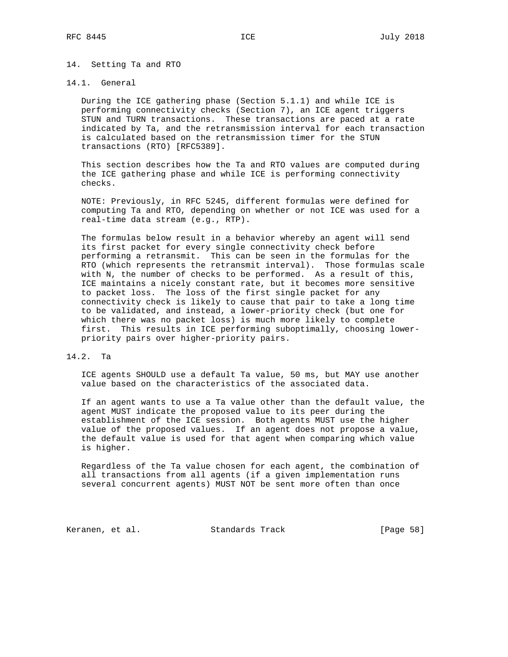#### 14. Setting Ta and RTO

## 14.1. General

 During the ICE gathering phase (Section 5.1.1) and while ICE is performing connectivity checks (Section 7), an ICE agent triggers STUN and TURN transactions. These transactions are paced at a rate indicated by Ta, and the retransmission interval for each transaction is calculated based on the retransmission timer for the STUN transactions (RTO) [RFC5389].

 This section describes how the Ta and RTO values are computed during the ICE gathering phase and while ICE is performing connectivity checks.

 NOTE: Previously, in RFC 5245, different formulas were defined for computing Ta and RTO, depending on whether or not ICE was used for a real-time data stream (e.g., RTP).

 The formulas below result in a behavior whereby an agent will send its first packet for every single connectivity check before performing a retransmit. This can be seen in the formulas for the RTO (which represents the retransmit interval). Those formulas scale with N, the number of checks to be performed. As a result of this, ICE maintains a nicely constant rate, but it becomes more sensitive to packet loss. The loss of the first single packet for any connectivity check is likely to cause that pair to take a long time to be validated, and instead, a lower-priority check (but one for which there was no packet loss) is much more likely to complete first. This results in ICE performing suboptimally, choosing lower priority pairs over higher-priority pairs.

# 14.2. Ta

 ICE agents SHOULD use a default Ta value, 50 ms, but MAY use another value based on the characteristics of the associated data.

 If an agent wants to use a Ta value other than the default value, the agent MUST indicate the proposed value to its peer during the establishment of the ICE session. Both agents MUST use the higher value of the proposed values. If an agent does not propose a value, the default value is used for that agent when comparing which value is higher.

 Regardless of the Ta value chosen for each agent, the combination of all transactions from all agents (if a given implementation runs several concurrent agents) MUST NOT be sent more often than once

Keranen, et al. Standards Track [Page 58]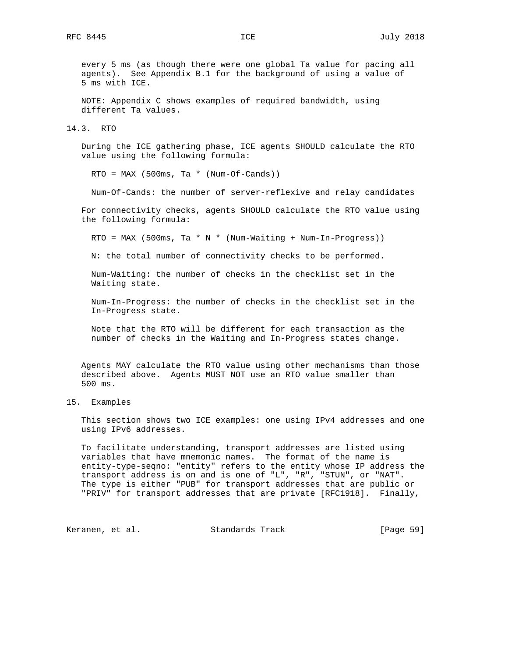every 5 ms (as though there were one global Ta value for pacing all agents). See Appendix B.1 for the background of using a value of 5 ms with ICE.

 NOTE: Appendix C shows examples of required bandwidth, using different Ta values.

14.3. RTO

 During the ICE gathering phase, ICE agents SHOULD calculate the RTO value using the following formula:

RTO = MAX (500ms, Ta \* (Num-Of-Cands))

Num-Of-Cands: the number of server-reflexive and relay candidates

 For connectivity checks, agents SHOULD calculate the RTO value using the following formula:

 $RTO = MAX (500ms, Ta * N * (Num-Waiting + Num-In-Progress))$ 

N: the total number of connectivity checks to be performed.

 Num-Waiting: the number of checks in the checklist set in the Waiting state.

 Num-In-Progress: the number of checks in the checklist set in the In-Progress state.

 Note that the RTO will be different for each transaction as the number of checks in the Waiting and In-Progress states change.

 Agents MAY calculate the RTO value using other mechanisms than those described above. Agents MUST NOT use an RTO value smaller than 500 ms.

15. Examples

 This section shows two ICE examples: one using IPv4 addresses and one using IPv6 addresses.

 To facilitate understanding, transport addresses are listed using variables that have mnemonic names. The format of the name is entity-type-seqno: "entity" refers to the entity whose IP address the transport address is on and is one of "L", "R", "STUN", or "NAT". The type is either "PUB" for transport addresses that are public or "PRIV" for transport addresses that are private [RFC1918]. Finally,

Keranen, et al. Standards Track [Page 59]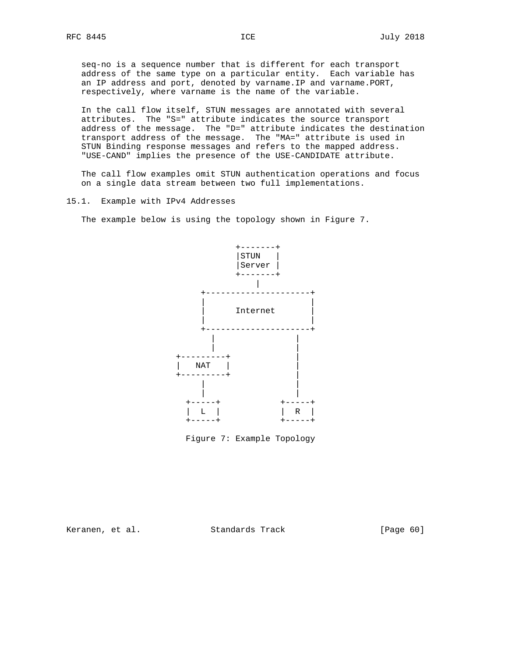seq-no is a sequence number that is different for each transport address of the same type on a particular entity. Each variable has an IP address and port, denoted by varname.IP and varname.PORT, respectively, where varname is the name of the variable.

 In the call flow itself, STUN messages are annotated with several attributes. The "S=" attribute indicates the source transport address of the message. The "D=" attribute indicates the destination transport address of the message. The "MA=" attribute is used in STUN Binding response messages and refers to the mapped address. "USE-CAND" implies the presence of the USE-CANDIDATE attribute.

 The call flow examples omit STUN authentication operations and focus on a single data stream between two full implementations.

#### 15.1. Example with IPv4 Addresses

The example below is using the topology shown in Figure 7.



Figure 7: Example Topology

Keranen, et al. Standards Track [Page 60]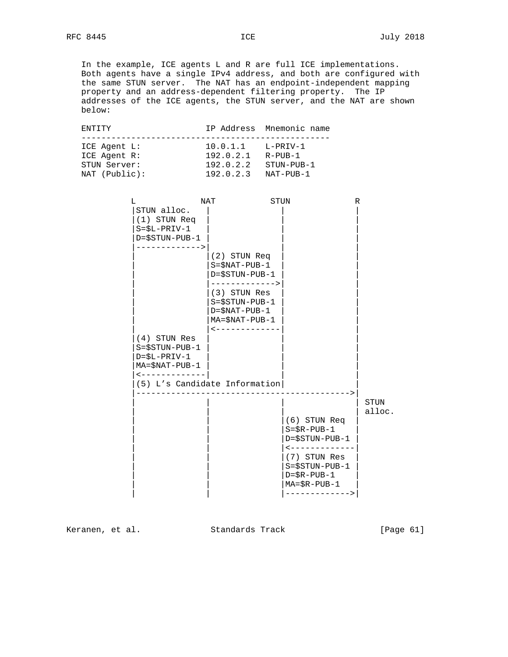In the example, ICE agents L and R are full ICE implementations. Both agents have a single IPv4 address, and both are configured with the same STUN server. The NAT has an endpoint-independent mapping property and an address-dependent filtering property. The IP addresses of the ICE agents, the STUN server, and the NAT are shown below:

| F.NTTTY       |           | IP Address Mnemonic name |
|---------------|-----------|--------------------------|
|               |           |                          |
| ICE Agent L:  | 10.0.1.1  | L-PRIV-1                 |
| ICE Agent R:  | 192.0.2.1 | R-PUB-1                  |
| STUN Server:  | 192.0.2.2 | STUN-PUB-1               |
| NAT (Public): | 192.0.2.3 | NAT-PUB-1                |

| L                                                                                                                                             | NAT                                                                                                                                                                            | STUN                                                                                                                                                                      | R              |
|-----------------------------------------------------------------------------------------------------------------------------------------------|--------------------------------------------------------------------------------------------------------------------------------------------------------------------------------|---------------------------------------------------------------------------------------------------------------------------------------------------------------------------|----------------|
| STUN alloc.<br>(1) STUN Req<br>$S = $L - PRIV - 1$<br>$D = $STUN - PUB - 1$                                                                   |                                                                                                                                                                                |                                                                                                                                                                           |                |
| -------------><br>$(4)$ STUN Res<br>$S = $STUN-PUB-1$<br>$D = $L - PRIV - 1$<br>$MA = $NAT - PUB - 1$<br>$\leftarrow$ - - - - - - - - - - - - | (2) STUN Req<br>$S = $NAT - PUB - 1$<br>D=\$STUN-PUB-1<br>-------------><br>(3) STUN Res<br>$S = $STUN-PUB-1$<br>$D = $NAT - PUB - 1$<br>$MA = $NAT - PUB - 1$<br>------------ |                                                                                                                                                                           |                |
|                                                                                                                                               | (5) L's Candidate Information                                                                                                                                                  | (6) STUN Req<br>$S = $R - PUB - 1$<br>D=\$STUN-PUB-1<br>-------------<br>(7) STUN Res<br>$S = $STUN-PUB-1$<br>$D = $R - PUB - 1$<br>$MA = $R - PUB - 1$<br>-------------> | STUN<br>alloc. |

Keranen, et al. Standards Track [Page 61]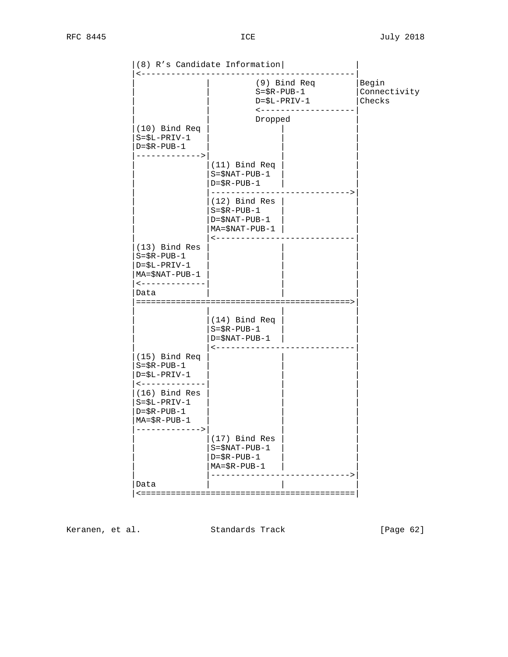|                                                                                                                     | (8) R's Candidate Information                                                                |                                 |
|---------------------------------------------------------------------------------------------------------------------|----------------------------------------------------------------------------------------------|---------------------------------|
|                                                                                                                     | (9) Bind Req<br>$S = $R - PUB - 1$<br>$D = $L - PRIV - 1$<br>$\leftarrow$ - - - - - - -      | Begin<br>Connectivity<br>Checks |
|                                                                                                                     | Dropped                                                                                      |                                 |
| $(10)$ Bind Req<br>$S = $L - PRIV - 1$<br>$D = $R - PUB - 1$<br>------------->                                      |                                                                                              |                                 |
|                                                                                                                     | (11) Bind Req<br>$S = $NAT - PUB - 1$<br>$D = $R - PUB - 1$                                  |                                 |
|                                                                                                                     | $(12)$ Bind Res<br>$S = $R - PUB - 1$<br>$D = $NAT - PUB - 1$<br>MA=\$NAT-PUB-1              |                                 |
| $(13)$ Bind Res<br>$S = $R - PUB - 1$<br>$D = $L - PRIV - 1$<br>$MA = $NAT - PUB - 1$<br><------------<br>Data      |                                                                                              |                                 |
|                                                                                                                     | (14) Bind Req<br>$S = $R - PUB - 1$<br>$D = $NAT - PUB - 1$                                  |                                 |
| (15) Bind Req<br>$S = $R - PUB - 1$<br>$D = $L - PRIV - 1$<br>$\leftarrow$ - - - - - - - - - - - -<br>(16) Bind Res |                                                                                              |                                 |
| $S = $L - PRIV - 1$<br>$D = $R - PUB - 1$<br>$MA = $R - PUB - 1$<br>------------->                                  |                                                                                              |                                 |
|                                                                                                                     | (17) Bind Res<br>$S = $NAT - PUB - 1$<br>$D = $R - PUB - 1$<br>$MA = \$R - PUB - 1-------->$ |                                 |
| Data                                                                                                                |                                                                                              |                                 |
|                                                                                                                     |                                                                                              |                                 |

Keranen, et al. Standards Track [Page 62]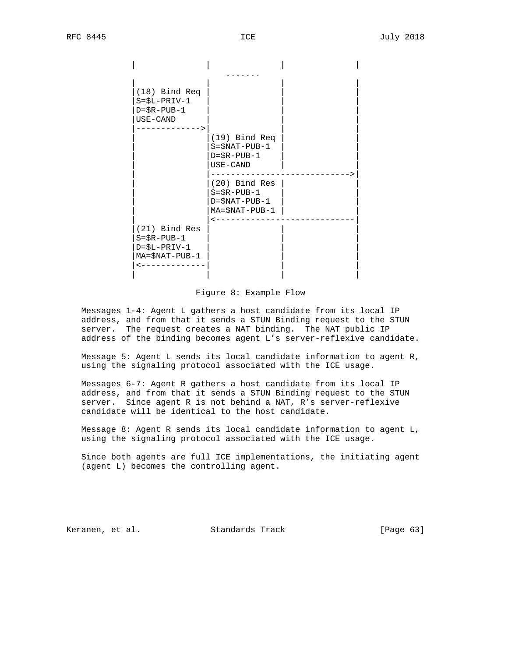

Figure 8: Example Flow

 Messages 1-4: Agent L gathers a host candidate from its local IP address, and from that it sends a STUN Binding request to the STUN server. The request creates a NAT binding. The NAT public IP address of the binding becomes agent L's server-reflexive candidate.

 Message 5: Agent L sends its local candidate information to agent R, using the signaling protocol associated with the ICE usage.

 Messages 6-7: Agent R gathers a host candidate from its local IP address, and from that it sends a STUN Binding request to the STUN server. Since agent R is not behind a NAT, R's server-reflexive candidate will be identical to the host candidate.

 Message 8: Agent R sends its local candidate information to agent L, using the signaling protocol associated with the ICE usage.

 Since both agents are full ICE implementations, the initiating agent (agent L) becomes the controlling agent.

Keranen, et al. Standards Track [Page 63]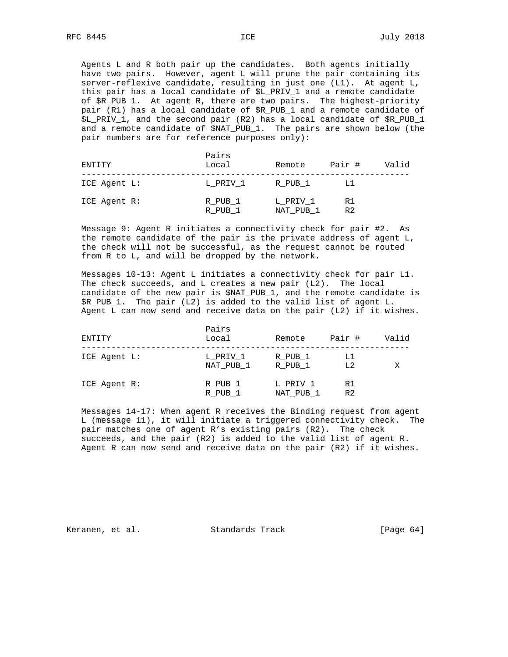Agents L and R both pair up the candidates. Both agents initially have two pairs. However, agent L will prune the pair containing its server-reflexive candidate, resulting in just one (L1). At agent L, this pair has a local candidate of \$L\_PRIV\_1 and a remote candidate of \$R\_PUB\_1. At agent R, there are two pairs. The highest-priority pair (R1) has a local candidate of \$R\_PUB\_1 and a remote candidate of \$L\_PRIV\_1, and the second pair (R2) has a local candidate of \$R\_PUB\_1 and a remote candidate of \$NAT\_PUB\_1. The pairs are shown below (the pair numbers are for reference purposes only):

| ENTITY       | Pairs<br>Local     | Remote                | Pair #               | Valid |
|--------------|--------------------|-----------------------|----------------------|-------|
| ICE Agent L: | L PRIV 1           | R PUB 1               | LT                   |       |
| ICE Agent R: | R PUB 1<br>R PUB 1 | L PRIV 1<br>NAT PUB 1 | R1<br>R <sub>2</sub> |       |

 Message 9: Agent R initiates a connectivity check for pair #2. As the remote candidate of the pair is the private address of agent L, the check will not be successful, as the request cannot be routed from R to L, and will be dropped by the network.

 Messages 10-13: Agent L initiates a connectivity check for pair L1. The check succeeds, and L creates a new pair (L2). The local candidate of the new pair is \$NAT\_PUB\_1, and the remote candidate is \$R\_PUB\_1. The pair (L2) is added to the valid list of agent L. Agent L can now send and receive data on the pair (L2) if it wishes.

| ENTITY       | Pairs<br>Local        | Remote                | Pair #               | Valid |
|--------------|-----------------------|-----------------------|----------------------|-------|
| ICE Agent L: | L PRIV 1<br>NAT PUB 1 | R PUB 1<br>R PUB 1    | L1<br>L <sub>2</sub> | Х     |
| ICE Agent R: | R PUB 1<br>R PUB 1    | L PRIV 1<br>NAT PUB 1 | R1<br>R <sub>2</sub> |       |

 Messages 14-17: When agent R receives the Binding request from agent L (message 11), it will initiate a triggered connectivity check. The pair matches one of agent R's existing pairs (R2). The check succeeds, and the pair (R2) is added to the valid list of agent R. Agent R can now send and receive data on the pair (R2) if it wishes.

Keranen, et al. Standards Track [Page 64]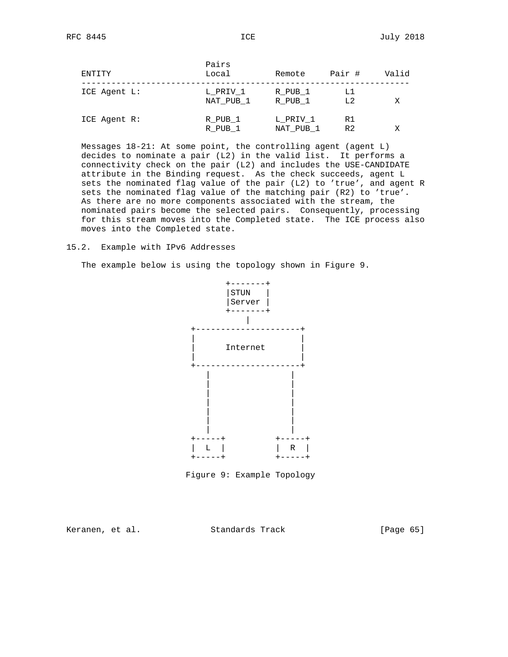| ENTITY       | Pairs<br>Local        | Remote                | Pair #               | Valid |
|--------------|-----------------------|-----------------------|----------------------|-------|
| ICE Agent L: | L PRIV 1<br>NAT PUB 1 | R PUB 1<br>R PUB 1    | Ll<br>L2             | Χ     |
| ICE Agent R: | R PUB 1<br>R PUB 1    | L PRIV 1<br>NAT PUB 1 | R1<br>R <sub>2</sub> | Χ     |

 Messages 18-21: At some point, the controlling agent (agent L) decides to nominate a pair (L2) in the valid list. It performs a connectivity check on the pair (L2) and includes the USE-CANDIDATE attribute in the Binding request. As the check succeeds, agent L sets the nominated flag value of the pair (L2) to 'true', and agent R sets the nominated flag value of the matching pair (R2) to 'true'. As there are no more components associated with the stream, the nominated pairs become the selected pairs. Consequently, processing for this stream moves into the Completed state. The ICE process also moves into the Completed state.

#### 15.2. Example with IPv6 Addresses

The example below is using the topology shown in Figure 9.





Keranen, et al. Standards Track [Page 65]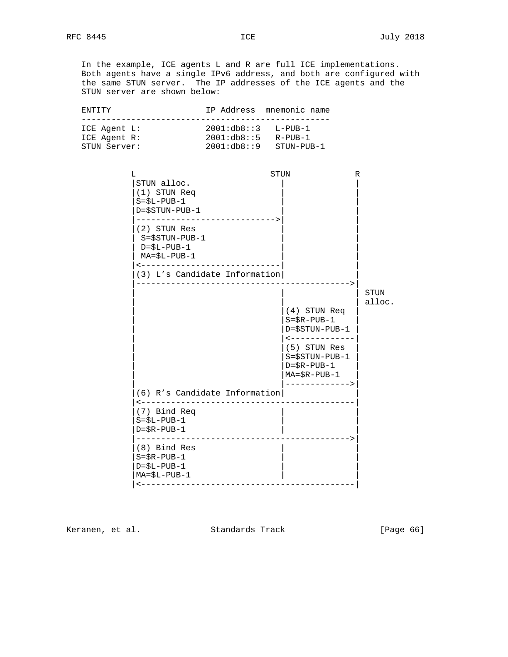In the example, ICE agents L and R are full ICE implementations. Both agents have a single IPv6 address, and both are configured with the same STUN server. The IP addresses of the ICE agents and the STUN server are shown below:

| ENTITY                                                                                                                                                     | IP Address mnemonic name                                                                                                                                                                                                                                                                                                                                                        |
|------------------------------------------------------------------------------------------------------------------------------------------------------------|---------------------------------------------------------------------------------------------------------------------------------------------------------------------------------------------------------------------------------------------------------------------------------------------------------------------------------------------------------------------------------|
| ICE Agent L:<br>ICE Agent R:<br>STUN Server:                                                                                                               | $2001: db8::3$ L-PUB-1<br>$2001: db8::5$ R-PUB-1<br>$2001: db8::9$ STUN-PUB-1                                                                                                                                                                                                                                                                                                   |
| L<br>STUN alloc.<br>(1) STUN Req<br>$S = $L - PUB - 1$<br>$D = $STUN - PUB - 1$<br>(2) STUN Res<br>$S = $STUN-PUB-1$<br>D=\$L-PUB-1<br>$MA = $L - PUB - 1$ | STUN<br>R<br>-----------------------------><br><-----------------------------<br>(3) L's Candidate Information<br>---><br>STUN<br>alloc.<br>(4) STUN Req<br>$S = $R - PUB - 1$<br>$D = $STUN - PUB - 1$<br>$\leftarrow$ - - - - - - - - - - - - -<br>(5) STUN Res<br>$S = $STUN-PUB-1$<br>$D = $R - PUB - 1$<br>$MA = \$R - PUB - 1------------->(6) R's Candidate Information$ |
| (7) Bind Req<br>$S = $L - PUB - 1$<br>$D = $R - PUB - 1$                                                                                                   | <----------------------------------<br>------------------------------------                                                                                                                                                                                                                                                                                                     |
| (8) Bind Res<br>$S = $R - PUB - 1$<br>$D = $L - PUB - 1$<br>$MA = $L - PUB - 1$                                                                            |                                                                                                                                                                                                                                                                                                                                                                                 |

Keranen, et al. Standards Track [Page 66]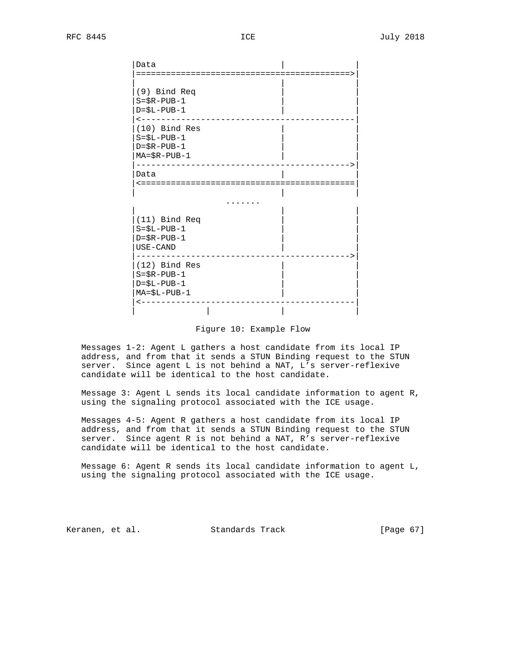| Data                                                                                                                                                               |
|--------------------------------------------------------------------------------------------------------------------------------------------------------------------|
| (9) Bind Req<br>$S = $R - PUB - 1$<br>$D = $L - PUB - 1$<br>$\leftarrow - - -$<br>(10) Bind Res<br>$S = $L - PUB - 1$<br>$D = $R - PUB - 1$<br>$MA = $R - PUB - 1$ |
| Data                                                                                                                                                               |
| (11) Bind Req<br>$S = $L - PUB - 1$<br>$D = $R - PUB - 1$<br>USE-CAND                                                                                              |
| (12) Bind Res<br>$S = $R - PUB - 1$<br>$D = $L - PUB - 1$<br>$MA = $L - PUB - 1$                                                                                   |

Figure 10: Example Flow

 Messages 1-2: Agent L gathers a host candidate from its local IP address, and from that it sends a STUN Binding request to the STUN server. Since agent L is not behind a NAT, L's server-reflexive candidate will be identical to the host candidate.

 Message 3: Agent L sends its local candidate information to agent R, using the signaling protocol associated with the ICE usage.

 Messages 4-5: Agent R gathers a host candidate from its local IP address, and from that it sends a STUN Binding request to the STUN server. Since agent R is not behind a NAT, R's server-reflexive candidate will be identical to the host candidate.

 Message 6: Agent R sends its local candidate information to agent L, using the signaling protocol associated with the ICE usage.

Keranen, et al. Standards Track [Page 67]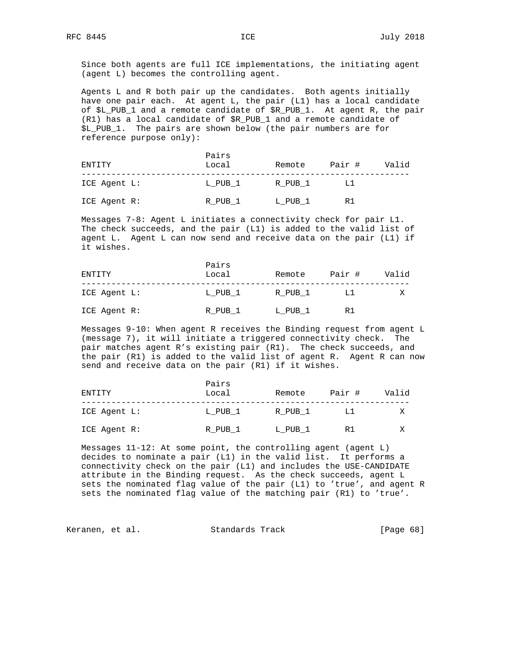Since both agents are full ICE implementations, the initiating agent (agent L) becomes the controlling agent.

 Agents L and R both pair up the candidates. Both agents initially have one pair each. At agent L, the pair (L1) has a local candidate of \$L\_PUB\_1 and a remote candidate of \$R\_PUB\_1. At agent R, the pair (R1) has a local candidate of \$R\_PUB\_1 and a remote candidate of \$L\_PUB\_1. The pairs are shown below (the pair numbers are for reference purpose only):

| ENTITY       | Pairs<br>Local | Remote  | Pair # | Valid |
|--------------|----------------|---------|--------|-------|
| ICE Agent L: | L PUB 1        | R PUB 1 | L1     |       |
| ICE Agent R: | R PUB 1        | L PUB 1 | R 1    |       |

 Messages 7-8: Agent L initiates a connectivity check for pair L1. The check succeeds, and the pair (L1) is added to the valid list of agent L. Agent L can now send and receive data on the pair (L1) if it wishes.

| ENTITY       | Pairs<br>Local | Remote  | Pair # | Valid |
|--------------|----------------|---------|--------|-------|
| ICE Agent L: | L PUB 1        | R PUB 1 | T.T    |       |
| ICE Agent R: | R PUB 1        | L PUB 1 | R 1    |       |

 Messages 9-10: When agent R receives the Binding request from agent L (message 7), it will initiate a triggered connectivity check. The pair matches agent R's existing pair (R1). The check succeeds, and the pair (R1) is added to the valid list of agent R. Agent R can now send and receive data on the pair (R1) if it wishes.

| ENTITY       | Pairs<br>Local | Remote  | Pair # | Valid |
|--------------|----------------|---------|--------|-------|
| ICE Agent L: | L PUB 1        | R PUB 1 |        |       |
| ICE Agent R: | R PUB 1        | L PUB 1 | R1     |       |

 Messages 11-12: At some point, the controlling agent (agent L) decides to nominate a pair (L1) in the valid list. It performs a connectivity check on the pair (L1) and includes the USE-CANDIDATE attribute in the Binding request. As the check succeeds, agent L sets the nominated flag value of the pair (L1) to 'true', and agent R sets the nominated flag value of the matching pair (R1) to 'true'.

Keranen, et al. Standards Track [Page 68]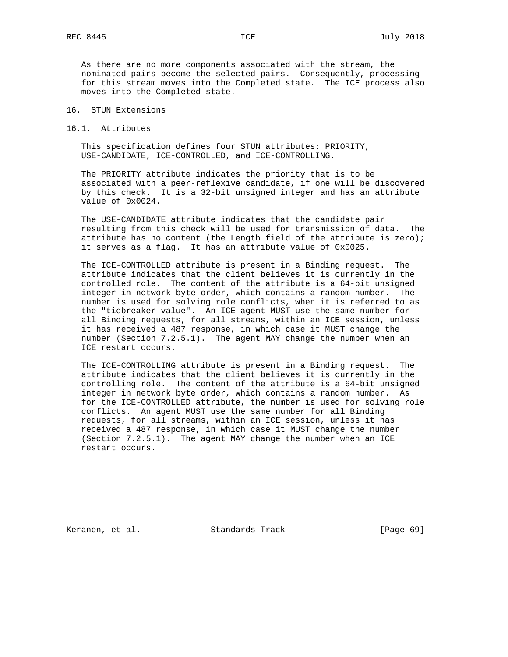As there are no more components associated with the stream, the nominated pairs become the selected pairs. Consequently, processing for this stream moves into the Completed state. The ICE process also moves into the Completed state.

- 16. STUN Extensions
- 16.1. Attributes

 This specification defines four STUN attributes: PRIORITY, USE-CANDIDATE, ICE-CONTROLLED, and ICE-CONTROLLING.

 The PRIORITY attribute indicates the priority that is to be associated with a peer-reflexive candidate, if one will be discovered by this check. It is a 32-bit unsigned integer and has an attribute value of 0x0024.

 The USE-CANDIDATE attribute indicates that the candidate pair resulting from this check will be used for transmission of data. The attribute has no content (the Length field of the attribute is zero); it serves as a flag. It has an attribute value of 0x0025.

 The ICE-CONTROLLED attribute is present in a Binding request. The attribute indicates that the client believes it is currently in the controlled role. The content of the attribute is a 64-bit unsigned integer in network byte order, which contains a random number. The number is used for solving role conflicts, when it is referred to as the "tiebreaker value". An ICE agent MUST use the same number for all Binding requests, for all streams, within an ICE session, unless it has received a 487 response, in which case it MUST change the number (Section 7.2.5.1). The agent MAY change the number when an ICE restart occurs.

 The ICE-CONTROLLING attribute is present in a Binding request. The attribute indicates that the client believes it is currently in the controlling role. The content of the attribute is a 64-bit unsigned integer in network byte order, which contains a random number. As for the ICE-CONTROLLED attribute, the number is used for solving role conflicts. An agent MUST use the same number for all Binding requests, for all streams, within an ICE session, unless it has received a 487 response, in which case it MUST change the number (Section 7.2.5.1). The agent MAY change the number when an ICE restart occurs.

Keranen, et al. Standards Track [Page 69]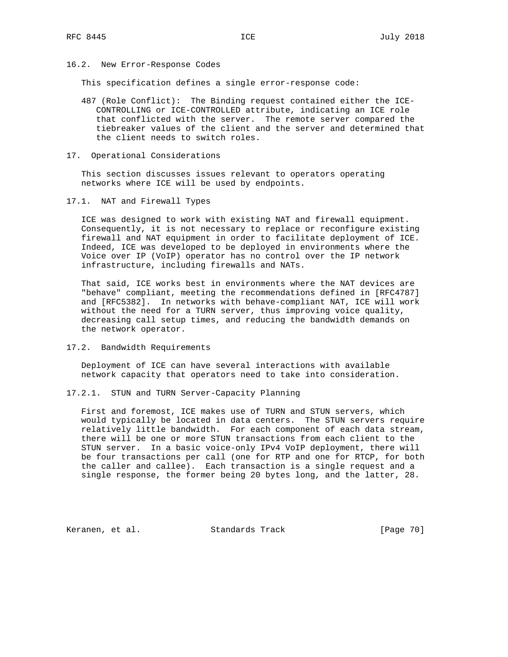## 16.2. New Error-Response Codes

This specification defines a single error-response code:

- 487 (Role Conflict): The Binding request contained either the ICE- CONTROLLING or ICE-CONTROLLED attribute, indicating an ICE role that conflicted with the server. The remote server compared the tiebreaker values of the client and the server and determined that the client needs to switch roles.
- 17. Operational Considerations

 This section discusses issues relevant to operators operating networks where ICE will be used by endpoints.

17.1. NAT and Firewall Types

 ICE was designed to work with existing NAT and firewall equipment. Consequently, it is not necessary to replace or reconfigure existing firewall and NAT equipment in order to facilitate deployment of ICE. Indeed, ICE was developed to be deployed in environments where the Voice over IP (VoIP) operator has no control over the IP network infrastructure, including firewalls and NATs.

 That said, ICE works best in environments where the NAT devices are "behave" compliant, meeting the recommendations defined in [RFC4787] and [RFC5382]. In networks with behave-compliant NAT, ICE will work without the need for a TURN server, thus improving voice quality, decreasing call setup times, and reducing the bandwidth demands on the network operator.

17.2. Bandwidth Requirements

 Deployment of ICE can have several interactions with available network capacity that operators need to take into consideration.

17.2.1. STUN and TURN Server-Capacity Planning

 First and foremost, ICE makes use of TURN and STUN servers, which would typically be located in data centers. The STUN servers require relatively little bandwidth. For each component of each data stream, there will be one or more STUN transactions from each client to the STUN server. In a basic voice-only IPv4 VoIP deployment, there will be four transactions per call (one for RTP and one for RTCP, for both the caller and callee). Each transaction is a single request and a single response, the former being 20 bytes long, and the latter, 28.

Keranen, et al. Standards Track [Page 70]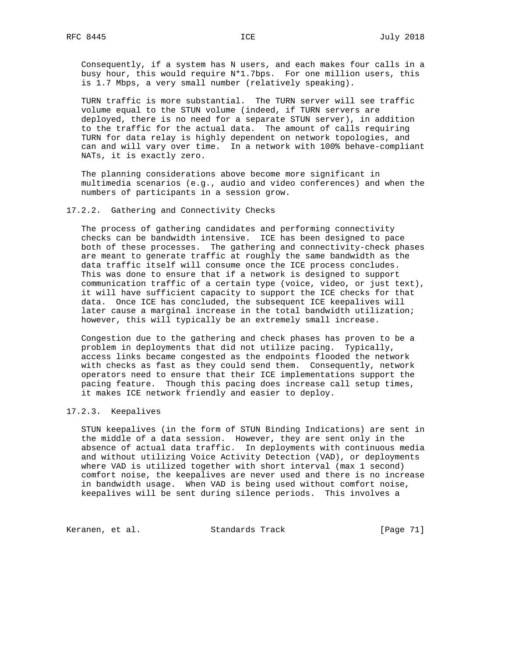Consequently, if a system has N users, and each makes four calls in a busy hour, this would require N\*1.7bps. For one million users, this is 1.7 Mbps, a very small number (relatively speaking).

 TURN traffic is more substantial. The TURN server will see traffic volume equal to the STUN volume (indeed, if TURN servers are deployed, there is no need for a separate STUN server), in addition to the traffic for the actual data. The amount of calls requiring TURN for data relay is highly dependent on network topologies, and can and will vary over time. In a network with 100% behave-compliant NATs, it is exactly zero.

 The planning considerations above become more significant in multimedia scenarios (e.g., audio and video conferences) and when the numbers of participants in a session grow.

#### 17.2.2. Gathering and Connectivity Checks

 The process of gathering candidates and performing connectivity checks can be bandwidth intensive. ICE has been designed to pace both of these processes. The gathering and connectivity-check phases are meant to generate traffic at roughly the same bandwidth as the data traffic itself will consume once the ICE process concludes. This was done to ensure that if a network is designed to support communication traffic of a certain type (voice, video, or just text), it will have sufficient capacity to support the ICE checks for that data. Once ICE has concluded, the subsequent ICE keepalives will later cause a marginal increase in the total bandwidth utilization; however, this will typically be an extremely small increase.

 Congestion due to the gathering and check phases has proven to be a problem in deployments that did not utilize pacing. Typically, access links became congested as the endpoints flooded the network with checks as fast as they could send them. Consequently, network operators need to ensure that their ICE implementations support the pacing feature. Though this pacing does increase call setup times, it makes ICE network friendly and easier to deploy.

## 17.2.3. Keepalives

 STUN keepalives (in the form of STUN Binding Indications) are sent in the middle of a data session. However, they are sent only in the absence of actual data traffic. In deployments with continuous media and without utilizing Voice Activity Detection (VAD), or deployments where VAD is utilized together with short interval (max 1 second) comfort noise, the keepalives are never used and there is no increase in bandwidth usage. When VAD is being used without comfort noise, keepalives will be sent during silence periods. This involves a

Keranen, et al. Standards Track [Page 71]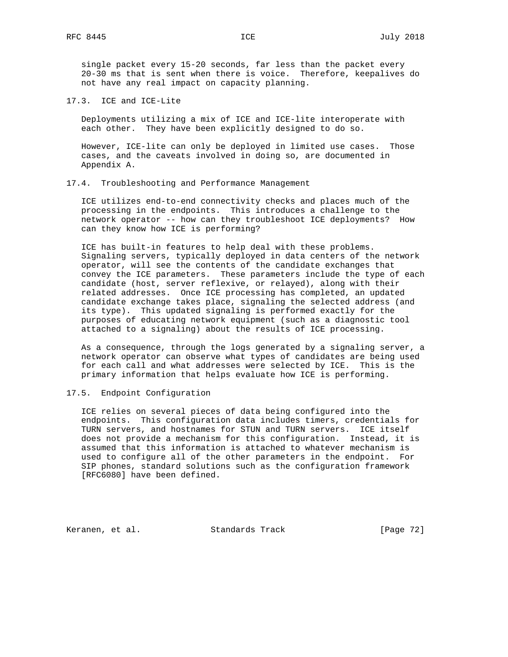single packet every 15-20 seconds, far less than the packet every 20-30 ms that is sent when there is voice. Therefore, keepalives do not have any real impact on capacity planning.

17.3. ICE and ICE-Lite

 Deployments utilizing a mix of ICE and ICE-lite interoperate with each other. They have been explicitly designed to do so.

 However, ICE-lite can only be deployed in limited use cases. Those cases, and the caveats involved in doing so, are documented in Appendix A.

#### 17.4. Troubleshooting and Performance Management

 ICE utilizes end-to-end connectivity checks and places much of the processing in the endpoints. This introduces a challenge to the network operator -- how can they troubleshoot ICE deployments? How can they know how ICE is performing?

 ICE has built-in features to help deal with these problems. Signaling servers, typically deployed in data centers of the network operator, will see the contents of the candidate exchanges that convey the ICE parameters. These parameters include the type of each candidate (host, server reflexive, or relayed), along with their related addresses. Once ICE processing has completed, an updated candidate exchange takes place, signaling the selected address (and its type). This updated signaling is performed exactly for the purposes of educating network equipment (such as a diagnostic tool attached to a signaling) about the results of ICE processing.

 As a consequence, through the logs generated by a signaling server, a network operator can observe what types of candidates are being used for each call and what addresses were selected by ICE. This is the primary information that helps evaluate how ICE is performing.

17.5. Endpoint Configuration

 ICE relies on several pieces of data being configured into the endpoints. This configuration data includes timers, credentials for TURN servers, and hostnames for STUN and TURN servers. ICE itself does not provide a mechanism for this configuration. Instead, it is assumed that this information is attached to whatever mechanism is used to configure all of the other parameters in the endpoint. For SIP phones, standard solutions such as the configuration framework [RFC6080] have been defined.

Keranen, et al. Standards Track [Page 72]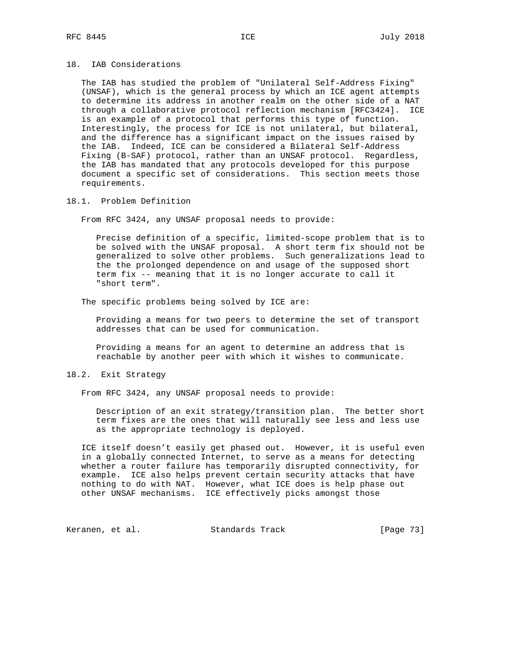## 18. IAB Considerations

 The IAB has studied the problem of "Unilateral Self-Address Fixing" (UNSAF), which is the general process by which an ICE agent attempts to determine its address in another realm on the other side of a NAT through a collaborative protocol reflection mechanism [RFC3424]. ICE is an example of a protocol that performs this type of function. Interestingly, the process for ICE is not unilateral, but bilateral, and the difference has a significant impact on the issues raised by the IAB. Indeed, ICE can be considered a Bilateral Self-Address Fixing (B-SAF) protocol, rather than an UNSAF protocol. Regardless, the IAB has mandated that any protocols developed for this purpose document a specific set of considerations. This section meets those requirements.

## 18.1. Problem Definition

From RFC 3424, any UNSAF proposal needs to provide:

 Precise definition of a specific, limited-scope problem that is to be solved with the UNSAF proposal. A short term fix should not be generalized to solve other problems. Such generalizations lead to the the prolonged dependence on and usage of the supposed short term fix -- meaning that it is no longer accurate to call it "short term".

The specific problems being solved by ICE are:

 Providing a means for two peers to determine the set of transport addresses that can be used for communication.

 Providing a means for an agent to determine an address that is reachable by another peer with which it wishes to communicate.

## 18.2. Exit Strategy

From RFC 3424, any UNSAF proposal needs to provide:

 Description of an exit strategy/transition plan. The better short term fixes are the ones that will naturally see less and less use as the appropriate technology is deployed.

 ICE itself doesn't easily get phased out. However, it is useful even in a globally connected Internet, to serve as a means for detecting whether a router failure has temporarily disrupted connectivity, for example. ICE also helps prevent certain security attacks that have nothing to do with NAT. However, what ICE does is help phase out other UNSAF mechanisms. ICE effectively picks amongst those

Keranen, et al. Standards Track [Page 73]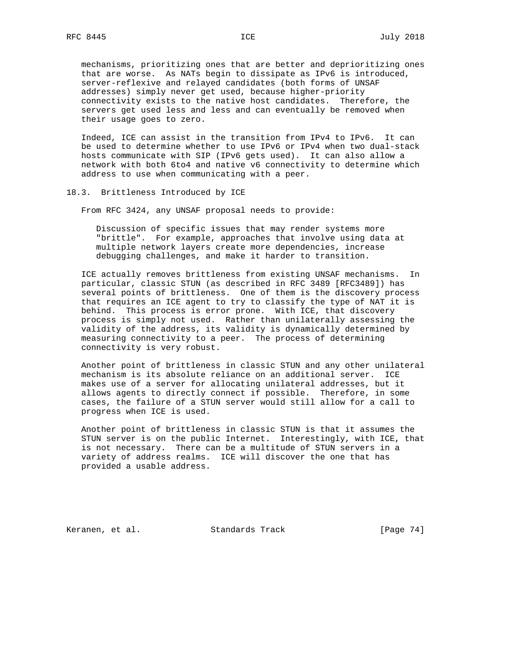mechanisms, prioritizing ones that are better and deprioritizing ones that are worse. As NATs begin to dissipate as IPv6 is introduced, server-reflexive and relayed candidates (both forms of UNSAF addresses) simply never get used, because higher-priority connectivity exists to the native host candidates. Therefore, the servers get used less and less and can eventually be removed when their usage goes to zero.

 Indeed, ICE can assist in the transition from IPv4 to IPv6. It can be used to determine whether to use IPv6 or IPv4 when two dual-stack hosts communicate with SIP (IPv6 gets used). It can also allow a network with both 6to4 and native v6 connectivity to determine which address to use when communicating with a peer.

#### 18.3. Brittleness Introduced by ICE

From RFC 3424, any UNSAF proposal needs to provide:

 Discussion of specific issues that may render systems more "brittle". For example, approaches that involve using data at multiple network layers create more dependencies, increase debugging challenges, and make it harder to transition.

 ICE actually removes brittleness from existing UNSAF mechanisms. In particular, classic STUN (as described in RFC 3489 [RFC3489]) has several points of brittleness. One of them is the discovery process that requires an ICE agent to try to classify the type of NAT it is behind. This process is error prone. With ICE, that discovery process is simply not used. Rather than unilaterally assessing the validity of the address, its validity is dynamically determined by measuring connectivity to a peer. The process of determining connectivity is very robust.

 Another point of brittleness in classic STUN and any other unilateral mechanism is its absolute reliance on an additional server. ICE makes use of a server for allocating unilateral addresses, but it allows agents to directly connect if possible. Therefore, in some cases, the failure of a STUN server would still allow for a call to progress when ICE is used.

 Another point of brittleness in classic STUN is that it assumes the STUN server is on the public Internet. Interestingly, with ICE, that is not necessary. There can be a multitude of STUN servers in a variety of address realms. ICE will discover the one that has provided a usable address.

Keranen, et al. Standards Track [Page 74]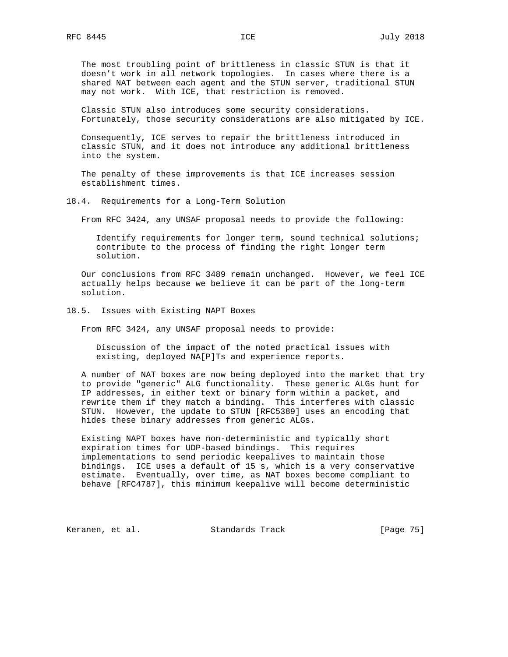The most troubling point of brittleness in classic STUN is that it doesn't work in all network topologies. In cases where there is a shared NAT between each agent and the STUN server, traditional STUN may not work. With ICE, that restriction is removed.

 Classic STUN also introduces some security considerations. Fortunately, those security considerations are also mitigated by ICE.

 Consequently, ICE serves to repair the brittleness introduced in classic STUN, and it does not introduce any additional brittleness into the system.

 The penalty of these improvements is that ICE increases session establishment times.

18.4. Requirements for a Long-Term Solution

From RFC 3424, any UNSAF proposal needs to provide the following:

 Identify requirements for longer term, sound technical solutions; contribute to the process of finding the right longer term solution.

 Our conclusions from RFC 3489 remain unchanged. However, we feel ICE actually helps because we believe it can be part of the long-term solution.

18.5. Issues with Existing NAPT Boxes

From RFC 3424, any UNSAF proposal needs to provide:

 Discussion of the impact of the noted practical issues with existing, deployed NA[P]Ts and experience reports.

 A number of NAT boxes are now being deployed into the market that try to provide "generic" ALG functionality. These generic ALGs hunt for IP addresses, in either text or binary form within a packet, and rewrite them if they match a binding. This interferes with classic STUN. However, the update to STUN [RFC5389] uses an encoding that hides these binary addresses from generic ALGs.

 Existing NAPT boxes have non-deterministic and typically short expiration times for UDP-based bindings. This requires implementations to send periodic keepalives to maintain those bindings. ICE uses a default of 15 s, which is a very conservative estimate. Eventually, over time, as NAT boxes become compliant to behave [RFC4787], this minimum keepalive will become deterministic

Keranen, et al. Standards Track [Page 75]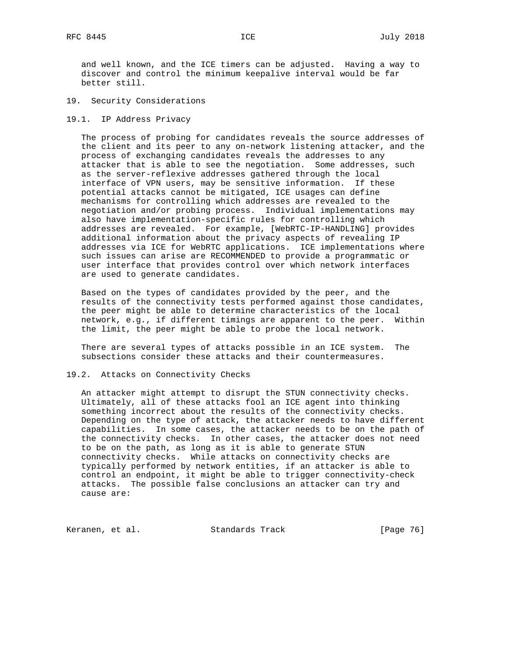and well known, and the ICE timers can be adjusted. Having a way to discover and control the minimum keepalive interval would be far better still.

- 19. Security Considerations
- 19.1. IP Address Privacy

 The process of probing for candidates reveals the source addresses of the client and its peer to any on-network listening attacker, and the process of exchanging candidates reveals the addresses to any attacker that is able to see the negotiation. Some addresses, such as the server-reflexive addresses gathered through the local interface of VPN users, may be sensitive information. If these potential attacks cannot be mitigated, ICE usages can define mechanisms for controlling which addresses are revealed to the negotiation and/or probing process. Individual implementations may also have implementation-specific rules for controlling which addresses are revealed. For example, [WebRTC-IP-HANDLING] provides additional information about the privacy aspects of revealing IP addresses via ICE for WebRTC applications. ICE implementations where such issues can arise are RECOMMENDED to provide a programmatic or user interface that provides control over which network interfaces are used to generate candidates.

 Based on the types of candidates provided by the peer, and the results of the connectivity tests performed against those candidates, the peer might be able to determine characteristics of the local network, e.g., if different timings are apparent to the peer. Within the limit, the peer might be able to probe the local network.

 There are several types of attacks possible in an ICE system. The subsections consider these attacks and their countermeasures.

## 19.2. Attacks on Connectivity Checks

 An attacker might attempt to disrupt the STUN connectivity checks. Ultimately, all of these attacks fool an ICE agent into thinking something incorrect about the results of the connectivity checks. Depending on the type of attack, the attacker needs to have different capabilities. In some cases, the attacker needs to be on the path of the connectivity checks. In other cases, the attacker does not need to be on the path, as long as it is able to generate STUN connectivity checks. While attacks on connectivity checks are typically performed by network entities, if an attacker is able to control an endpoint, it might be able to trigger connectivity-check attacks. The possible false conclusions an attacker can try and cause are:

Keranen, et al. Standards Track [Page 76]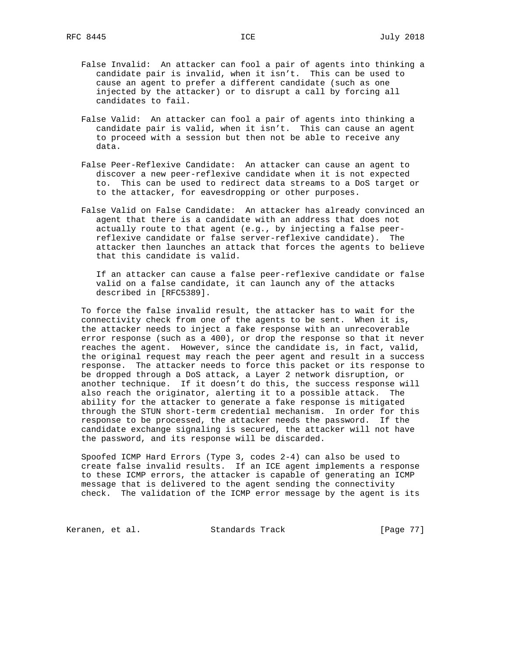- False Invalid: An attacker can fool a pair of agents into thinking a candidate pair is invalid, when it isn't. This can be used to cause an agent to prefer a different candidate (such as one injected by the attacker) or to disrupt a call by forcing all candidates to fail.
- False Valid: An attacker can fool a pair of agents into thinking a candidate pair is valid, when it isn't. This can cause an agent to proceed with a session but then not be able to receive any data.
- False Peer-Reflexive Candidate: An attacker can cause an agent to discover a new peer-reflexive candidate when it is not expected to. This can be used to redirect data streams to a DoS target or to the attacker, for eavesdropping or other purposes.
- False Valid on False Candidate: An attacker has already convinced an agent that there is a candidate with an address that does not actually route to that agent (e.g., by injecting a false peer reflexive candidate or false server-reflexive candidate). The attacker then launches an attack that forces the agents to believe that this candidate is valid.

 If an attacker can cause a false peer-reflexive candidate or false valid on a false candidate, it can launch any of the attacks described in [RFC5389].

 To force the false invalid result, the attacker has to wait for the connectivity check from one of the agents to be sent. When it is, the attacker needs to inject a fake response with an unrecoverable error response (such as a 400), or drop the response so that it never reaches the agent. However, since the candidate is, in fact, valid, the original request may reach the peer agent and result in a success response. The attacker needs to force this packet or its response to be dropped through a DoS attack, a Layer 2 network disruption, or another technique. If it doesn't do this, the success response will also reach the originator, alerting it to a possible attack. The ability for the attacker to generate a fake response is mitigated through the STUN short-term credential mechanism. In order for this response to be processed, the attacker needs the password. If the candidate exchange signaling is secured, the attacker will not have the password, and its response will be discarded.

 Spoofed ICMP Hard Errors (Type 3, codes 2-4) can also be used to create false invalid results. If an ICE agent implements a response to these ICMP errors, the attacker is capable of generating an ICMP message that is delivered to the agent sending the connectivity check. The validation of the ICMP error message by the agent is its

Keranen, et al. Standards Track [Page 77]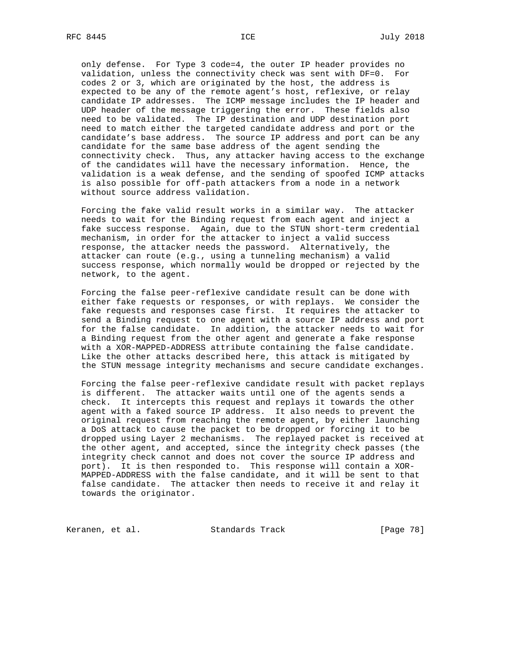only defense. For Type 3 code=4, the outer IP header provides no validation, unless the connectivity check was sent with DF=0. For codes 2 or 3, which are originated by the host, the address is expected to be any of the remote agent's host, reflexive, or relay candidate IP addresses. The ICMP message includes the IP header and UDP header of the message triggering the error. These fields also need to be validated. The IP destination and UDP destination port need to match either the targeted candidate address and port or the candidate's base address. The source IP address and port can be any candidate for the same base address of the agent sending the connectivity check. Thus, any attacker having access to the exchange of the candidates will have the necessary information. Hence, the validation is a weak defense, and the sending of spoofed ICMP attacks is also possible for off-path attackers from a node in a network without source address validation.

 Forcing the fake valid result works in a similar way. The attacker needs to wait for the Binding request from each agent and inject a fake success response. Again, due to the STUN short-term credential mechanism, in order for the attacker to inject a valid success response, the attacker needs the password. Alternatively, the attacker can route (e.g., using a tunneling mechanism) a valid success response, which normally would be dropped or rejected by the network, to the agent.

 Forcing the false peer-reflexive candidate result can be done with either fake requests or responses, or with replays. We consider the fake requests and responses case first. It requires the attacker to send a Binding request to one agent with a source IP address and port for the false candidate. In addition, the attacker needs to wait for a Binding request from the other agent and generate a fake response with a XOR-MAPPED-ADDRESS attribute containing the false candidate. Like the other attacks described here, this attack is mitigated by the STUN message integrity mechanisms and secure candidate exchanges.

 Forcing the false peer-reflexive candidate result with packet replays is different. The attacker waits until one of the agents sends a check. It intercepts this request and replays it towards the other agent with a faked source IP address. It also needs to prevent the original request from reaching the remote agent, by either launching a DoS attack to cause the packet to be dropped or forcing it to be dropped using Layer 2 mechanisms. The replayed packet is received at the other agent, and accepted, since the integrity check passes (the integrity check cannot and does not cover the source IP address and port). It is then responded to. This response will contain a XOR- MAPPED-ADDRESS with the false candidate, and it will be sent to that false candidate. The attacker then needs to receive it and relay it towards the originator.

Keranen, et al. Standards Track [Page 78]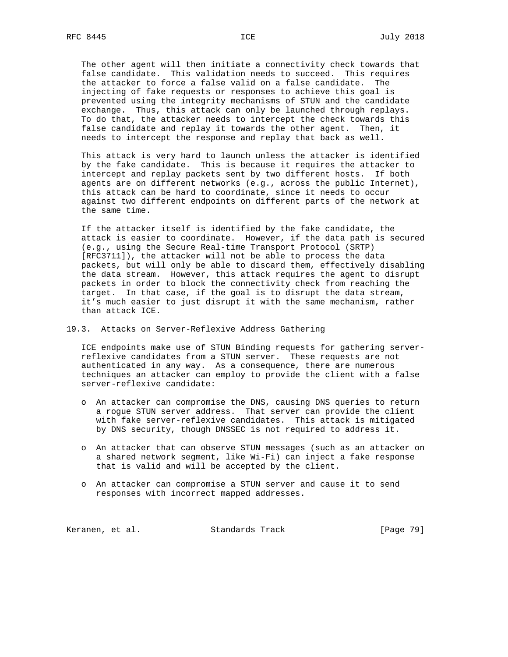The other agent will then initiate a connectivity check towards that false candidate. This validation needs to succeed. This requires the attacker to force a false valid on a false candidate. The injecting of fake requests or responses to achieve this goal is prevented using the integrity mechanisms of STUN and the candidate exchange. Thus, this attack can only be launched through replays. To do that, the attacker needs to intercept the check towards this false candidate and replay it towards the other agent. Then, it needs to intercept the response and replay that back as well.

 This attack is very hard to launch unless the attacker is identified by the fake candidate. This is because it requires the attacker to intercept and replay packets sent by two different hosts. If both agents are on different networks (e.g., across the public Internet), this attack can be hard to coordinate, since it needs to occur against two different endpoints on different parts of the network at the same time.

 If the attacker itself is identified by the fake candidate, the attack is easier to coordinate. However, if the data path is secured (e.g., using the Secure Real-time Transport Protocol (SRTP) [RFC3711]), the attacker will not be able to process the data packets, but will only be able to discard them, effectively disabling the data stream. However, this attack requires the agent to disrupt packets in order to block the connectivity check from reaching the target. In that case, if the goal is to disrupt the data stream, it's much easier to just disrupt it with the same mechanism, rather than attack ICE.

#### 19.3. Attacks on Server-Reflexive Address Gathering

 ICE endpoints make use of STUN Binding requests for gathering server reflexive candidates from a STUN server. These requests are not authenticated in any way. As a consequence, there are numerous techniques an attacker can employ to provide the client with a false server-reflexive candidate:

- o An attacker can compromise the DNS, causing DNS queries to return a rogue STUN server address. That server can provide the client with fake server-reflexive candidates. This attack is mitigated by DNS security, though DNSSEC is not required to address it.
- o An attacker that can observe STUN messages (such as an attacker on a shared network segment, like Wi-Fi) can inject a fake response that is valid and will be accepted by the client.
- o An attacker can compromise a STUN server and cause it to send responses with incorrect mapped addresses.

Keranen, et al. Standards Track [Page 79]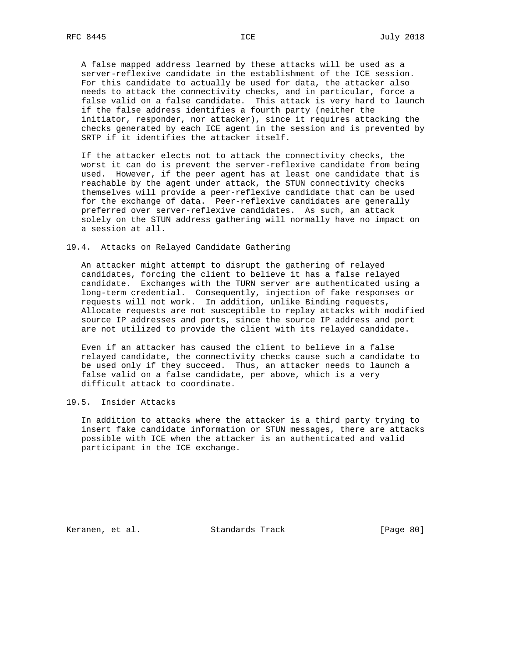A false mapped address learned by these attacks will be used as a server-reflexive candidate in the establishment of the ICE session. For this candidate to actually be used for data, the attacker also needs to attack the connectivity checks, and in particular, force a false valid on a false candidate. This attack is very hard to launch if the false address identifies a fourth party (neither the initiator, responder, nor attacker), since it requires attacking the checks generated by each ICE agent in the session and is prevented by SRTP if it identifies the attacker itself.

 If the attacker elects not to attack the connectivity checks, the worst it can do is prevent the server-reflexive candidate from being used. However, if the peer agent has at least one candidate that is reachable by the agent under attack, the STUN connectivity checks themselves will provide a peer-reflexive candidate that can be used for the exchange of data. Peer-reflexive candidates are generally preferred over server-reflexive candidates. As such, an attack solely on the STUN address gathering will normally have no impact on a session at all.

## 19.4. Attacks on Relayed Candidate Gathering

 An attacker might attempt to disrupt the gathering of relayed candidates, forcing the client to believe it has a false relayed candidate. Exchanges with the TURN server are authenticated using a long-term credential. Consequently, injection of fake responses or requests will not work. In addition, unlike Binding requests, Allocate requests are not susceptible to replay attacks with modified source IP addresses and ports, since the source IP address and port are not utilized to provide the client with its relayed candidate.

 Even if an attacker has caused the client to believe in a false relayed candidate, the connectivity checks cause such a candidate to be used only if they succeed. Thus, an attacker needs to launch a false valid on a false candidate, per above, which is a very difficult attack to coordinate.

#### 19.5. Insider Attacks

 In addition to attacks where the attacker is a third party trying to insert fake candidate information or STUN messages, there are attacks possible with ICE when the attacker is an authenticated and valid participant in the ICE exchange.

Keranen, et al. Standards Track [Page 80]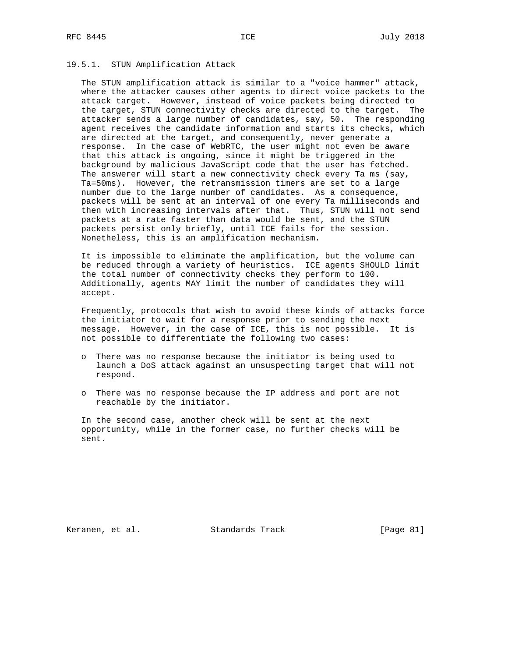## 19.5.1. STUN Amplification Attack

 The STUN amplification attack is similar to a "voice hammer" attack, where the attacker causes other agents to direct voice packets to the attack target. However, instead of voice packets being directed to the target, STUN connectivity checks are directed to the target. The attacker sends a large number of candidates, say, 50. The responding agent receives the candidate information and starts its checks, which are directed at the target, and consequently, never generate a response. In the case of WebRTC, the user might not even be aware that this attack is ongoing, since it might be triggered in the background by malicious JavaScript code that the user has fetched. The answerer will start a new connectivity check every Ta ms (say, Ta=50ms). However, the retransmission timers are set to a large number due to the large number of candidates. As a consequence, packets will be sent at an interval of one every Ta milliseconds and then with increasing intervals after that. Thus, STUN will not send packets at a rate faster than data would be sent, and the STUN packets persist only briefly, until ICE fails for the session. Nonetheless, this is an amplification mechanism.

 It is impossible to eliminate the amplification, but the volume can be reduced through a variety of heuristics. ICE agents SHOULD limit the total number of connectivity checks they perform to 100. Additionally, agents MAY limit the number of candidates they will accept.

 Frequently, protocols that wish to avoid these kinds of attacks force the initiator to wait for a response prior to sending the next message. However, in the case of ICE, this is not possible. It is not possible to differentiate the following two cases:

- o There was no response because the initiator is being used to launch a DoS attack against an unsuspecting target that will not respond.
- o There was no response because the IP address and port are not reachable by the initiator.

 In the second case, another check will be sent at the next opportunity, while in the former case, no further checks will be sent.

Keranen, et al. Standards Track [Page 81]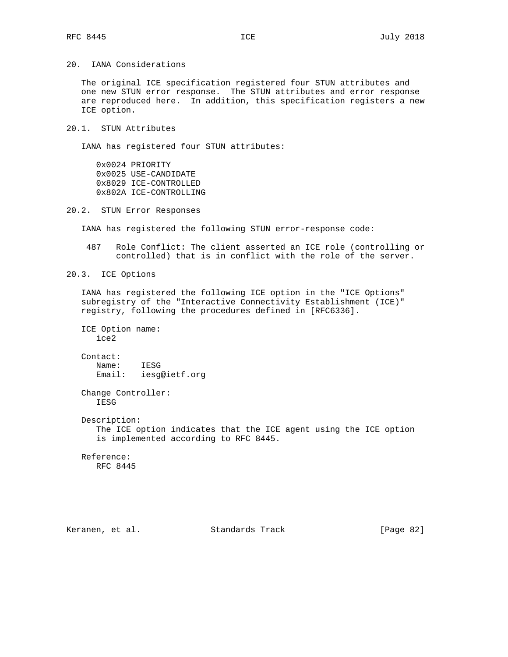20. IANA Considerations

 The original ICE specification registered four STUN attributes and one new STUN error response. The STUN attributes and error response are reproduced here. In addition, this specification registers a new ICE option.

20.1. STUN Attributes

IANA has registered four STUN attributes:

 0x0024 PRIORITY 0x0025 USE-CANDIDATE 0x8029 ICE-CONTROLLED 0x802A ICE-CONTROLLING

20.2. STUN Error Responses

IANA has registered the following STUN error-response code:

 487 Role Conflict: The client asserted an ICE role (controlling or controlled) that is in conflict with the role of the server.

20.3. ICE Options

 IANA has registered the following ICE option in the "ICE Options" subregistry of the "Interactive Connectivity Establishment (ICE)" registry, following the procedures defined in [RFC6336].

 ICE Option name: ice2 Contact:

 Name: IESG Email: iesg@ietf.org

 Change Controller: IESG

Description:

 The ICE option indicates that the ICE agent using the ICE option is implemented according to RFC 8445.

 Reference: RFC 8445

Keranen, et al. Standards Track [Page 82]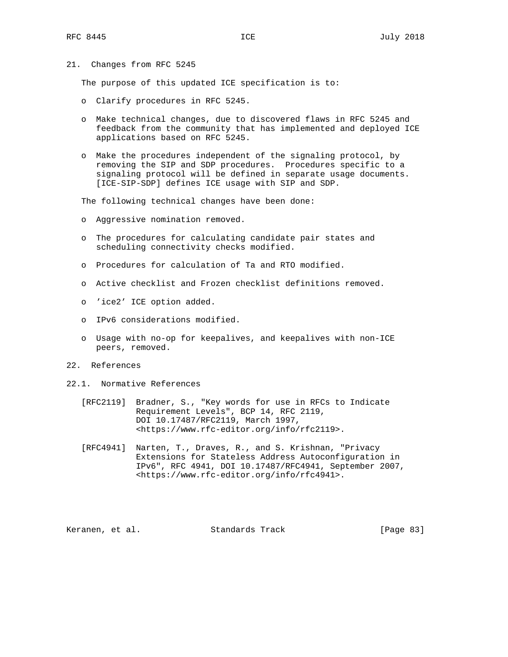21. Changes from RFC 5245

The purpose of this updated ICE specification is to:

- o Clarify procedures in RFC 5245.
- o Make technical changes, due to discovered flaws in RFC 5245 and feedback from the community that has implemented and deployed ICE applications based on RFC 5245.
- o Make the procedures independent of the signaling protocol, by removing the SIP and SDP procedures. Procedures specific to a signaling protocol will be defined in separate usage documents. [ICE-SIP-SDP] defines ICE usage with SIP and SDP.

The following technical changes have been done:

- o Aggressive nomination removed.
- o The procedures for calculating candidate pair states and scheduling connectivity checks modified.
- o Procedures for calculation of Ta and RTO modified.
- o Active checklist and Frozen checklist definitions removed.
- o 'ice2' ICE option added.
- o IPv6 considerations modified.
- o Usage with no-op for keepalives, and keepalives with non-ICE peers, removed.
- 22. References
- 22.1. Normative References
	- [RFC2119] Bradner, S., "Key words for use in RFCs to Indicate Requirement Levels", BCP 14, RFC 2119, DOI 10.17487/RFC2119, March 1997, <https://www.rfc-editor.org/info/rfc2119>.
	- [RFC4941] Narten, T., Draves, R., and S. Krishnan, "Privacy Extensions for Stateless Address Autoconfiguration in IPv6", RFC 4941, DOI 10.17487/RFC4941, September 2007, <https://www.rfc-editor.org/info/rfc4941>.

Keranen, et al. Standards Track [Page 83]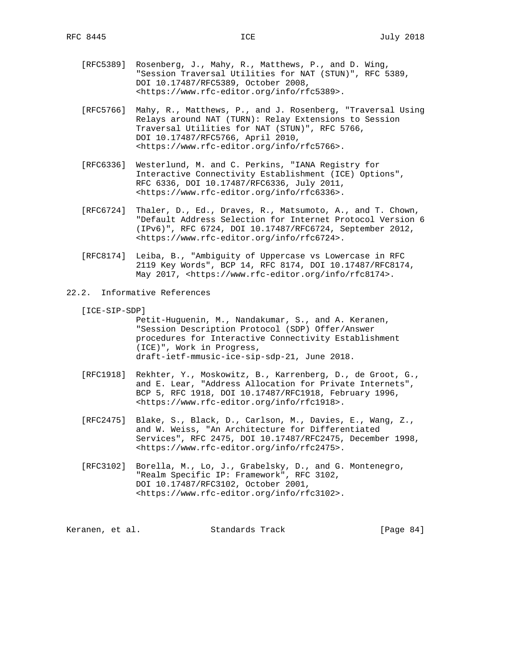- [RFC5389] Rosenberg, J., Mahy, R., Matthews, P., and D. Wing, "Session Traversal Utilities for NAT (STUN)", RFC 5389, DOI 10.17487/RFC5389, October 2008, <https://www.rfc-editor.org/info/rfc5389>.
- [RFC5766] Mahy, R., Matthews, P., and J. Rosenberg, "Traversal Using Relays around NAT (TURN): Relay Extensions to Session Traversal Utilities for NAT (STUN)", RFC 5766, DOI 10.17487/RFC5766, April 2010, <https://www.rfc-editor.org/info/rfc5766>.
- [RFC6336] Westerlund, M. and C. Perkins, "IANA Registry for Interactive Connectivity Establishment (ICE) Options", RFC 6336, DOI 10.17487/RFC6336, July 2011, <https://www.rfc-editor.org/info/rfc6336>.
- [RFC6724] Thaler, D., Ed., Draves, R., Matsumoto, A., and T. Chown, "Default Address Selection for Internet Protocol Version 6 (IPv6)", RFC 6724, DOI 10.17487/RFC6724, September 2012, <https://www.rfc-editor.org/info/rfc6724>.
- [RFC8174] Leiba, B., "Ambiguity of Uppercase vs Lowercase in RFC 2119 Key Words", BCP 14, RFC 8174, DOI 10.17487/RFC8174, May 2017, <https://www.rfc-editor.org/info/rfc8174>.
- 22.2. Informative References
	- [ICE-SIP-SDP]

 Petit-Huguenin, M., Nandakumar, S., and A. Keranen, "Session Description Protocol (SDP) Offer/Answer procedures for Interactive Connectivity Establishment (ICE)", Work in Progress, draft-ietf-mmusic-ice-sip-sdp-21, June 2018.

- [RFC1918] Rekhter, Y., Moskowitz, B., Karrenberg, D., de Groot, G., and E. Lear, "Address Allocation for Private Internets", BCP 5, RFC 1918, DOI 10.17487/RFC1918, February 1996, <https://www.rfc-editor.org/info/rfc1918>.
- [RFC2475] Blake, S., Black, D., Carlson, M., Davies, E., Wang, Z., and W. Weiss, "An Architecture for Differentiated Services", RFC 2475, DOI 10.17487/RFC2475, December 1998, <https://www.rfc-editor.org/info/rfc2475>.
- [RFC3102] Borella, M., Lo, J., Grabelsky, D., and G. Montenegro, "Realm Specific IP: Framework", RFC 3102, DOI 10.17487/RFC3102, October 2001, <https://www.rfc-editor.org/info/rfc3102>.

Keranen, et al. Standards Track [Page 84]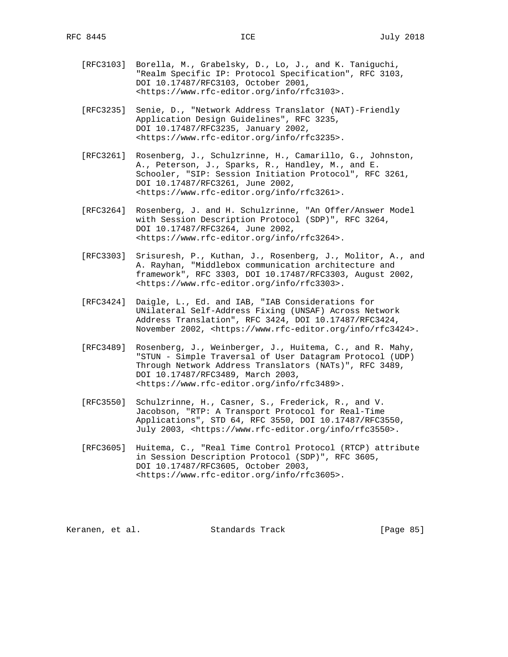- [RFC3103] Borella, M., Grabelsky, D., Lo, J., and K. Taniguchi, "Realm Specific IP: Protocol Specification", RFC 3103, DOI 10.17487/RFC3103, October 2001, <https://www.rfc-editor.org/info/rfc3103>.
- [RFC3235] Senie, D., "Network Address Translator (NAT)-Friendly Application Design Guidelines", RFC 3235, DOI 10.17487/RFC3235, January 2002, <https://www.rfc-editor.org/info/rfc3235>.
- [RFC3261] Rosenberg, J., Schulzrinne, H., Camarillo, G., Johnston, A., Peterson, J., Sparks, R., Handley, M., and E. Schooler, "SIP: Session Initiation Protocol", RFC 3261, DOI 10.17487/RFC3261, June 2002, <https://www.rfc-editor.org/info/rfc3261>.
- [RFC3264] Rosenberg, J. and H. Schulzrinne, "An Offer/Answer Model with Session Description Protocol (SDP)", RFC 3264, DOI 10.17487/RFC3264, June 2002, <https://www.rfc-editor.org/info/rfc3264>.
- [RFC3303] Srisuresh, P., Kuthan, J., Rosenberg, J., Molitor, A., and A. Rayhan, "Middlebox communication architecture and framework", RFC 3303, DOI 10.17487/RFC3303, August 2002, <https://www.rfc-editor.org/info/rfc3303>.
- [RFC3424] Daigle, L., Ed. and IAB, "IAB Considerations for UNilateral Self-Address Fixing (UNSAF) Across Network Address Translation", RFC 3424, DOI 10.17487/RFC3424, November 2002, <https://www.rfc-editor.org/info/rfc3424>.
- [RFC3489] Rosenberg, J., Weinberger, J., Huitema, C., and R. Mahy, "STUN - Simple Traversal of User Datagram Protocol (UDP) Through Network Address Translators (NATs)", RFC 3489, DOI 10.17487/RFC3489, March 2003, <https://www.rfc-editor.org/info/rfc3489>.
- [RFC3550] Schulzrinne, H., Casner, S., Frederick, R., and V. Jacobson, "RTP: A Transport Protocol for Real-Time Applications", STD 64, RFC 3550, DOI 10.17487/RFC3550, July 2003, <https://www.rfc-editor.org/info/rfc3550>.
- [RFC3605] Huitema, C., "Real Time Control Protocol (RTCP) attribute in Session Description Protocol (SDP)", RFC 3605, DOI 10.17487/RFC3605, October 2003, <https://www.rfc-editor.org/info/rfc3605>.

Keranen, et al. Standards Track [Page 85]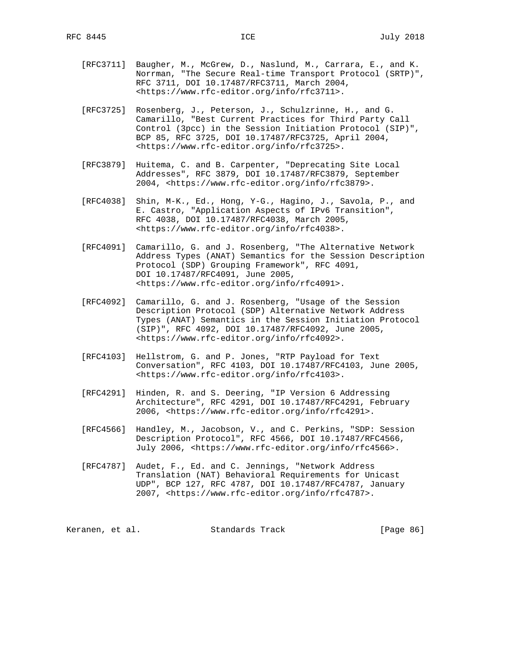- [RFC3711] Baugher, M., McGrew, D., Naslund, M., Carrara, E., and K. Norrman, "The Secure Real-time Transport Protocol (SRTP)", RFC 3711, DOI 10.17487/RFC3711, March 2004, <https://www.rfc-editor.org/info/rfc3711>.
- [RFC3725] Rosenberg, J., Peterson, J., Schulzrinne, H., and G. Camarillo, "Best Current Practices for Third Party Call Control (3pcc) in the Session Initiation Protocol (SIP)", BCP 85, RFC 3725, DOI 10.17487/RFC3725, April 2004, <https://www.rfc-editor.org/info/rfc3725>.
- [RFC3879] Huitema, C. and B. Carpenter, "Deprecating Site Local Addresses", RFC 3879, DOI 10.17487/RFC3879, September 2004, <https://www.rfc-editor.org/info/rfc3879>.
- [RFC4038] Shin, M-K., Ed., Hong, Y-G., Hagino, J., Savola, P., and E. Castro, "Application Aspects of IPv6 Transition", RFC 4038, DOI 10.17487/RFC4038, March 2005, <https://www.rfc-editor.org/info/rfc4038>.
- [RFC4091] Camarillo, G. and J. Rosenberg, "The Alternative Network Address Types (ANAT) Semantics for the Session Description Protocol (SDP) Grouping Framework", RFC 4091, DOI 10.17487/RFC4091, June 2005, <https://www.rfc-editor.org/info/rfc4091>.
- [RFC4092] Camarillo, G. and J. Rosenberg, "Usage of the Session Description Protocol (SDP) Alternative Network Address Types (ANAT) Semantics in the Session Initiation Protocol (SIP)", RFC 4092, DOI 10.17487/RFC4092, June 2005, <https://www.rfc-editor.org/info/rfc4092>.
- [RFC4103] Hellstrom, G. and P. Jones, "RTP Payload for Text Conversation", RFC 4103, DOI 10.17487/RFC4103, June 2005, <https://www.rfc-editor.org/info/rfc4103>.
- [RFC4291] Hinden, R. and S. Deering, "IP Version 6 Addressing Architecture", RFC 4291, DOI 10.17487/RFC4291, February 2006, <https://www.rfc-editor.org/info/rfc4291>.
- [RFC4566] Handley, M., Jacobson, V., and C. Perkins, "SDP: Session Description Protocol", RFC 4566, DOI 10.17487/RFC4566, July 2006, <https://www.rfc-editor.org/info/rfc4566>.
- [RFC4787] Audet, F., Ed. and C. Jennings, "Network Address Translation (NAT) Behavioral Requirements for Unicast UDP", BCP 127, RFC 4787, DOI 10.17487/RFC4787, January 2007, <https://www.rfc-editor.org/info/rfc4787>.

| [Page 86]<br>Keranen, et al.<br>Standards Track |  |  |  |  |
|-------------------------------------------------|--|--|--|--|
|-------------------------------------------------|--|--|--|--|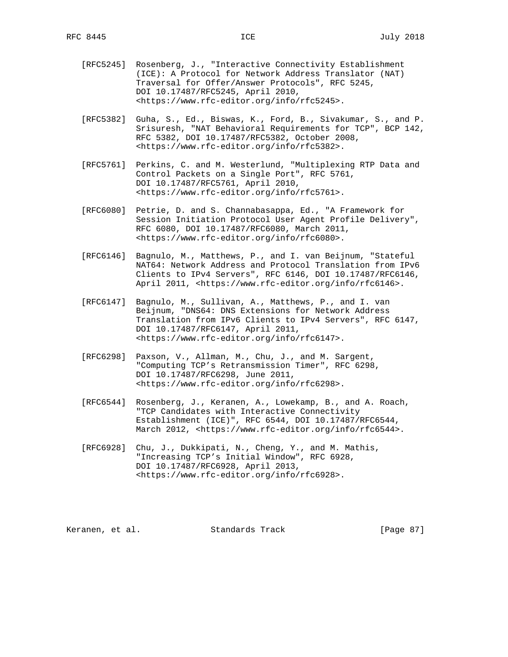- [RFC5245] Rosenberg, J., "Interactive Connectivity Establishment (ICE): A Protocol for Network Address Translator (NAT) Traversal for Offer/Answer Protocols", RFC 5245, DOI 10.17487/RFC5245, April 2010, <https://www.rfc-editor.org/info/rfc5245>.
- [RFC5382] Guha, S., Ed., Biswas, K., Ford, B., Sivakumar, S., and P. Srisuresh, "NAT Behavioral Requirements for TCP", BCP 142, RFC 5382, DOI 10.17487/RFC5382, October 2008, <https://www.rfc-editor.org/info/rfc5382>.
- [RFC5761] Perkins, C. and M. Westerlund, "Multiplexing RTP Data and Control Packets on a Single Port", RFC 5761, DOI 10.17487/RFC5761, April 2010, <https://www.rfc-editor.org/info/rfc5761>.
- [RFC6080] Petrie, D. and S. Channabasappa, Ed., "A Framework for Session Initiation Protocol User Agent Profile Delivery", RFC 6080, DOI 10.17487/RFC6080, March 2011, <https://www.rfc-editor.org/info/rfc6080>.
- [RFC6146] Bagnulo, M., Matthews, P., and I. van Beijnum, "Stateful NAT64: Network Address and Protocol Translation from IPv6 Clients to IPv4 Servers", RFC 6146, DOI 10.17487/RFC6146, April 2011, <https://www.rfc-editor.org/info/rfc6146>.
- [RFC6147] Bagnulo, M., Sullivan, A., Matthews, P., and I. van Beijnum, "DNS64: DNS Extensions for Network Address Translation from IPv6 Clients to IPv4 Servers", RFC 6147, DOI 10.17487/RFC6147, April 2011, <https://www.rfc-editor.org/info/rfc6147>.
- [RFC6298] Paxson, V., Allman, M., Chu, J., and M. Sargent, "Computing TCP's Retransmission Timer", RFC 6298, DOI 10.17487/RFC6298, June 2011, <https://www.rfc-editor.org/info/rfc6298>.
- [RFC6544] Rosenberg, J., Keranen, A., Lowekamp, B., and A. Roach, "TCP Candidates with Interactive Connectivity Establishment (ICE)", RFC 6544, DOI 10.17487/RFC6544, March 2012, <https://www.rfc-editor.org/info/rfc6544>.
- [RFC6928] Chu, J., Dukkipati, N., Cheng, Y., and M. Mathis, "Increasing TCP's Initial Window", RFC 6928, DOI 10.17487/RFC6928, April 2013, <https://www.rfc-editor.org/info/rfc6928>.

Keranen, et al. Standards Track [Page 87]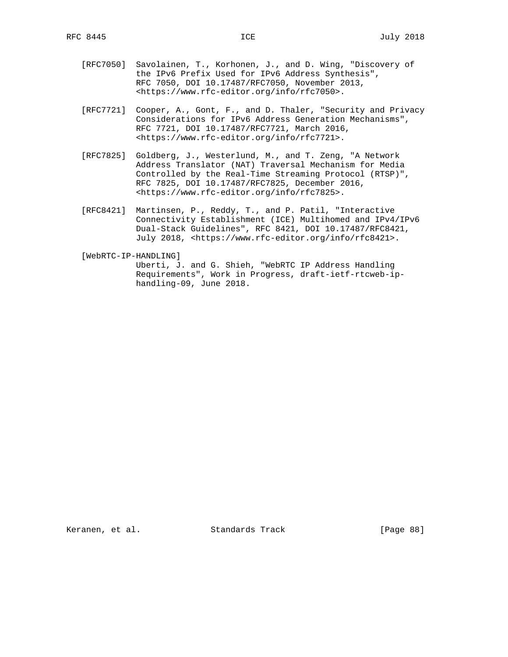- [RFC7050] Savolainen, T., Korhonen, J., and D. Wing, "Discovery of the IPv6 Prefix Used for IPv6 Address Synthesis", RFC 7050, DOI 10.17487/RFC7050, November 2013, <https://www.rfc-editor.org/info/rfc7050>.
- [RFC7721] Cooper, A., Gont, F., and D. Thaler, "Security and Privacy Considerations for IPv6 Address Generation Mechanisms", RFC 7721, DOI 10.17487/RFC7721, March 2016, <https://www.rfc-editor.org/info/rfc7721>.
- [RFC7825] Goldberg, J., Westerlund, M., and T. Zeng, "A Network Address Translator (NAT) Traversal Mechanism for Media Controlled by the Real-Time Streaming Protocol (RTSP)", RFC 7825, DOI 10.17487/RFC7825, December 2016, <https://www.rfc-editor.org/info/rfc7825>.
- [RFC8421] Martinsen, P., Reddy, T., and P. Patil, "Interactive Connectivity Establishment (ICE) Multihomed and IPv4/IPv6 Dual-Stack Guidelines", RFC 8421, DOI 10.17487/RFC8421, July 2018, <https://www.rfc-editor.org/info/rfc8421>.

[WebRTC-IP-HANDLING]

 Uberti, J. and G. Shieh, "WebRTC IP Address Handling Requirements", Work in Progress, draft-ietf-rtcweb-ip handling-09, June 2018.

Keranen, et al. Standards Track [Page 88]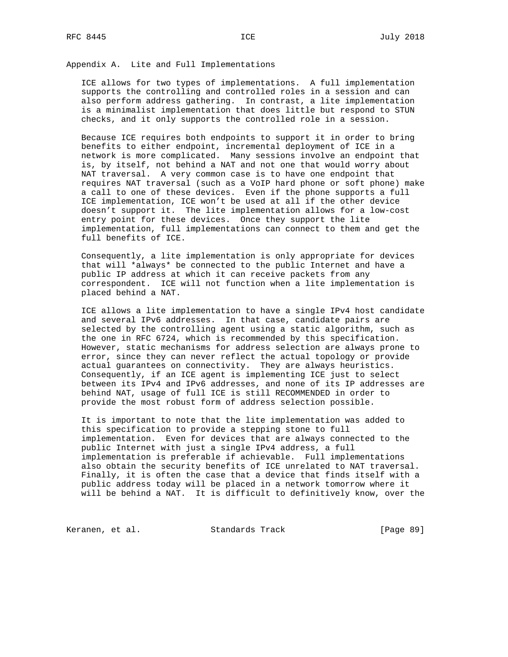# Appendix A. Lite and Full Implementations

 ICE allows for two types of implementations. A full implementation supports the controlling and controlled roles in a session and can also perform address gathering. In contrast, a lite implementation is a minimalist implementation that does little but respond to STUN checks, and it only supports the controlled role in a session.

 Because ICE requires both endpoints to support it in order to bring benefits to either endpoint, incremental deployment of ICE in a network is more complicated. Many sessions involve an endpoint that is, by itself, not behind a NAT and not one that would worry about NAT traversal. A very common case is to have one endpoint that requires NAT traversal (such as a VoIP hard phone or soft phone) make a call to one of these devices. Even if the phone supports a full ICE implementation, ICE won't be used at all if the other device doesn't support it. The lite implementation allows for a low-cost entry point for these devices. Once they support the lite implementation, full implementations can connect to them and get the full benefits of ICE.

 Consequently, a lite implementation is only appropriate for devices that will \*always\* be connected to the public Internet and have a public IP address at which it can receive packets from any correspondent. ICE will not function when a lite implementation is placed behind a NAT.

 ICE allows a lite implementation to have a single IPv4 host candidate and several IPv6 addresses. In that case, candidate pairs are selected by the controlling agent using a static algorithm, such as the one in RFC 6724, which is recommended by this specification. However, static mechanisms for address selection are always prone to error, since they can never reflect the actual topology or provide actual guarantees on connectivity. They are always heuristics. Consequently, if an ICE agent is implementing ICE just to select between its IPv4 and IPv6 addresses, and none of its IP addresses are behind NAT, usage of full ICE is still RECOMMENDED in order to provide the most robust form of address selection possible.

 It is important to note that the lite implementation was added to this specification to provide a stepping stone to full implementation. Even for devices that are always connected to the public Internet with just a single IPv4 address, a full implementation is preferable if achievable. Full implementations also obtain the security benefits of ICE unrelated to NAT traversal. Finally, it is often the case that a device that finds itself with a public address today will be placed in a network tomorrow where it will be behind a NAT. It is difficult to definitively know, over the

Keranen, et al. Standards Track [Page 89]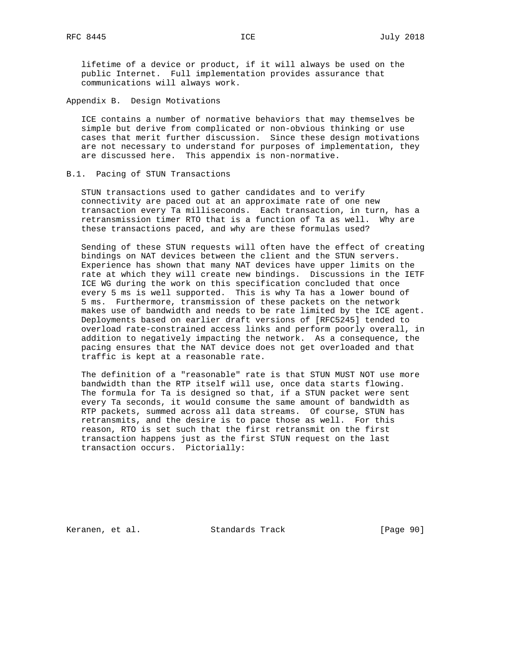lifetime of a device or product, if it will always be used on the public Internet. Full implementation provides assurance that communications will always work.

Appendix B. Design Motivations

 ICE contains a number of normative behaviors that may themselves be simple but derive from complicated or non-obvious thinking or use cases that merit further discussion. Since these design motivations are not necessary to understand for purposes of implementation, they are discussed here. This appendix is non-normative.

## B.1. Pacing of STUN Transactions

 STUN transactions used to gather candidates and to verify connectivity are paced out at an approximate rate of one new transaction every Ta milliseconds. Each transaction, in turn, has a retransmission timer RTO that is a function of Ta as well. Why are these transactions paced, and why are these formulas used?

 Sending of these STUN requests will often have the effect of creating bindings on NAT devices between the client and the STUN servers. Experience has shown that many NAT devices have upper limits on the rate at which they will create new bindings. Discussions in the IETF ICE WG during the work on this specification concluded that once every 5 ms is well supported. This is why Ta has a lower bound of 5 ms. Furthermore, transmission of these packets on the network makes use of bandwidth and needs to be rate limited by the ICE agent. Deployments based on earlier draft versions of [RFC5245] tended to overload rate-constrained access links and perform poorly overall, in addition to negatively impacting the network. As a consequence, the pacing ensures that the NAT device does not get overloaded and that traffic is kept at a reasonable rate.

 The definition of a "reasonable" rate is that STUN MUST NOT use more bandwidth than the RTP itself will use, once data starts flowing. The formula for Ta is designed so that, if a STUN packet were sent every Ta seconds, it would consume the same amount of bandwidth as RTP packets, summed across all data streams. Of course, STUN has retransmits, and the desire is to pace those as well. For this reason, RTO is set such that the first retransmit on the first transaction happens just as the first STUN request on the last transaction occurs. Pictorially:

Keranen, et al. Standards Track [Page 90]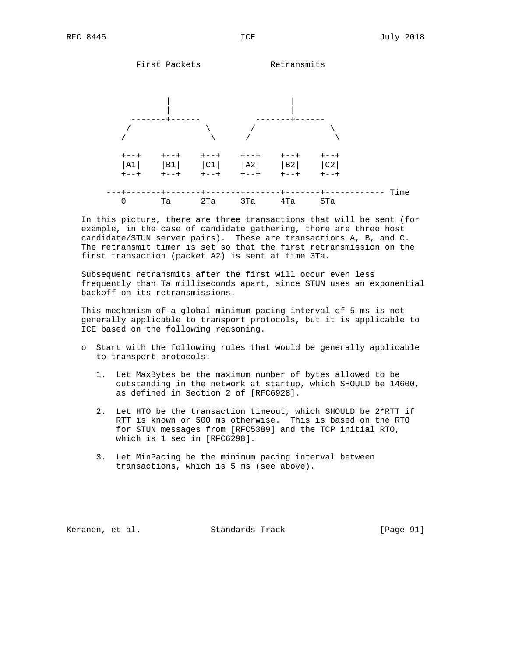

 In this picture, there are three transactions that will be sent (for example, in the case of candidate gathering, there are three host candidate/STUN server pairs). These are transactions A, B, and C. The retransmit timer is set so that the first retransmission on the first transaction (packet A2) is sent at time 3Ta.

 Subsequent retransmits after the first will occur even less frequently than Ta milliseconds apart, since STUN uses an exponential backoff on its retransmissions.

 This mechanism of a global minimum pacing interval of 5 ms is not generally applicable to transport protocols, but it is applicable to ICE based on the following reasoning.

- o Start with the following rules that would be generally applicable to transport protocols:
	- 1. Let MaxBytes be the maximum number of bytes allowed to be outstanding in the network at startup, which SHOULD be 14600, as defined in Section 2 of [RFC6928].
	- 2. Let HTO be the transaction timeout, which SHOULD be 2\*RTT if RTT is known or 500 ms otherwise. This is based on the RTO for STUN messages from [RFC5389] and the TCP initial RTO, which is 1 sec in [RFC6298].
	- 3. Let MinPacing be the minimum pacing interval between transactions, which is 5 ms (see above).

Keranen, et al. Standards Track [Page 91]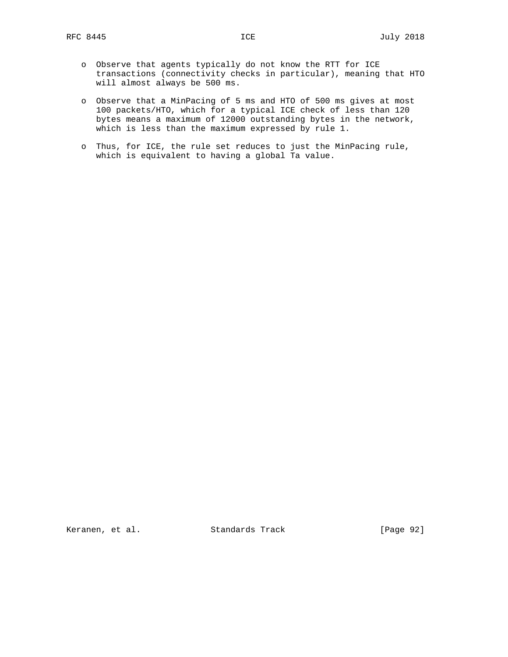- o Observe that agents typically do not know the RTT for ICE transactions (connectivity checks in particular), meaning that HTO will almost always be 500 ms.
- o Observe that a MinPacing of 5 ms and HTO of 500 ms gives at most 100 packets/HTO, which for a typical ICE check of less than 120 bytes means a maximum of 12000 outstanding bytes in the network, which is less than the maximum expressed by rule 1.
- o Thus, for ICE, the rule set reduces to just the MinPacing rule, which is equivalent to having a global Ta value.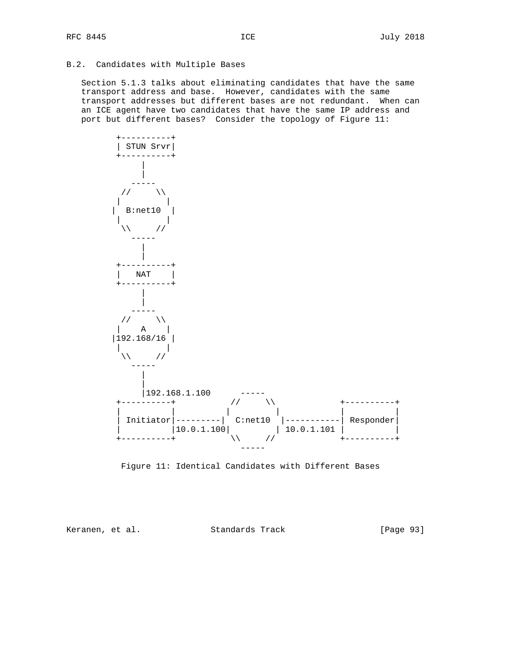## B.2. Candidates with Multiple Bases

 Section 5.1.3 talks about eliminating candidates that have the same transport address and base. However, candidates with the same transport addresses but different bases are not redundant. When can an ICE agent have two candidates that have the same IP address and port but different bases? Consider the topology of Figure 11:



Figure 11: Identical Candidates with Different Bases

Keranen, et al. Standards Track [Page 93]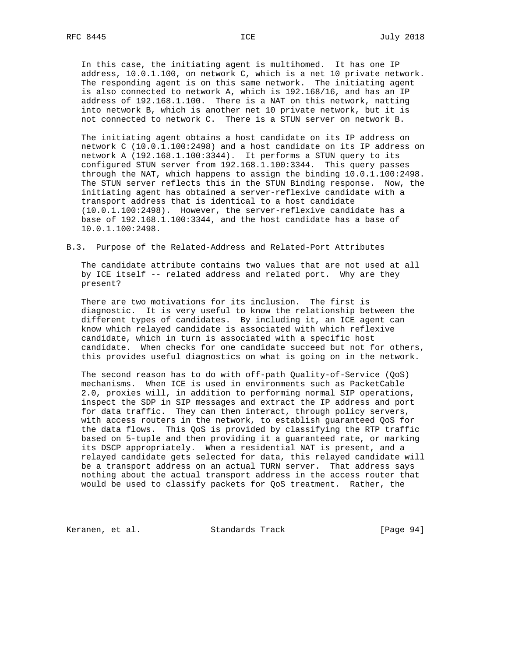In this case, the initiating agent is multihomed. It has one IP address, 10.0.1.100, on network C, which is a net 10 private network. The responding agent is on this same network. The initiating agent is also connected to network A, which is 192.168/16, and has an IP address of 192.168.1.100. There is a NAT on this network, natting into network B, which is another net 10 private network, but it is not connected to network C. There is a STUN server on network B.

 The initiating agent obtains a host candidate on its IP address on network C (10.0.1.100:2498) and a host candidate on its IP address on network A (192.168.1.100:3344). It performs a STUN query to its configured STUN server from 192.168.1.100:3344. This query passes through the NAT, which happens to assign the binding 10.0.1.100:2498. The STUN server reflects this in the STUN Binding response. Now, the initiating agent has obtained a server-reflexive candidate with a transport address that is identical to a host candidate (10.0.1.100:2498). However, the server-reflexive candidate has a base of 192.168.1.100:3344, and the host candidate has a base of 10.0.1.100:2498.

#### B.3. Purpose of the Related-Address and Related-Port Attributes

 The candidate attribute contains two values that are not used at all by ICE itself -- related address and related port. Why are they present?

 There are two motivations for its inclusion. The first is diagnostic. It is very useful to know the relationship between the different types of candidates. By including it, an ICE agent can know which relayed candidate is associated with which reflexive candidate, which in turn is associated with a specific host candidate. When checks for one candidate succeed but not for others, this provides useful diagnostics on what is going on in the network.

 The second reason has to do with off-path Quality-of-Service (QoS) mechanisms. When ICE is used in environments such as PacketCable 2.0, proxies will, in addition to performing normal SIP operations, inspect the SDP in SIP messages and extract the IP address and port for data traffic. They can then interact, through policy servers, with access routers in the network, to establish guaranteed QoS for the data flows. This QoS is provided by classifying the RTP traffic based on 5-tuple and then providing it a guaranteed rate, or marking its DSCP appropriately. When a residential NAT is present, and a relayed candidate gets selected for data, this relayed candidate will be a transport address on an actual TURN server. That address says nothing about the actual transport address in the access router that would be used to classify packets for QoS treatment. Rather, the

Keranen, et al. Standards Track [Page 94]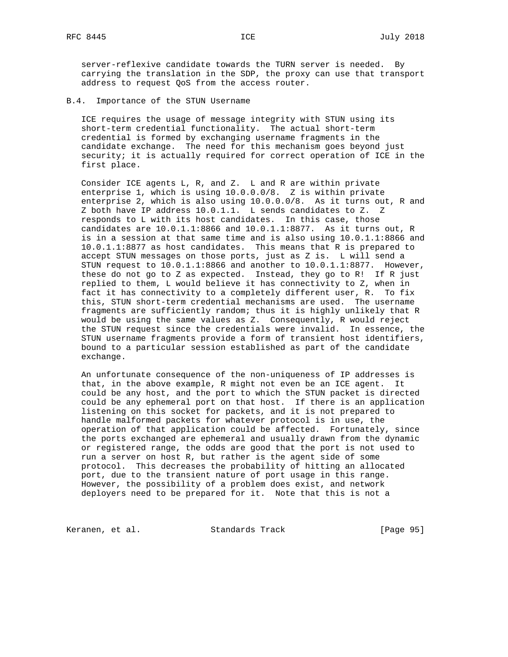server-reflexive candidate towards the TURN server is needed. By carrying the translation in the SDP, the proxy can use that transport address to request QoS from the access router.

B.4. Importance of the STUN Username

 ICE requires the usage of message integrity with STUN using its short-term credential functionality. The actual short-term credential is formed by exchanging username fragments in the candidate exchange. The need for this mechanism goes beyond just security; it is actually required for correct operation of ICE in the first place.

 Consider ICE agents L, R, and Z. L and R are within private enterprise 1, which is using 10.0.0.0/8. Z is within private enterprise 2, which is also using 10.0.0.0/8. As it turns out, R and Z both have IP address 10.0.1.1. L sends candidates to Z. Z responds to L with its host candidates. In this case, those candidates are 10.0.1.1:8866 and 10.0.1.1:8877. As it turns out, R is in a session at that same time and is also using 10.0.1.1:8866 and 10.0.1.1:8877 as host candidates. This means that R is prepared to accept STUN messages on those ports, just as Z is. L will send a STUN request to 10.0.1.1:8866 and another to 10.0.1.1:8877. However, these do not go to Z as expected. Instead, they go to R! If R just replied to them, L would believe it has connectivity to Z, when in fact it has connectivity to a completely different user, R. To fix this, STUN short-term credential mechanisms are used. The username fragments are sufficiently random; thus it is highly unlikely that R would be using the same values as Z. Consequently, R would reject the STUN request since the credentials were invalid. In essence, the STUN username fragments provide a form of transient host identifiers, bound to a particular session established as part of the candidate exchange.

 An unfortunate consequence of the non-uniqueness of IP addresses is that, in the above example, R might not even be an ICE agent. It could be any host, and the port to which the STUN packet is directed could be any ephemeral port on that host. If there is an application listening on this socket for packets, and it is not prepared to handle malformed packets for whatever protocol is in use, the operation of that application could be affected. Fortunately, since the ports exchanged are ephemeral and usually drawn from the dynamic or registered range, the odds are good that the port is not used to run a server on host R, but rather is the agent side of some protocol. This decreases the probability of hitting an allocated port, due to the transient nature of port usage in this range. However, the possibility of a problem does exist, and network deployers need to be prepared for it. Note that this is not a

Keranen, et al. Standards Track [Page 95]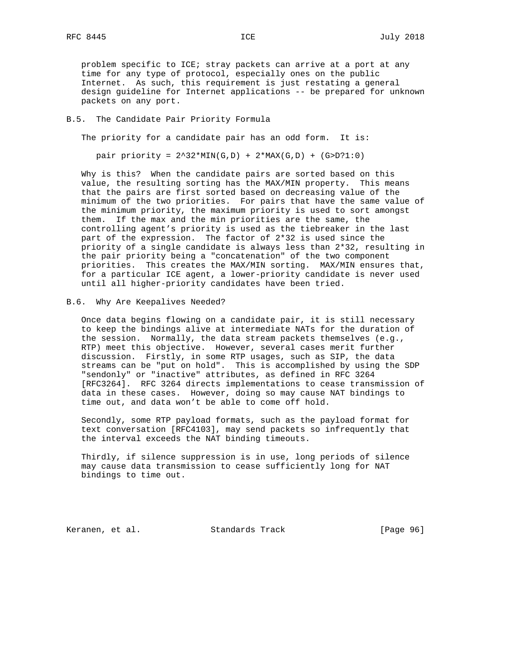problem specific to ICE; stray packets can arrive at a port at any time for any type of protocol, especially ones on the public Internet. As such, this requirement is just restating a general design guideline for Internet applications -- be prepared for unknown packets on any port.

#### B.5. The Candidate Pair Priority Formula

The priority for a candidate pair has an odd form. It is:

pair priority =  $2^32*MIN(G,D) + 2*MAX(G,D) + (G>D)?1:0)$ 

 Why is this? When the candidate pairs are sorted based on this value, the resulting sorting has the MAX/MIN property. This means that the pairs are first sorted based on decreasing value of the minimum of the two priorities. For pairs that have the same value of the minimum priority, the maximum priority is used to sort amongst them. If the max and the min priorities are the same, the controlling agent's priority is used as the tiebreaker in the last part of the expression. The factor of 2\*32 is used since the priority of a single candidate is always less than 2\*32, resulting in the pair priority being a "concatenation" of the two component priorities. This creates the MAX/MIN sorting. MAX/MIN ensures that, for a particular ICE agent, a lower-priority candidate is never used until all higher-priority candidates have been tried.

## B.6. Why Are Keepalives Needed?

 Once data begins flowing on a candidate pair, it is still necessary to keep the bindings alive at intermediate NATs for the duration of the session. Normally, the data stream packets themselves (e.g., RTP) meet this objective. However, several cases merit further discussion. Firstly, in some RTP usages, such as SIP, the data streams can be "put on hold". This is accomplished by using the SDP "sendonly" or "inactive" attributes, as defined in RFC 3264 [RFC3264]. RFC 3264 directs implementations to cease transmission of data in these cases. However, doing so may cause NAT bindings to time out, and data won't be able to come off hold.

 Secondly, some RTP payload formats, such as the payload format for text conversation [RFC4103], may send packets so infrequently that the interval exceeds the NAT binding timeouts.

 Thirdly, if silence suppression is in use, long periods of silence may cause data transmission to cease sufficiently long for NAT bindings to time out.

Keranen, et al. Standards Track [Page 96]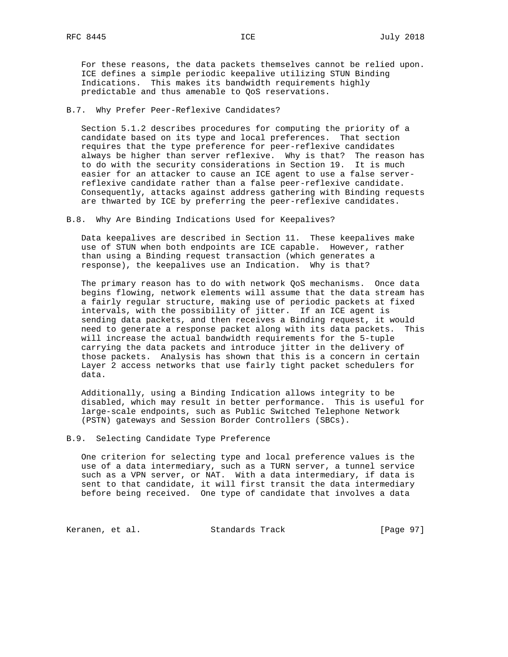For these reasons, the data packets themselves cannot be relied upon. ICE defines a simple periodic keepalive utilizing STUN Binding Indications. This makes its bandwidth requirements highly predictable and thus amenable to QoS reservations.

## B.7. Why Prefer Peer-Reflexive Candidates?

 Section 5.1.2 describes procedures for computing the priority of a candidate based on its type and local preferences. That section requires that the type preference for peer-reflexive candidates always be higher than server reflexive. Why is that? The reason has to do with the security considerations in Section 19. It is much easier for an attacker to cause an ICE agent to use a false server reflexive candidate rather than a false peer-reflexive candidate. Consequently, attacks against address gathering with Binding requests are thwarted by ICE by preferring the peer-reflexive candidates.

B.8. Why Are Binding Indications Used for Keepalives?

 Data keepalives are described in Section 11. These keepalives make use of STUN when both endpoints are ICE capable. However, rather than using a Binding request transaction (which generates a response), the keepalives use an Indication. Why is that?

 The primary reason has to do with network QoS mechanisms. Once data begins flowing, network elements will assume that the data stream has a fairly regular structure, making use of periodic packets at fixed intervals, with the possibility of jitter. If an ICE agent is sending data packets, and then receives a Binding request, it would need to generate a response packet along with its data packets. This will increase the actual bandwidth requirements for the 5-tuple carrying the data packets and introduce jitter in the delivery of those packets. Analysis has shown that this is a concern in certain Layer 2 access networks that use fairly tight packet schedulers for data.

 Additionally, using a Binding Indication allows integrity to be disabled, which may result in better performance. This is useful for large-scale endpoints, such as Public Switched Telephone Network (PSTN) gateways and Session Border Controllers (SBCs).

B.9. Selecting Candidate Type Preference

 One criterion for selecting type and local preference values is the use of a data intermediary, such as a TURN server, a tunnel service such as a VPN server, or NAT. With a data intermediary, if data is sent to that candidate, it will first transit the data intermediary before being received. One type of candidate that involves a data

Keranen, et al. Standards Track [Page 97]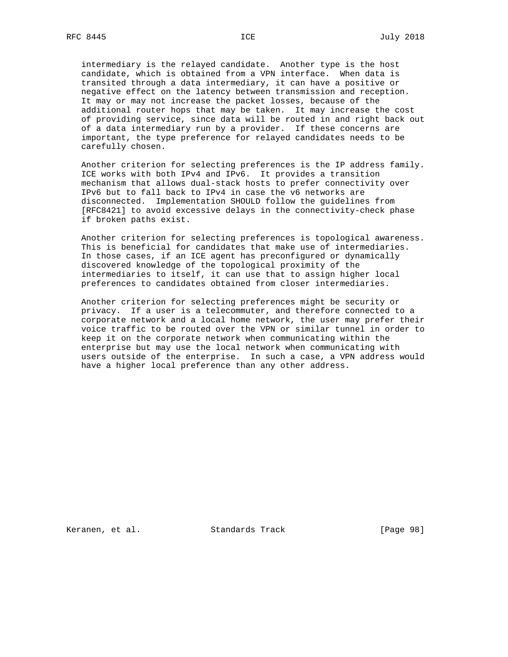intermediary is the relayed candidate. Another type is the host candidate, which is obtained from a VPN interface. When data is transited through a data intermediary, it can have a positive or negative effect on the latency between transmission and reception. It may or may not increase the packet losses, because of the additional router hops that may be taken. It may increase the cost of providing service, since data will be routed in and right back out of a data intermediary run by a provider. If these concerns are important, the type preference for relayed candidates needs to be carefully chosen.

 Another criterion for selecting preferences is the IP address family. ICE works with both IPv4 and IPv6. It provides a transition mechanism that allows dual-stack hosts to prefer connectivity over IPv6 but to fall back to IPv4 in case the v6 networks are disconnected. Implementation SHOULD follow the guidelines from [RFC8421] to avoid excessive delays in the connectivity-check phase if broken paths exist.

 Another criterion for selecting preferences is topological awareness. This is beneficial for candidates that make use of intermediaries. In those cases, if an ICE agent has preconfigured or dynamically discovered knowledge of the topological proximity of the intermediaries to itself, it can use that to assign higher local preferences to candidates obtained from closer intermediaries.

 Another criterion for selecting preferences might be security or privacy. If a user is a telecommuter, and therefore connected to a corporate network and a local home network, the user may prefer their voice traffic to be routed over the VPN or similar tunnel in order to keep it on the corporate network when communicating within the enterprise but may use the local network when communicating with users outside of the enterprise. In such a case, a VPN address would have a higher local preference than any other address.

Keranen, et al. Standards Track [Page 98]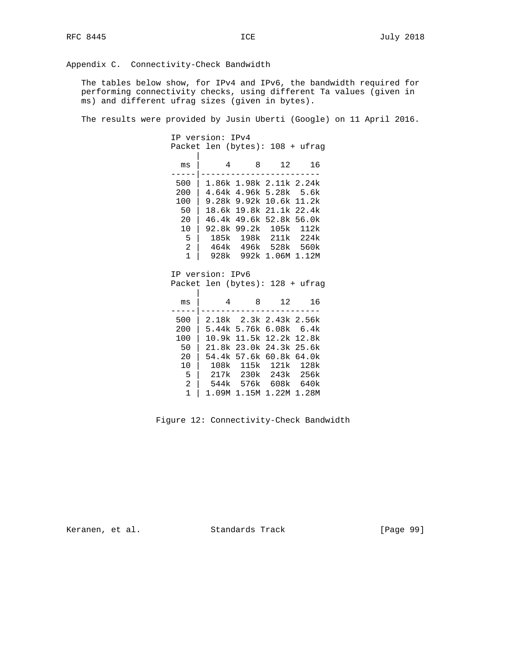Appendix C. Connectivity-Check Bandwidth

 The tables below show, for IPv4 and IPv6, the bandwidth required for performing connectivity checks, using different Ta values (given in ms) and different ufrag sizes (given in bytes).

The results were provided by Jusin Uberti (Google) on 11 April 2016.

 IP version: IPv4 Packet len (bytes): 108 + ufrag | ms | 4 8 12 16 -----|------------------------ 500 | 1.86k 1.98k 2.11k 2.24k 200 | 4.64k 4.96k 5.28k 5.6k 100 | 9.28k 9.92k 10.6k 11.2k

| 50   18.6k 19.8k 21.1k 22.4k |  |  |
|------------------------------|--|--|
| 20   46.4k 49.6k 52.8k 56.0k |  |  |
| 10   92.8k 99.2k 105k 112k   |  |  |
| 5   185k 198k 211k 224k      |  |  |
| 2   464k 496k 528k 560k      |  |  |
| 1   928k 992k 1.06M 1.12M    |  |  |

 IP version: IPv6 Packet len (bytes): 128 + ufrag

| ms  | 4     | 8    | 12                      | 16   |
|-----|-------|------|-------------------------|------|
| 500 |       |      | 2.18k 2.3k 2.43k 2.56k  |      |
| 200 |       |      | 5.44k 5.76k 6.08k 6.4k  |      |
| 100 |       |      | 10.9k 11.5k 12.2k 12.8k |      |
| 50  |       |      | 21.8k 23.0k 24.3k 25.6k |      |
| 20  |       |      | 54.4k 57.6k 60.8k 64.0k |      |
| 10  | 108k  | 115k | 121k                    | 128k |
| 5   | 217k  |      | 230k 243k               | 256k |
| 2   | 544k  | 576k | 608k                    | 640k |
|     | 1.09M |      | 1.15M 1.22M 1.28M       |      |

Figure 12: Connectivity-Check Bandwidth

Keranen, et al. Standards Track [Page 99]